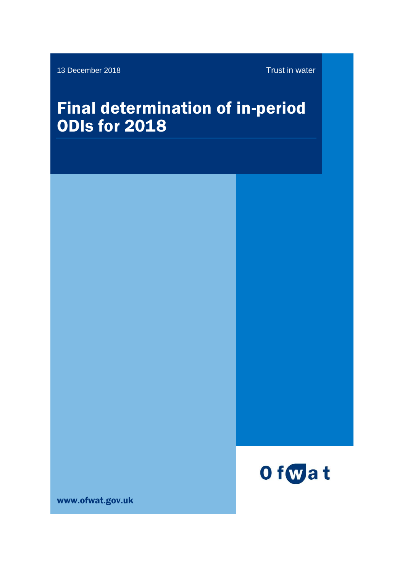13 December 2018 Trust in water

# Final determination of in-period ODIs for 2018



www.ofwat.gov.uk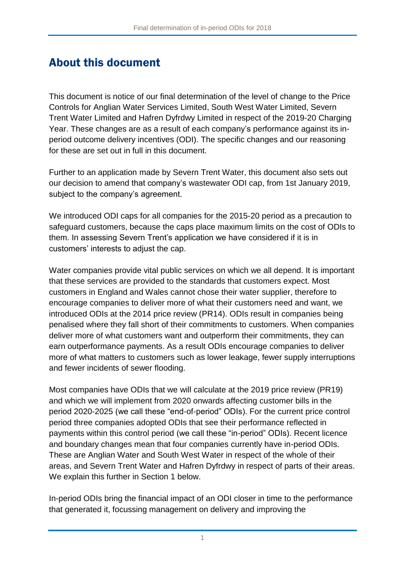# About this document

This document is notice of our final determination of the level of change to the Price Controls for Anglian Water Services Limited, South West Water Limited, Severn Trent Water Limited and Hafren Dyfrdwy Limited in respect of the 2019-20 Charging Year. These changes are as a result of each company's performance against its inperiod outcome delivery incentives (ODI). The specific changes and our reasoning for these are set out in full in this document.

Further to an application made by Severn Trent Water, this document also sets out our decision to amend that company's wastewater ODI cap, from 1st January 2019, subject to the company's agreement.

We introduced ODI caps for all companies for the 2015-20 period as a precaution to safeguard customers, because the caps place maximum limits on the cost of ODIs to them. In assessing Severn Trent's application we have considered if it is in customers' interests to adjust the cap.

Water companies provide vital public services on which we all depend. It is important that these services are provided to the standards that customers expect. Most customers in England and Wales cannot chose their water supplier, therefore to encourage companies to deliver more of what their customers need and want, we introduced ODIs at the 2014 price review (PR14). ODIs result in companies being penalised where they fall short of their commitments to customers. When companies deliver more of what customers want and outperform their commitments, they can earn outperformance payments. As a result ODIs encourage companies to deliver more of what matters to customers such as lower leakage, fewer supply interruptions and fewer incidents of sewer flooding.

Most companies have ODIs that we will calculate at the 2019 price review (PR19) and which we will implement from 2020 onwards affecting customer bills in the period 2020-2025 (we call these "end-of-period" ODIs). For the current price control period three companies adopted ODIs that see their performance reflected in payments within this control period (we call these "in-period" ODIs). Recent licence and boundary changes mean that four companies currently have in-period ODIs. These are Anglian Water and South West Water in respect of the whole of their areas, and Severn Trent Water and Hafren Dyfrdwy in respect of parts of their areas. We explain this further in Section [1](#page-4-0) below.

In-period ODIs bring the financial impact of an ODI closer in time to the performance that generated it, focussing management on delivery and improving the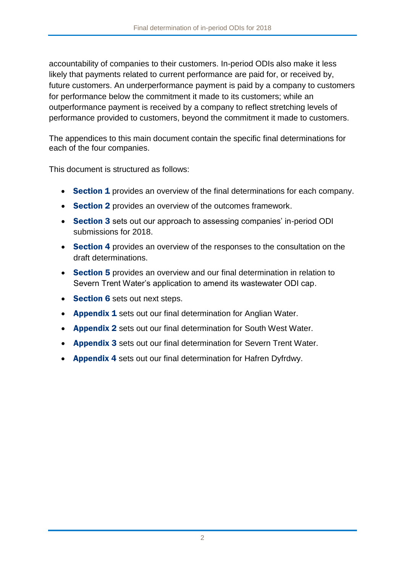accountability of companies to their customers. In-period ODIs also make it less likely that payments related to current performance are paid for, or received by, future customers. An underperformance payment is paid by a company to customers for performance below the commitment it made to its customers; while an outperformance payment is received by a company to reflect stretching levels of performance provided to customers, beyond the commitment it made to customers.

The appendices to this main document contain the specific final determinations for each of the four companies.

This document is structured as follows:

- Section 1 provides an overview of the final determinations for each company.
- Section 2 provides an overview of the outcomes framework.
- Section 3 sets out our approach to assessing companies' in-period ODI submissions for 2018.
- Section 4 provides an overview of the responses to the consultation on the draft determinations.
- Section 5 provides an overview and our final determination in relation to Severn Trent Water's application to amend its wastewater ODI cap.
- Section 6 sets out next steps.
- Appendix 1 sets out our final determination for Anglian Water.
- **Appendix 2** sets out our final determination for South West Water.
- **Appendix 3** sets out our final determination for Severn Trent Water.
- **Appendix 4** sets out our final determination for Hafren Dyfrdwy.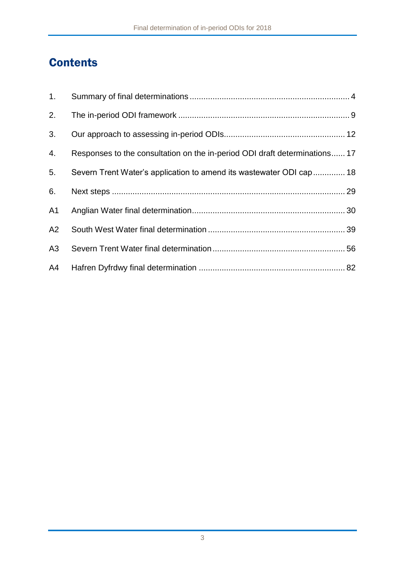# **Contents**

| 1.             |                                                                            |  |
|----------------|----------------------------------------------------------------------------|--|
| 2.             |                                                                            |  |
| 3.             |                                                                            |  |
| 4.             | Responses to the consultation on the in-period ODI draft determinations 17 |  |
| 5.             | Severn Trent Water's application to amend its wastewater ODI cap  18       |  |
| 6.             |                                                                            |  |
| A <sub>1</sub> |                                                                            |  |
| A2             |                                                                            |  |
| A3             |                                                                            |  |
| A4             |                                                                            |  |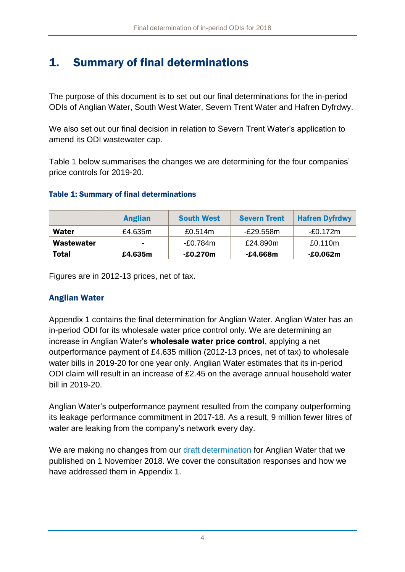# <span id="page-4-0"></span>1. Summary of final determinations

The purpose of this document is to set out our final determinations for the in-period ODIs of Anglian Water, South West Water, Severn Trent Water and Hafren Dyfrdwy.

We also set out our final decision in relation to Severn Trent Water's application to amend its ODI wastewater cap.

[Table 1](#page-4-1) below summarises the changes we are determining for the four companies' price controls for 2019-20.

#### <span id="page-4-1"></span>Table 1: Summary of final determinations

|              | <b>Anglian</b> | <b>South West</b> | <b>Severn Trent</b> | <b>Hafren Dyfrdwy</b> |
|--------------|----------------|-------------------|---------------------|-----------------------|
| Water        | £4.635m        | £0.514m           | -£29.558m           | -£0.172m              |
| Wastewater   | -              | -£0.784m          | £24.890m            | £0.110m               |
| <b>Total</b> | £4.635m        | $-£0.270m$        | -£4.668m            | $-£0.062m$            |

Figures are in 2012-13 prices, net of tax.

## Anglian Water

Appendix 1 contains the final determination for Anglian Water. Anglian Water has an in-period ODI for its wholesale water price control only. We are determining an increase in Anglian Water's wholesale water price control, applying a net outperformance payment of £4.635 million (2012-13 prices, net of tax) to wholesale water bills in 2019-20 for one year only. Anglian Water estimates that its in-period ODI claim will result in an increase of £2.45 on the average annual household water bill in 2019-20.

Anglian Water's outperformance payment resulted from the company outperforming its leakage performance commitment in 2017-18. As a result, 9 million fewer litres of water are leaking from the company's network every day.

We are making no changes from our [draft determination](https://www.ofwat.gov.uk/consultation/2018-draft-determination-of-in-period-odis/) for Anglian Water that we published on 1 November 2018. We cover the consultation responses and how we have addressed them in Appendix 1.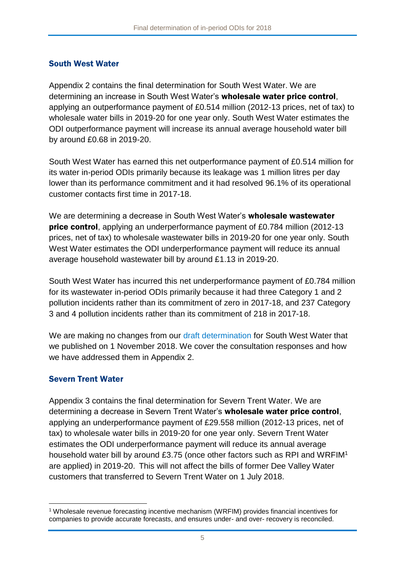### South West Water

Appendix 2 contains the final determination for South West Water. We are determining an increase in South West Water's wholesale water price control, applying an outperformance payment of £0.514 million (2012-13 prices, net of tax) to wholesale water bills in 2019-20 for one year only. South West Water estimates the ODI outperformance payment will increase its annual average household water bill by around £0.68 in 2019-20.

South West Water has earned this net outperformance payment of £0.514 million for its water in-period ODIs primarily because its leakage was 1 million litres per day lower than its performance commitment and it had resolved 96.1% of its operational customer contacts first time in 2017-18.

We are determining a decrease in South West Water's **wholesale wastewater** price control, applying an underperformance payment of £0.784 million (2012-13 prices, net of tax) to wholesale wastewater bills in 2019-20 for one year only. South West Water estimates the ODI underperformance payment will reduce its annual average household wastewater bill by around £1.13 in 2019-20.

South West Water has incurred this net underperformance payment of £0.784 million for its wastewater in-period ODIs primarily because it had three Category 1 and 2 pollution incidents rather than its commitment of zero in 2017-18, and 237 Category 3 and 4 pollution incidents rather than its commitment of 218 in 2017-18.

We are making no changes from our [draft determination](https://www.ofwat.gov.uk/consultation/2018-draft-determination-of-in-period-odis/) for South West Water that we published on 1 November 2018. We cover the consultation responses and how we have addressed them in Appendix 2.

## Severn Trent Water

1

Appendix 3 contains the final determination for Severn Trent Water. We are determining a decrease in Severn Trent Water's wholesale water price control, applying an underperformance payment of £29.558 million (2012-13 prices, net of tax) to wholesale water bills in 2019-20 for one year only. Severn Trent Water estimates the ODI underperformance payment will reduce its annual average household water bill by around £3.75 (once other factors such as RPI and WRFIM<sup>1</sup> are applied) in 2019-20. This will not affect the bills of former Dee Valley Water customers that transferred to Severn Trent Water on 1 July 2018.

<sup>1</sup> Wholesale revenue forecasting incentive mechanism (WRFIM) provides financial incentives for companies to provide accurate forecasts, and ensures under- and over- recovery is reconciled.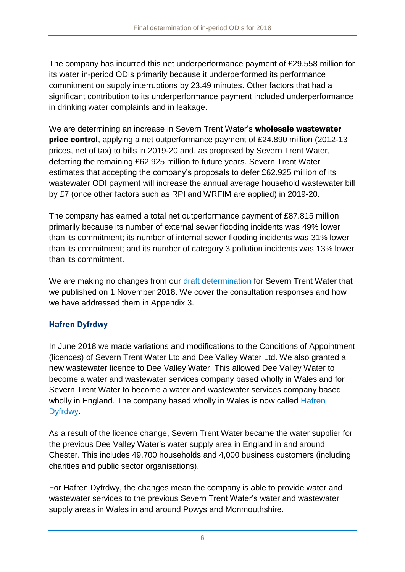The company has incurred this net underperformance payment of £29.558 million for its water in-period ODIs primarily because it underperformed its performance commitment on supply interruptions by 23.49 minutes. Other factors that had a significant contribution to its underperformance payment included underperformance in drinking water complaints and in leakage.

We are determining an increase in Severn Trent Water's wholesale wastewater **price control**, applying a net outperformance payment of £24.890 million (2012-13) prices, net of tax) to bills in 2019-20 and, as proposed by Severn Trent Water, deferring the remaining £62.925 million to future years. Severn Trent Water estimates that accepting the company's proposals to defer £62.925 million of its wastewater ODI payment will increase the annual average household wastewater bill by £7 (once other factors such as RPI and WRFIM are applied) in 2019-20.

The company has earned a total net outperformance payment of £87.815 million primarily because its number of external sewer flooding incidents was 49% lower than its commitment; its number of internal sewer flooding incidents was 31% lower than its commitment; and its number of category 3 pollution incidents was 13% lower than its commitment.

We are making no changes from our [draft determination](https://www.ofwat.gov.uk/consultation/2018-draft-determination-of-in-period-odis/) for Severn Trent Water that we published on 1 November 2018. We cover the consultation responses and how we have addressed them in Appendix 3.

## Hafren Dyfrdwy

In June 2018 we made variations and modifications to the Conditions of Appointment (licences) of Severn Trent Water Ltd and Dee Valley Water Ltd. We also granted a new wastewater licence to Dee Valley Water. This allowed Dee Valley Water to become a water and wastewater services company based wholly in Wales and for Severn Trent Water to become a water and wastewater services company based wholly in England. The company based wholly in Wales is now called [Hafren](https://www.hdcymru.co.uk/)  [Dyfrdwy.](https://www.hdcymru.co.uk/)

As a result of the licence change, Severn Trent Water became the water supplier for the previous Dee Valley Water's water supply area in England in and around Chester. This includes 49,700 households and 4,000 business customers (including charities and public sector organisations).

For Hafren Dyfrdwy, the changes mean the company is able to provide water and wastewater services to the previous Severn Trent Water's water and wastewater supply areas in Wales in and around Powys and Monmouthshire.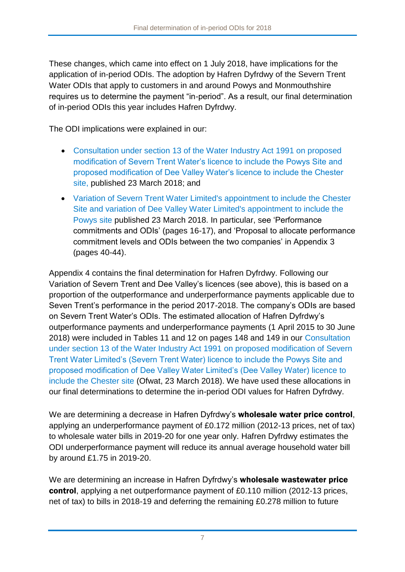These changes, which came into effect on 1 July 2018, have implications for the application of in-period ODIs. The adoption by Hafren Dyfrdwy of the Severn Trent Water ODIs that apply to customers in and around Powys and Monmouthshire requires us to determine the payment "in-period". As a result, our final determination of in-period ODIs this year includes Hafren Dyfrdwy.

The ODI implications were explained in our:

- [Consultation under section 13 of the Water Industry Act 1991 on proposed](https://www.ofwat.gov.uk/consultation/consultation-section-13-water-industry-act-1991-proposed-modification-severn-trent-water-limiteds-severn-trent-water-licence-include-powys-site-proposed-modifi/)  [modification of Severn Trent Water's licence to include the Powys Site and](https://www.ofwat.gov.uk/consultation/consultation-section-13-water-industry-act-1991-proposed-modification-severn-trent-water-limiteds-severn-trent-water-licence-include-powys-site-proposed-modifi/)  [proposed modification of Dee Valley Water's licence to include the Chester](https://www.ofwat.gov.uk/consultation/consultation-section-13-water-industry-act-1991-proposed-modification-severn-trent-water-limiteds-severn-trent-water-licence-include-powys-site-proposed-modifi/)  [site,](https://www.ofwat.gov.uk/consultation/consultation-section-13-water-industry-act-1991-proposed-modification-severn-trent-water-limiteds-severn-trent-water-licence-include-powys-site-proposed-modifi/) published 23 March 2018; and
- [Variation of Severn Trent Water Limited's appointment to include the Chester](https://www.ofwat.gov.uk/publication/variation-severn-trent-water-limiteds-appointment-include-powys-site-variation-dee-valley-water-limiteds-appointment-include-chester-site/)  [Site and variation of Dee Valley Water Limited's appointment to include the](https://www.ofwat.gov.uk/publication/variation-severn-trent-water-limiteds-appointment-include-powys-site-variation-dee-valley-water-limiteds-appointment-include-chester-site/)  [Powys site](https://www.ofwat.gov.uk/publication/variation-severn-trent-water-limiteds-appointment-include-powys-site-variation-dee-valley-water-limiteds-appointment-include-chester-site/) published 23 March 2018. In particular, see 'Performance commitments and ODIs' (pages 16-17), and 'Proposal to allocate performance commitment levels and ODIs between the two companies' in Appendix 3 (pages 40-44).

Appendix 4 contains the final determination for Hafren Dyfrdwy. Following our Variation of Severn Trent and Dee Valley's licences (see above), this is based on a proportion of the outperformance and underperformance payments applicable due to Seven Trent's performance in the period 2017-2018. The company's ODIs are based on Severn Trent Water's ODIs. The estimated allocation of Hafren Dyfrdwy's outperformance payments and underperformance payments (1 April 2015 to 30 June 2018) were included in Tables 11 and 12 on pages 148 and 149 in our [Consultation](https://www.ofwat.gov.uk/consultation/consultation-section-13-water-industry-act-1991-proposed-modification-severn-trent-water-limiteds-severn-trent-water-licence-include-powys-site-proposed-modifi/)  [under section 13 of the Water Industry Act 1991 on proposed modification of Severn](https://www.ofwat.gov.uk/consultation/consultation-section-13-water-industry-act-1991-proposed-modification-severn-trent-water-limiteds-severn-trent-water-licence-include-powys-site-proposed-modifi/)  [Trent Water Limited's \(Severn Trent Water\) licence to include the Powys Site and](https://www.ofwat.gov.uk/consultation/consultation-section-13-water-industry-act-1991-proposed-modification-severn-trent-water-limiteds-severn-trent-water-licence-include-powys-site-proposed-modifi/)  [proposed modification of Dee Valley Water Limited's \(Dee Valley Water\) licence to](https://www.ofwat.gov.uk/consultation/consultation-section-13-water-industry-act-1991-proposed-modification-severn-trent-water-limiteds-severn-trent-water-licence-include-powys-site-proposed-modifi/)  [include the Chester site](https://www.ofwat.gov.uk/consultation/consultation-section-13-water-industry-act-1991-proposed-modification-severn-trent-water-limiteds-severn-trent-water-licence-include-powys-site-proposed-modifi/) (Ofwat, 23 March 2018). We have used these allocations in our final determinations to determine the in-period ODI values for Hafren Dyfrdwy.

We are determining a decrease in Hafren Dyfrdwy's wholesale water price control, applying an underperformance payment of £0.172 million (2012-13 prices, net of tax) to wholesale water bills in 2019-20 for one year only. Hafren Dyfrdwy estimates the ODI underperformance payment will reduce its annual average household water bill by around £1.75 in 2019-20.

We are determining an increase in Hafren Dyfrdwy's wholesale wastewater price control, applying a net outperformance payment of £0.110 million (2012-13 prices, net of tax) to bills in 2018-19 and deferring the remaining £0.278 million to future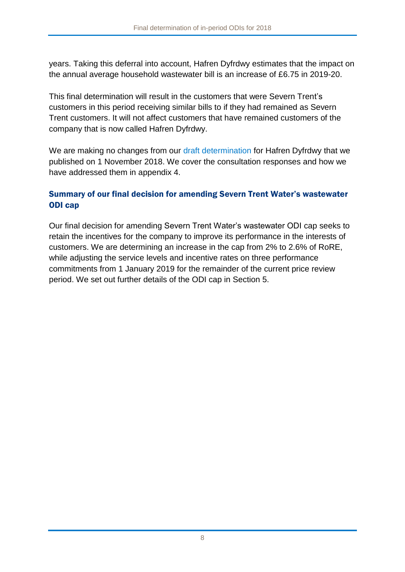years. Taking this deferral into account, Hafren Dyfrdwy estimates that the impact on the annual average household wastewater bill is an increase of £6.75 in 2019-20.

This final determination will result in the customers that were Severn Trent's customers in this period receiving similar bills to if they had remained as Severn Trent customers. It will not affect customers that have remained customers of the company that is now called Hafren Dyfrdwy.

We are making no changes from our [draft determination](https://www.ofwat.gov.uk/consultation/2018-draft-determination-of-in-period-odis/) for Hafren Dyfrdwy that we published on 1 November 2018. We cover the consultation responses and how we have addressed them in appendix 4.

## Summary of our final decision for amending Severn Trent Water's wastewater ODI cap

Our final decision for amending Severn Trent Water's wastewater ODI cap seeks to retain the incentives for the company to improve its performance in the interests of customers. We are determining an increase in the cap from 2% to 2.6% of RoRE, while adjusting the service levels and incentive rates on three performance commitments from 1 January 2019 for the remainder of the current price review period. We set out further details of the ODI cap in Section [5.](#page-18-0)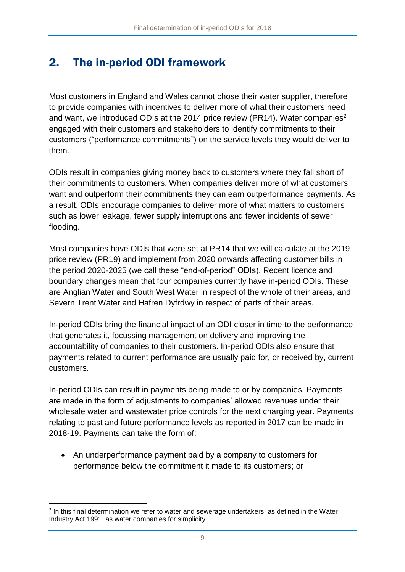# <span id="page-9-0"></span>2. The in-period ODI framework

Most customers in England and Wales cannot chose their water supplier, therefore to provide companies with incentives to deliver more of what their customers need and want, we introduced ODIs at the 2014 price review (PR14). Water companies<sup>2</sup> engaged with their customers and stakeholders to identify commitments to their customers ("performance commitments") on the service levels they would deliver to them.

ODIs result in companies giving money back to customers where they fall short of their commitments to customers. When companies deliver more of what customers want and outperform their commitments they can earn outperformance payments. As a result, ODIs encourage companies to deliver more of what matters to customers such as lower leakage, fewer supply interruptions and fewer incidents of sewer flooding.

Most companies have ODIs that were set at PR14 that we will calculate at the 2019 price review (PR19) and implement from 2020 onwards affecting customer bills in the period 2020-2025 (we call these "end-of-period" ODIs). Recent licence and boundary changes mean that four companies currently have in-period ODIs. These are Anglian Water and South West Water in respect of the whole of their areas, and Severn Trent Water and Hafren Dyfrdwy in respect of parts of their areas.

In-period ODIs bring the financial impact of an ODI closer in time to the performance that generates it, focussing management on delivery and improving the accountability of companies to their customers. In-period ODIs also ensure that payments related to current performance are usually paid for, or received by, current customers.

In-period ODIs can result in payments being made to or by companies. Payments are made in the form of adjustments to companies' allowed revenues under their wholesale water and wastewater price controls for the next charging year. Payments relating to past and future performance levels as reported in 2017 can be made in 2018-19. Payments can take the form of:

 An underperformance payment paid by a company to customers for performance below the commitment it made to its customers; or

<sup>1</sup> 2 In this final determination we refer to water and sewerage undertakers, as defined in the Water Industry Act 1991, as water companies for simplicity.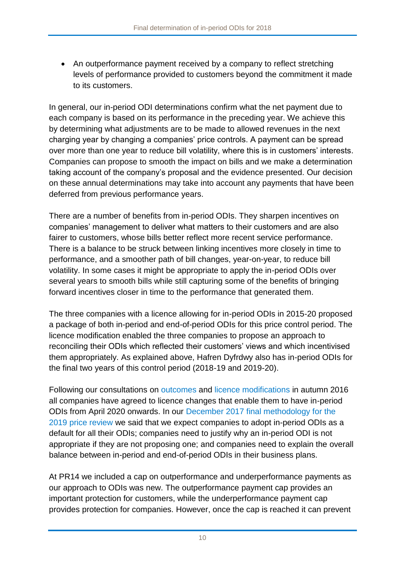• An outperformance payment received by a company to reflect stretching levels of performance provided to customers beyond the commitment it made to its customers.

In general, our in-period ODI determinations confirm what the net payment due to each company is based on its performance in the preceding year. We achieve this by determining what adjustments are to be made to allowed revenues in the next charging year by changing a companies' price controls. A payment can be spread over more than one year to reduce bill volatility, where this is in customers' interests. Companies can propose to smooth the impact on bills and we make a determination taking account of the company's proposal and the evidence presented. Our decision on these annual determinations may take into account any payments that have been deferred from previous performance years.

There are a number of benefits from in-period ODIs. They sharpen incentives on companies' management to deliver what matters to their customers and are also fairer to customers, whose bills better reflect more recent service performance. There is a balance to be struck between linking incentives more closely in time to performance, and a smoother path of bill changes, year-on-year, to reduce bill volatility. In some cases it might be appropriate to apply the in-period ODIs over several years to smooth bills while still capturing some of the benefits of bringing forward incentives closer in time to the performance that generated them.

The three companies with a licence allowing for in-period ODIs in 2015-20 proposed a package of both in-period and end-of-period ODIs for this price control period. The licence modification enabled the three companies to propose an approach to reconciling their ODIs which reflected their customers' views and which incentivised them appropriately. As explained above, Hafren Dyfrdwy also has in-period ODIs for the final two years of this control period (2018-19 and 2019-20).

Following our consultations on [outcomes](https://www.ofwat.gov.uk/consultation/consultation-outcomes-framework-pr19/) and [licence modifications](https://www.ofwat.gov.uk/wp-content/uploads/2016/11/pap_conS13_LicMod91116.pdf) in autumn 2016 all companies have agreed to licence changes that enable them to have in-period ODIs from April 2020 onwards. In our [December 2017 final methodology for the](https://www.ofwat.gov.uk/regulated-companies/price-review/2019-price-review-final-methodology/pr19-final-methodology/)  [2019 price review](https://www.ofwat.gov.uk/regulated-companies/price-review/2019-price-review-final-methodology/pr19-final-methodology/) we said that we expect companies to adopt in-period ODIs as a default for all their ODIs; companies need to justify why an in-period ODI is not appropriate if they are not proposing one; and companies need to explain the overall balance between in-period and end-of-period ODIs in their business plans.

At PR14 we included a cap on outperformance and underperformance payments as our approach to ODIs was new. The outperformance payment cap provides an important protection for customers, while the underperformance payment cap provides protection for companies. However, once the cap is reached it can prevent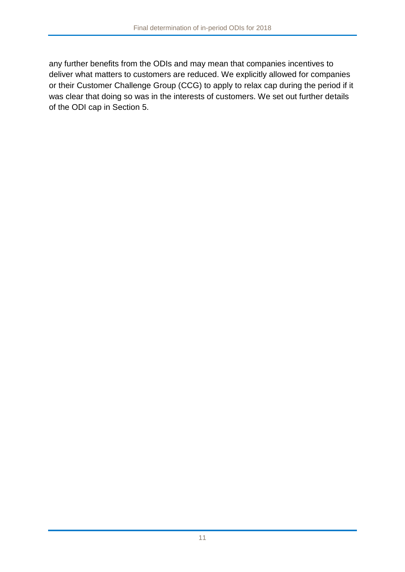any further benefits from the ODIs and may mean that companies incentives to deliver what matters to customers are reduced. We explicitly allowed for companies or their Customer Challenge Group (CCG) to apply to relax cap during the period if it was clear that doing so was in the interests of customers. We set out further details of the ODI cap in Section [5.](#page-18-0)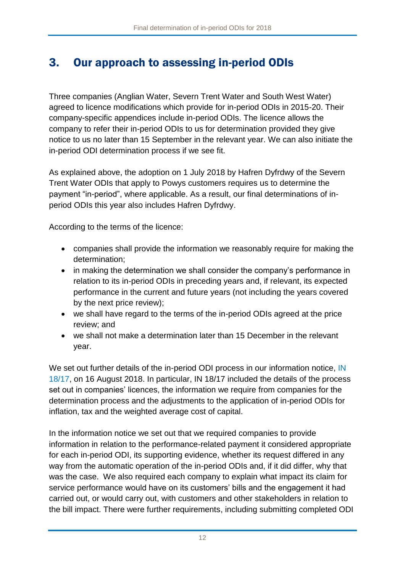# <span id="page-12-0"></span>3. Our approach to assessing in-period ODIs

Three companies (Anglian Water, Severn Trent Water and South West Water) agreed to licence modifications which provide for in-period ODIs in 2015-20. Their company-specific appendices include in-period ODIs. The licence allows the company to refer their in-period ODIs to us for determination provided they give notice to us no later than 15 September in the relevant year. We can also initiate the in-period ODI determination process if we see fit.

As explained above, the adoption on 1 July 2018 by Hafren Dyfrdwy of the Severn Trent Water ODIs that apply to Powys customers requires us to determine the payment "in-period", where applicable. As a result, our final determinations of inperiod ODIs this year also includes Hafren Dyfrdwy.

According to the terms of the licence:

- companies shall provide the information we reasonably require for making the determination;
- in making the determination we shall consider the company's performance in relation to its in-period ODIs in preceding years and, if relevant, its expected performance in the current and future years (not including the years covered by the next price review);
- we shall have regard to the terms of the in-period ODIs agreed at the price review; and
- we shall not make a determination later than 15 December in the relevant year.

We set out further details of the in-period ODI process in our information notice, IN [18/17,](https://www.ofwat.gov.uk/publication/18-17-process-determining-application-period-outcome-delivery-incentives-updated-2017-18/) on 16 August 2018. In particular, IN 18/17 included the details of the process set out in companies' licences, the information we require from companies for the determination process and the adjustments to the application of in-period ODIs for inflation, tax and the weighted average cost of capital.

In the information notice we set out that we required companies to provide information in relation to the performance-related payment it considered appropriate for each in-period ODI, its supporting evidence, whether its request differed in any way from the automatic operation of the in-period ODIs and, if it did differ, why that was the case. We also required each company to explain what impact its claim for service performance would have on its customers' bills and the engagement it had carried out, or would carry out, with customers and other stakeholders in relation to the bill impact. There were further requirements, including submitting completed ODI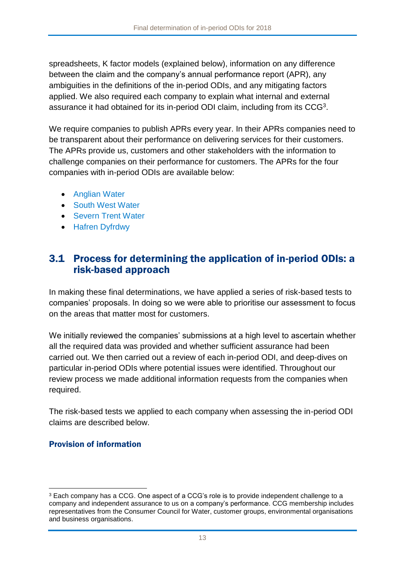spreadsheets, K factor models (explained below), information on any difference between the claim and the company's annual performance report (APR), any ambiguities in the definitions of the in-period ODIs, and any mitigating factors applied. We also required each company to explain what internal and external assurance it had obtained for its in-period ODI claim, including from its  $CCG<sup>3</sup>$ .

We require companies to publish APRs every year. In their APRs companies need to be transparent about their performance on delivering services for their customers. The APRs provide us, customers and other stakeholders with the information to challenge companies on their performance for customers. The APRs for the four companies with in-period ODIs are available below:

- [Anglian Water](https://www.anglianwater.co.uk/about-us/annual-reports/)
- [South West Water](https://www.southwestwater.co.uk/about-us/how-are-we-performing/annual-reporting-2018/)
- [Severn Trent Water](https://www.stwater.co.uk/about-us/responsibility/our-responsibilities-to-you/regulatory-performance/)
- **[Hafren Dyfrdwy](https://www.hdcymru.co.uk/about-us/responsibility/our-responsibilities-to-you/regulatory-performance/)**

## 3.1 Process for determining the application of in-period ODIs: a risk-based approach

In making these final determinations, we have applied a series of risk-based tests to companies' proposals. In doing so we were able to prioritise our assessment to focus on the areas that matter most for customers.

We initially reviewed the companies' submissions at a high level to ascertain whether all the required data was provided and whether sufficient assurance had been carried out. We then carried out a review of each in-period ODI, and deep-dives on particular in-period ODIs where potential issues were identified. Throughout our review process we made additional information requests from the companies when required.

The risk-based tests we applied to each company when assessing the in-period ODI claims are described below.

## Provision of information

1

<sup>3</sup> Each company has a CCG. One aspect of a CCG's role is to provide independent challenge to a company and independent assurance to us on a company's performance. CCG membership includes representatives from the Consumer Council for Water, customer groups, environmental organisations and business organisations.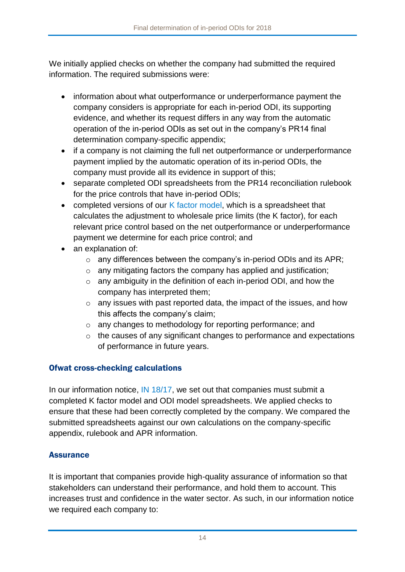We initially applied checks on whether the company had submitted the required information. The required submissions were:

- information about what outperformance or underperformance payment the company considers is appropriate for each in-period ODI, its supporting evidence, and whether its request differs in any way from the automatic operation of the in-period ODIs as set out in the company's PR14 final determination company-specific appendix;
- if a company is not claiming the full net outperformance or underperformance payment implied by the automatic operation of its in-period ODIs, the company must provide all its evidence in support of this;
- separate completed ODI spreadsheets from the PR14 reconciliation rulebook for the price controls that have in-period ODIs;
- completed versions of our K [factor model,](https://www.ofwat.gov.uk/publication/k-factor-model-inperiod-odis/) which is a spreadsheet that calculates the adjustment to wholesale price limits (the K factor), for each relevant price control based on the net outperformance or underperformance payment we determine for each price control; and
- an explanation of:
	- $\circ$  any differences between the company's in-period ODIs and its APR;
	- $\circ$  any mitigating factors the company has applied and justification;
	- o any ambiguity in the definition of each in-period ODI, and how the company has interpreted them;
	- o any issues with past reported data, the impact of the issues, and how this affects the company's claim;
	- o any changes to methodology for reporting performance; and
	- o the causes of any significant changes to performance and expectations of performance in future years.

## Ofwat cross-checking calculations

In our information notice, [IN 18/17,](https://www.ofwat.gov.uk/publication/18-17-process-determining-application-period-outcome-delivery-incentives-updated-2017-18/) we set out that companies must submit a completed K factor model and ODI model spreadsheets. We applied checks to ensure that these had been correctly completed by the company. We compared the submitted spreadsheets against our own calculations on the company-specific appendix, rulebook and APR information.

## **Assurance**

It is important that companies provide high-quality assurance of information so that stakeholders can understand their performance, and hold them to account. This increases trust and confidence in the water sector. As such, in our information notice we required each company to: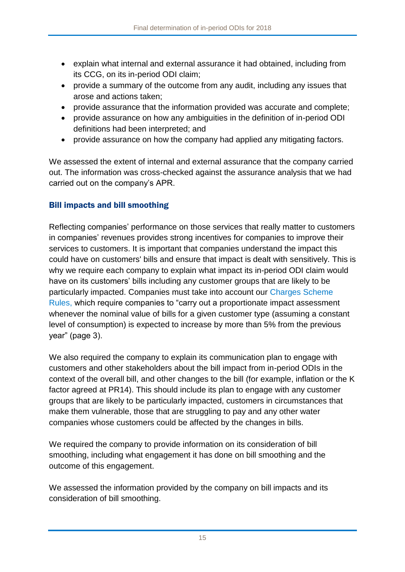- explain what internal and external assurance it had obtained, including from its CCG, on its in-period ODI claim;
- provide a summary of the outcome from any audit, including any issues that arose and actions taken;
- provide assurance that the information provided was accurate and complete;
- provide assurance on how any ambiguities in the definition of in-period ODI definitions had been interpreted; and
- provide assurance on how the company had applied any mitigating factors.

We assessed the extent of internal and external assurance that the company carried out. The information was cross-checked against the assurance analysis that we had carried out on the company's APR.

## Bill impacts and bill smoothing

Reflecting companies' performance on those services that really matter to customers in companies' revenues provides strong incentives for companies to improve their services to customers. It is important that companies understand the impact this could have on customers' bills and ensure that impact is dealt with sensitively. This is why we require each company to explain what impact its in-period ODI claim would have on its customers' bills including any customer groups that are likely to be particularly impacted. Companies must take into account our [Charges Scheme](https://www.ofwat.gov.uk/publication/charges-scheme-rules/)  [Rules,](https://www.ofwat.gov.uk/publication/charges-scheme-rules/) which require companies to "carry out a proportionate impact assessment whenever the nominal value of bills for a given customer type (assuming a constant level of consumption) is expected to increase by more than 5% from the previous year" (page 3).

We also required the company to explain its communication plan to engage with customers and other stakeholders about the bill impact from in-period ODIs in the context of the overall bill, and other changes to the bill (for example, inflation or the K factor agreed at PR14). This should include its plan to engage with any customer groups that are likely to be particularly impacted, customers in circumstances that make them vulnerable, those that are struggling to pay and any other water companies whose customers could be affected by the changes in bills.

We required the company to provide information on its consideration of bill smoothing, including what engagement it has done on bill smoothing and the outcome of this engagement.

We assessed the information provided by the company on bill impacts and its consideration of bill smoothing.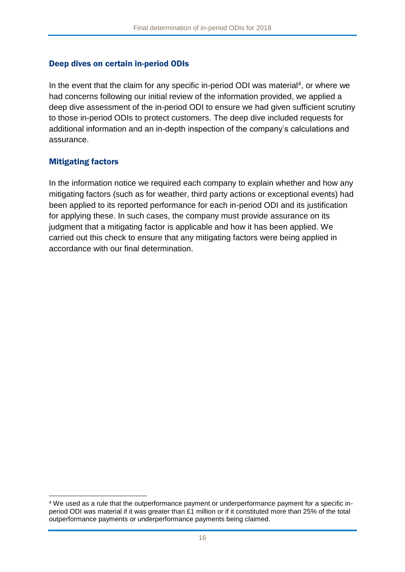#### Deep dives on certain in-period ODIs

In the event that the claim for any specific in-period ODI was material<sup>4</sup>, or where we had concerns following our initial review of the information provided, we applied a deep dive assessment of the in-period ODI to ensure we had given sufficient scrutiny to those in-period ODIs to protect customers. The deep dive included requests for additional information and an in-depth inspection of the company's calculations and assurance.

#### Mitigating factors

1

In the information notice we required each company to explain whether and how any mitigating factors (such as for weather, third party actions or exceptional events) had been applied to its reported performance for each in-period ODI and its justification for applying these. In such cases, the company must provide assurance on its judgment that a mitigating factor is applicable and how it has been applied. We carried out this check to ensure that any mitigating factors were being applied in accordance with our final determination.

<sup>4</sup> We used as a rule that the outperformance payment or underperformance payment for a specific inperiod ODI was material if it was greater than £1 million or if it constituted more than 25% of the total outperformance payments or underperformance payments being claimed.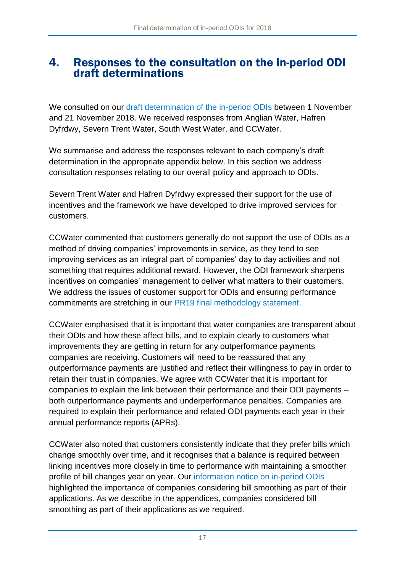## <span id="page-17-0"></span>4. Responses to the consultation on the in-period ODI draft determinations

We consulted on our [draft determination of the in-period ODIs](https://www.ofwat.gov.uk/consultation/2018-draft-determination-of-in-period-odis/) between 1 November and 21 November 2018. We received responses from Anglian Water, Hafren Dyfrdwy, Severn Trent Water, South West Water, and CCWater.

We summarise and address the responses relevant to each company's draft determination in the appropriate appendix below. In this section we address consultation responses relating to our overall policy and approach to ODIs.

Severn Trent Water and Hafren Dyfrdwy expressed their support for the use of incentives and the framework we have developed to drive improved services for customers.

CCWater commented that customers generally do not support the use of ODIs as a method of driving companies' improvements in service, as they tend to see improving services as an integral part of companies' day to day activities and not something that requires additional reward. However, the ODI framework sharpens incentives on companies' management to deliver what matters to their customers. We address the issues of customer support for ODIs and ensuring performance commitments are stretching in our [PR19 final methodology statement.](http://www.ofwat.gov.uk/publication/delivering-water-2020-final-methodology-2019-price-review/)

CCWater emphasised that it is important that water companies are transparent about their ODIs and how these affect bills, and to explain clearly to customers what improvements they are getting in return for any outperformance payments companies are receiving. Customers will need to be reassured that any outperformance payments are justified and reflect their willingness to pay in order to retain their trust in companies. We agree with CCWater that it is important for companies to explain the link between their performance and their ODI payments – both outperformance payments and underperformance penalties. Companies are required to explain their performance and related ODI payments each year in their annual performance reports (APRs).

CCWater also noted that customers consistently indicate that they prefer bills which change smoothly over time, and it recognises that a balance is required between linking incentives more closely in time to performance with maintaining a smoother profile of bill changes year on year. Our [information notice on in-period ODIs](https://www.ofwat.gov.uk/publication/18-17-process-determining-application-period-outcome-delivery-incentives-updated-2017-18/) highlighted the importance of companies considering bill smoothing as part of their applications. As we describe in the appendices, companies considered bill smoothing as part of their applications as we required.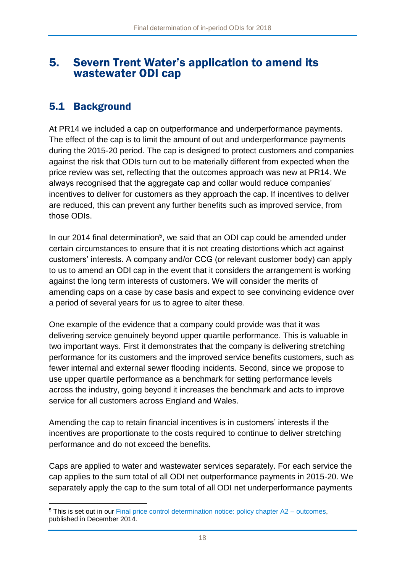## <span id="page-18-0"></span>5. Severn Trent Water's application to amend its wastewater ODI cap

## 5.1 Background

1

At PR14 we included a cap on outperformance and underperformance payments. The effect of the cap is to limit the amount of out and underperformance payments during the 2015-20 period. The cap is designed to protect customers and companies against the risk that ODIs turn out to be materially different from expected when the price review was set, reflecting that the outcomes approach was new at PR14. We always recognised that the aggregate cap and collar would reduce companies' incentives to deliver for customers as they approach the cap. If incentives to deliver are reduced, this can prevent any further benefits such as improved service, from those ODIs.

In our 2014 final determination<sup>5</sup>, we said that an ODI cap could be amended under certain circumstances to ensure that it is not creating distortions which act against customers' interests. A company and/or CCG (or relevant customer body) can apply to us to amend an ODI cap in the event that it considers the arrangement is working against the long term interests of customers. We will consider the merits of amending caps on a case by case basis and expect to see convincing evidence over a period of several years for us to agree to alter these.

One example of the evidence that a company could provide was that it was delivering service genuinely beyond upper quartile performance. This is valuable in two important ways. First it demonstrates that the company is delivering stretching performance for its customers and the improved service benefits customers, such as fewer internal and external sewer flooding incidents. Second, since we propose to use upper quartile performance as a benchmark for setting performance levels across the industry, going beyond it increases the benchmark and acts to improve service for all customers across England and Wales.

Amending the cap to retain financial incentives is in customers' interests if the incentives are proportionate to the costs required to continue to deliver stretching performance and do not exceed the benefits.

Caps are applied to water and wastewater services separately. For each service the cap applies to the sum total of all ODI net outperformance payments in 2015-20. We separately apply the cap to the sum total of all ODI net underperformance payments

<sup>5</sup> This is set out in our [Final price control determination notice: policy chapter A2 –](https://www.ofwat.gov.uk/wp-content/uploads/2015/10/det_pr20141212outcomes.pdf) outcomes, published in December 2014.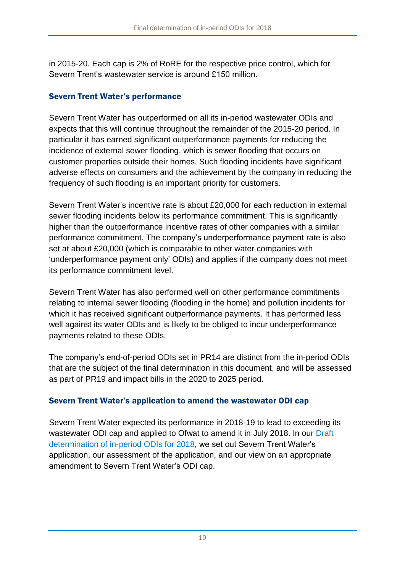in 2015-20. Each cap is 2% of RoRE for the respective price control, which for Severn Trent's wastewater service is around £150 million.

## Severn Trent Water's performance

Severn Trent Water has outperformed on all its in-period wastewater ODIs and expects that this will continue throughout the remainder of the 2015-20 period. In particular it has earned significant outperformance payments for reducing the incidence of external sewer flooding, which is sewer flooding that occurs on customer properties outside their homes. Such flooding incidents have significant adverse effects on consumers and the achievement by the company in reducing the frequency of such flooding is an important priority for customers.

Severn Trent Water's incentive rate is about £20,000 for each reduction in external sewer flooding incidents below its performance commitment. This is significantly higher than the outperformance incentive rates of other companies with a similar performance commitment. The company's underperformance payment rate is also set at about £20,000 (which is comparable to other water companies with 'underperformance payment only' ODIs) and applies if the company does not meet its performance commitment level.

Severn Trent Water has also performed well on other performance commitments relating to internal sewer flooding (flooding in the home) and pollution incidents for which it has received significant outperformance payments. It has performed less well against its water ODIs and is likely to be obliged to incur underperformance payments related to these ODIs.

The company's end-of-period ODIs set in PR14 are distinct from the in-period ODIs that are the subject of the final determination in this document, and will be assessed as part of PR19 and impact bills in the 2020 to 2025 period.

## Severn Trent Water's application to amend the wastewater ODI cap

Severn Trent Water expected its performance in 2018-19 to lead to exceeding its wastewater ODI cap and applied to Ofwat to amend it in July 2018. In our [Draft](https://www.ofwat.gov.uk/consultation/2018-draft-determination-of-in-period-odis/)  [determination of in-period ODIs for 2018,](https://www.ofwat.gov.uk/consultation/2018-draft-determination-of-in-period-odis/) we set out Severn Trent Water's application, our assessment of the application, and our view on an appropriate amendment to Severn Trent Water's ODI cap.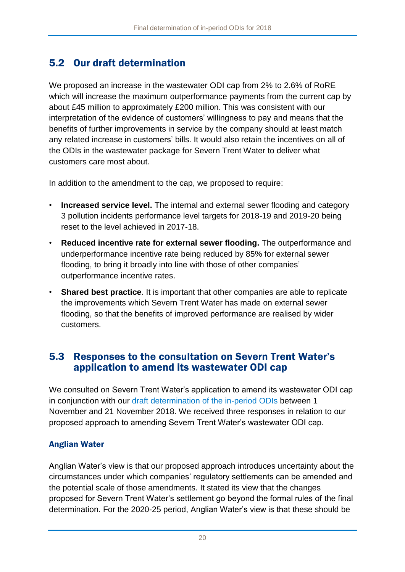# 5.2 Our draft determination

We proposed an increase in the wastewater ODI cap from 2% to 2.6% of RoRE which will increase the maximum outperformance payments from the current cap by about £45 million to approximately £200 million. This was consistent with our interpretation of the evidence of customers' willingness to pay and means that the benefits of further improvements in service by the company should at least match any related increase in customers' bills. It would also retain the incentives on all of the ODIs in the wastewater package for Severn Trent Water to deliver what customers care most about.

In addition to the amendment to the cap, we proposed to require:

- **Increased service level.** The internal and external sewer flooding and category 3 pollution incidents performance level targets for 2018-19 and 2019-20 being reset to the level achieved in 2017-18.
- **Reduced incentive rate for external sewer flooding.** The outperformance and underperformance incentive rate being reduced by 85% for external sewer flooding, to bring it broadly into line with those of other companies' outperformance incentive rates.
- **Shared best practice**. It is important that other companies are able to replicate the improvements which Severn Trent Water has made on external sewer flooding, so that the benefits of improved performance are realised by wider customers.

## 5.3 Responses to the consultation on Severn Trent Water's application to amend its wastewater ODI cap

We consulted on Severn Trent Water's application to amend its wastewater ODI cap in conjunction with our [draft determination of the in-period ODIs](https://www.ofwat.gov.uk/consultation/2018-draft-determination-of-in-period-odis/) between 1 November and 21 November 2018. We received three responses in relation to our proposed approach to amending Severn Trent Water's wastewater ODI cap.

## Anglian Water

Anglian Water's view is that our proposed approach introduces uncertainty about the circumstances under which companies' regulatory settlements can be amended and the potential scale of those amendments. It stated its view that the changes proposed for Severn Trent Water's settlement go beyond the formal rules of the final determination. For the 2020-25 period, Anglian Water's view is that these should be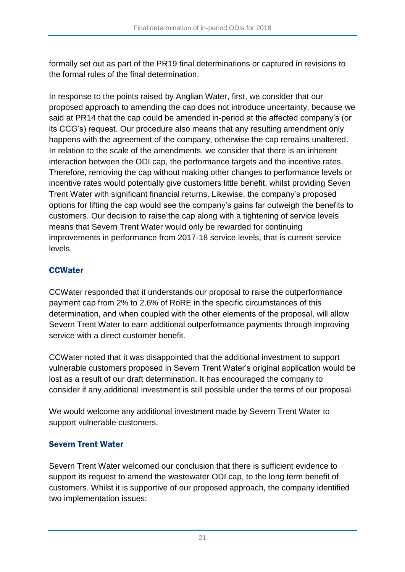formally set out as part of the PR19 final determinations or captured in revisions to the formal rules of the final determination.

In response to the points raised by Anglian Water, first, we consider that our proposed approach to amending the cap does not introduce uncertainty, because we said at PR14 that the cap could be amended in-period at the affected company's (or its CCG's) request. Our procedure also means that any resulting amendment only happens with the agreement of the company, otherwise the cap remains unaltered. In relation to the scale of the amendments, we consider that there is an inherent interaction between the ODI cap, the performance targets and the incentive rates. Therefore, removing the cap without making other changes to performance levels or incentive rates would potentially give customers little benefit, whilst providing Seven Trent Water with significant financial returns. Likewise, the company's proposed options for lifting the cap would see the company's gains far outweigh the benefits to customers. Our decision to raise the cap along with a tightening of service levels means that Severn Trent Water would only be rewarded for continuing improvements in performance from 2017-18 service levels, that is current service levels.

## **CCWater**

CCWater responded that it understands our proposal to raise the outperformance payment cap from 2% to 2.6% of RoRE in the specific circumstances of this determination, and when coupled with the other elements of the proposal, will allow Severn Trent Water to earn additional outperformance payments through improving service with a direct customer benefit.

CCWater noted that it was disappointed that the additional investment to support vulnerable customers proposed in Severn Trent Water's original application would be lost as a result of our draft determination. It has encouraged the company to consider if any additional investment is still possible under the terms of our proposal.

We would welcome any additional investment made by Severn Trent Water to support vulnerable customers.

## Severn Trent Water

Severn Trent Water welcomed our conclusion that there is sufficient evidence to support its request to amend the wastewater ODI cap, to the long term benefit of customers. Whilst it is supportive of our proposed approach, the company identified two implementation issues: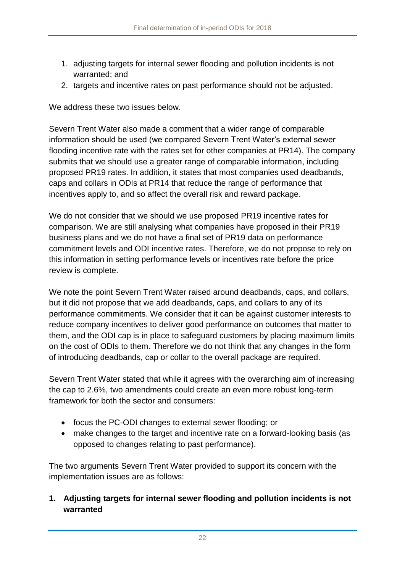- 1. adjusting targets for internal sewer flooding and pollution incidents is not warranted; and
- 2. targets and incentive rates on past performance should not be adjusted.

We address these two issues below.

Severn Trent Water also made a comment that a wider range of comparable information should be used (we compared Severn Trent Water's external sewer flooding incentive rate with the rates set for other companies at PR14). The company submits that we should use a greater range of comparable information, including proposed PR19 rates. In addition, it states that most companies used deadbands, caps and collars in ODIs at PR14 that reduce the range of performance that incentives apply to, and so affect the overall risk and reward package.

We do not consider that we should we use proposed PR19 incentive rates for comparison. We are still analysing what companies have proposed in their PR19 business plans and we do not have a final set of PR19 data on performance commitment levels and ODI incentive rates. Therefore, we do not propose to rely on this information in setting performance levels or incentives rate before the price review is complete.

We note the point Severn Trent Water raised around deadbands, caps, and collars, but it did not propose that we add deadbands, caps, and collars to any of its performance commitments. We consider that it can be against customer interests to reduce company incentives to deliver good performance on outcomes that matter to them, and the ODI cap is in place to safeguard customers by placing maximum limits on the cost of ODIs to them. Therefore we do not think that any changes in the form of introducing deadbands, cap or collar to the overall package are required.

Severn Trent Water stated that while it agrees with the overarching aim of increasing the cap to 2.6%, two amendments could create an even more robust long-term framework for both the sector and consumers:

- focus the PC-ODI changes to external sewer flooding; or
- make changes to the target and incentive rate on a forward-looking basis (as opposed to changes relating to past performance).

The two arguments Severn Trent Water provided to support its concern with the implementation issues are as follows:

**1. Adjusting targets for internal sewer flooding and pollution incidents is not warranted**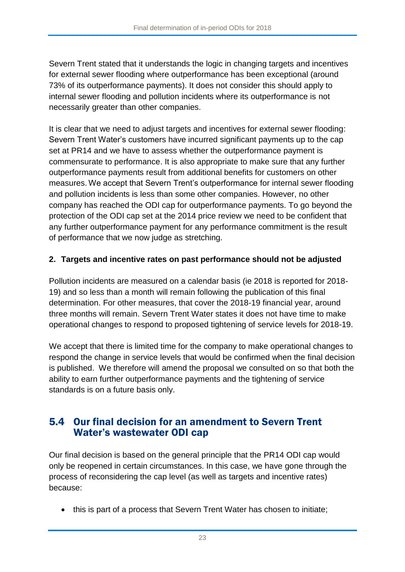Severn Trent stated that it understands the logic in changing targets and incentives for external sewer flooding where outperformance has been exceptional (around 73% of its outperformance payments). It does not consider this should apply to internal sewer flooding and pollution incidents where its outperformance is not necessarily greater than other companies.

It is clear that we need to adjust targets and incentives for external sewer flooding: Severn Trent Water's customers have incurred significant payments up to the cap set at PR14 and we have to assess whether the outperformance payment is commensurate to performance. It is also appropriate to make sure that any further outperformance payments result from additional benefits for customers on other measures. We accept that Severn Trent's outperformance for internal sewer flooding and pollution incidents is less than some other companies. However, no other company has reached the ODI cap for outperformance payments. To go beyond the protection of the ODI cap set at the 2014 price review we need to be confident that any further outperformance payment for any performance commitment is the result of performance that we now judge as stretching.

## **2. Targets and incentive rates on past performance should not be adjusted**

Pollution incidents are measured on a calendar basis (ie 2018 is reported for 2018- 19) and so less than a month will remain following the publication of this final determination. For other measures, that cover the 2018-19 financial year, around three months will remain. Severn Trent Water states it does not have time to make operational changes to respond to proposed tightening of service levels for 2018-19.

We accept that there is limited time for the company to make operational changes to respond the change in service levels that would be confirmed when the final decision is published. We therefore will amend the proposal we consulted on so that both the ability to earn further outperformance payments and the tightening of service standards is on a future basis only.

## 5.4 Our final decision for an amendment to Severn Trent Water's wastewater ODI cap

Our final decision is based on the general principle that the PR14 ODI cap would only be reopened in certain circumstances. In this case, we have gone through the process of reconsidering the cap level (as well as targets and incentive rates) because:

• this is part of a process that Severn Trent Water has chosen to initiate;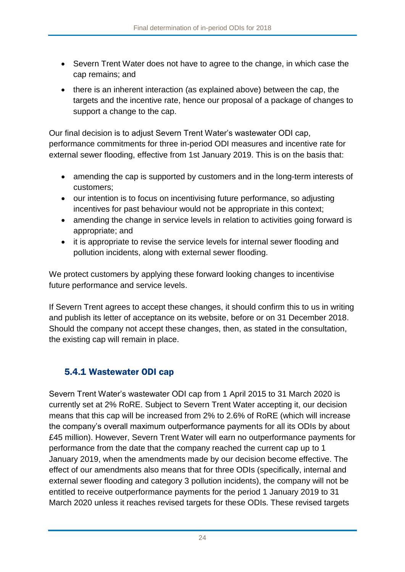- Severn Trent Water does not have to agree to the change, in which case the cap remains; and
- there is an inherent interaction (as explained above) between the cap, the targets and the incentive rate, hence our proposal of a package of changes to support a change to the cap.

Our final decision is to adjust Severn Trent Water's wastewater ODI cap, performance commitments for three in-period ODI measures and incentive rate for external sewer flooding, effective from 1st January 2019. This is on the basis that:

- amending the cap is supported by customers and in the long-term interests of customers;
- our intention is to focus on incentivising future performance, so adjusting incentives for past behaviour would not be appropriate in this context;
- amending the change in service levels in relation to activities going forward is appropriate; and
- it is appropriate to revise the service levels for internal sewer flooding and pollution incidents, along with external sewer flooding.

We protect customers by applying these forward looking changes to incentivise future performance and service levels.

If Severn Trent agrees to accept these changes, it should confirm this to us in writing and publish its letter of acceptance on its website, before or on 31 December 2018. Should the company not accept these changes, then, as stated in the consultation, the existing cap will remain in place.

## 5.4.1 Wastewater ODI cap

Severn Trent Water's wastewater ODI cap from 1 April 2015 to 31 March 2020 is currently set at 2% RoRE. Subject to Severn Trent Water accepting it, our decision means that this cap will be increased from 2% to 2.6% of RoRE (which will increase the company's overall maximum outperformance payments for all its ODIs by about £45 million). However, Severn Trent Water will earn no outperformance payments for performance from the date that the company reached the current cap up to 1 January 2019, when the amendments made by our decision become effective. The effect of our amendments also means that for three ODIs (specifically, internal and external sewer flooding and category 3 pollution incidents), the company will not be entitled to receive outperformance payments for the period 1 January 2019 to 31 March 2020 unless it reaches revised targets for these ODIs. These revised targets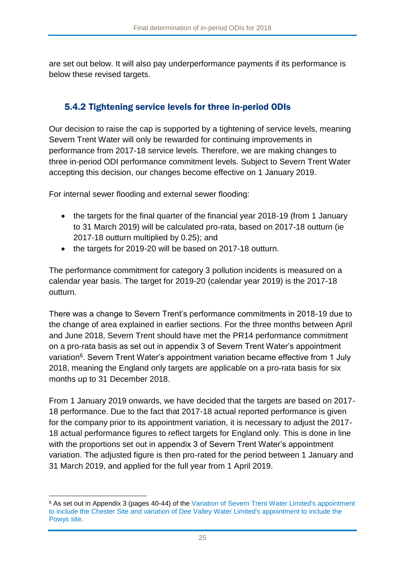are set out below. It will also pay underperformance payments if its performance is below these revised targets.

## 5.4.2 Tightening service levels for three in-period ODIs

Our decision to raise the cap is supported by a tightening of service levels, meaning Severn Trent Water will only be rewarded for continuing improvements in performance from 2017-18 service levels. Therefore, we are making changes to three in-period ODI performance commitment levels. Subject to Severn Trent Water accepting this decision, our changes become effective on 1 January 2019.

For internal sewer flooding and external sewer flooding:

- the targets for the final quarter of the financial year 2018-19 (from 1 January to 31 March 2019) will be calculated pro-rata, based on 2017-18 outturn (ie 2017-18 outturn multiplied by 0.25); and
- the targets for 2019-20 will be based on 2017-18 outturn.

The performance commitment for category 3 pollution incidents is measured on a calendar year basis. The target for 2019-20 (calendar year 2019) is the 2017-18 outturn.

There was a change to Severn Trent's performance commitments in 2018-19 due to the change of area explained in earlier sections. For the three months between April and June 2018, Severn Trent should have met the PR14 performance commitment on a pro-rata basis as set out in appendix 3 of Severn Trent Water's appointment variation<sup>6</sup>. Severn Trent Water's appointment variation became effective from 1 July 2018, meaning the England only targets are applicable on a pro-rata basis for six months up to 31 December 2018.

From 1 January 2019 onwards, we have decided that the targets are based on 2017- 18 performance. Due to the fact that 2017-18 actual reported performance is given for the company prior to its appointment variation, it is necessary to adjust the 2017- 18 actual performance figures to reflect targets for England only. This is done in line with the proportions set out in appendix 3 of Severn Trent Water's appointment variation. The adjusted figure is then pro-rated for the period between 1 January and 31 March 2019, and applied for the full year from 1 April 2019.

<sup>1</sup> <sup>6</sup> As set out in Appendix 3 (pages 40-44) of the [Variation of Severn Trent Water Limited's appointment](https://www.ofwat.gov.uk/publication/variation-severn-trent-water-limiteds-appointment-include-powys-site-variation-dee-valley-water-limiteds-appointment-include-chester-site/)  [to include the Chester Site and variation of Dee Valley Water Limited's appointment to include the](https://www.ofwat.gov.uk/publication/variation-severn-trent-water-limiteds-appointment-include-powys-site-variation-dee-valley-water-limiteds-appointment-include-chester-site/) [Powys site.](https://www.ofwat.gov.uk/publication/variation-severn-trent-water-limiteds-appointment-include-powys-site-variation-dee-valley-water-limiteds-appointment-include-chester-site/)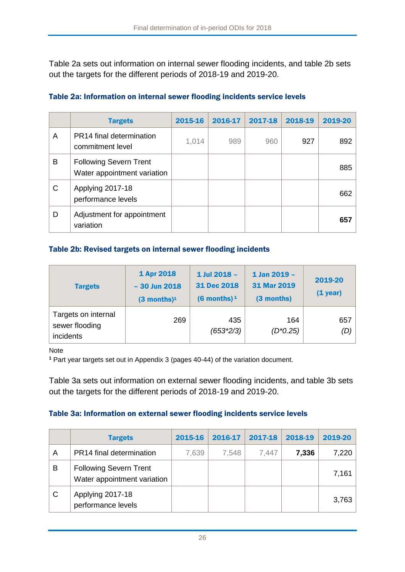Table 2a sets out information on internal sewer flooding incidents, and table 2b sets out the targets for the different periods of 2018-19 and 2019-20.

|   | <b>Targets</b>                                               | 2015-16 | 2016-17 | 2017-18 | 2018-19 | 2019-20 |
|---|--------------------------------------------------------------|---------|---------|---------|---------|---------|
| A | PR14 final determination<br>commitment level                 | 1,014   | 989     | 960     | 927     | 892     |
| B | <b>Following Severn Trent</b><br>Water appointment variation |         |         |         |         | 885     |
| C | Applying 2017-18<br>performance levels                       |         |         |         |         | 662     |
| D | Adjustment for appointment<br>variation                      |         |         |         |         | 657     |

#### Table 2a: Information on internal sewer flooding incidents service levels

#### Table 2b: Revised targets on internal sewer flooding incidents

| <b>Targets</b>                                     | 1 Apr 2018<br>$-30$ Jun 2018<br>$(3$ months) <sup>1</sup> | 1 Jul 2018 -<br>31 Dec 2018<br>$(6$ months) <sup>1</sup> | 1 Jan 2019 -<br>31 Mar 2019<br>(3 months) | 2019-20<br>$(1$ year) |
|----------------------------------------------------|-----------------------------------------------------------|----------------------------------------------------------|-------------------------------------------|-----------------------|
| Targets on internal<br>sewer flooding<br>incidents | 269                                                       | 435<br>$(653*2/3)$                                       | 164<br>$(D*0.25)$                         | 657<br>(D)            |

Note

**<sup>1</sup>** Part year targets set out in Appendix 3 (pages 40-44) of the variation document.

Table 3a sets out information on external sewer flooding incidents, and table 3b sets out the targets for the different periods of 2018-19 and 2019-20.

#### Table 3a: Information on external sewer flooding incidents service levels

|   | <b>Targets</b>                                               | 2015-16 | 2016-17 | 2017-18 | 2018-19 | 2019-20 |
|---|--------------------------------------------------------------|---------|---------|---------|---------|---------|
| A | PR14 final determination                                     | 7,639   | 7,548   | 7,447   | 7,336   | 7,220   |
| в | <b>Following Severn Trent</b><br>Water appointment variation |         |         |         |         | 7,161   |
| C | Applying 2017-18<br>performance levels                       |         |         |         |         | 3,763   |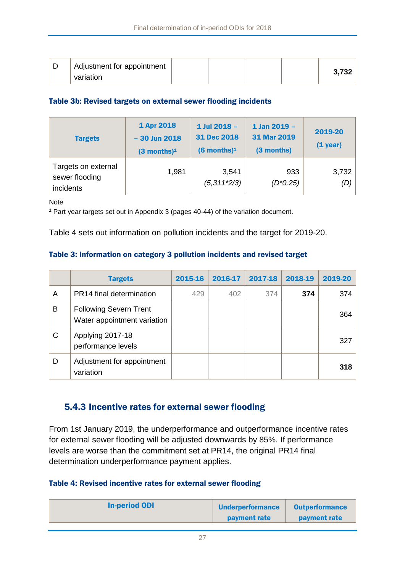| ┕ | Adjustment for appointment |  |  | 3,732 |
|---|----------------------------|--|--|-------|
|   | variation                  |  |  |       |

#### Table 3b: Revised targets on external sewer flooding incidents

| <b>Targets</b>                                     | 1 Apr 2018<br>$-30$ Jun 2018<br>$(3$ months) <sup>1</sup> | 1 Jul 2018 -<br>31 Dec 2018<br>$(6$ months) <sup>1</sup> | 1 Jan 2019 -<br>31 Mar 2019<br>(3 months) | 2019-20<br>$(1$ year) |
|----------------------------------------------------|-----------------------------------------------------------|----------------------------------------------------------|-------------------------------------------|-----------------------|
| Targets on external<br>sewer flooding<br>incidents | 1,981                                                     | 3,541<br>$(5,311*2/3)$                                   | 933<br>$(D*0.25)$                         | 3,732<br>(D)          |

Note

**<sup>1</sup>** Part year targets set out in Appendix 3 (pages 40-44) of the variation document.

Table 4 sets out information on pollution incidents and the target for 2019-20.

#### Table 3: Information on category 3 pollution incidents and revised target

|   | <b>Targets</b>                                               | 2015-16 | 2016-17 | 2017-18 | 2018-19 | 2019-20 |
|---|--------------------------------------------------------------|---------|---------|---------|---------|---------|
| A | PR14 final determination                                     | 429     | 402     | 374     | 374     | 374     |
| B | <b>Following Severn Trent</b><br>Water appointment variation |         |         |         |         | 364     |
| C | Applying 2017-18<br>performance levels                       |         |         |         |         | 327     |
| D | Adjustment for appointment<br>variation                      |         |         |         |         | 318     |

## 5.4.3 Incentive rates for external sewer flooding

From 1st January 2019, the underperformance and outperformance incentive rates for external sewer flooding will be adjusted downwards by 85%. If performance levels are worse than the commitment set at PR14, the original PR14 final determination underperformance payment applies.

#### Table 4: Revised incentive rates for external sewer flooding

| <b>In-period ODI</b><br><b>Underperformance</b><br><b>Outperformance</b><br><b>payment rate</b><br><b>payment rate</b> |
|------------------------------------------------------------------------------------------------------------------------|
|------------------------------------------------------------------------------------------------------------------------|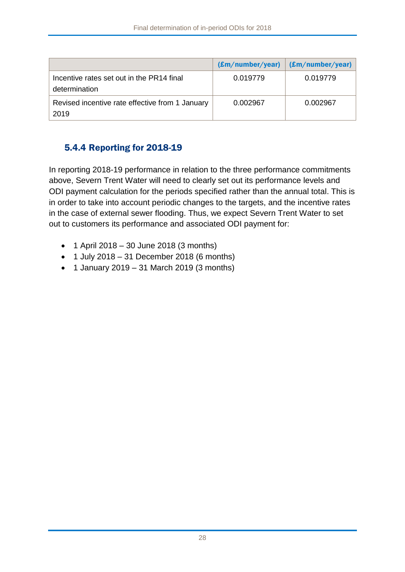|                                                            | (Em/number/year) | (Em/number/year) |
|------------------------------------------------------------|------------------|------------------|
| Incentive rates set out in the PR14 final<br>determination | 0.019779         | 0.019779         |
| Revised incentive rate effective from 1 January<br>2019    | 0.002967         | 0.002967         |

## 5.4.4 Reporting for 2018-19

In reporting 2018-19 performance in relation to the three performance commitments above, Severn Trent Water will need to clearly set out its performance levels and ODI payment calculation for the periods specified rather than the annual total. This is in order to take into account periodic changes to the targets, and the incentive rates in the case of external sewer flooding. Thus, we expect Severn Trent Water to set out to customers its performance and associated ODI payment for:

- 1 April 2018 30 June 2018 (3 months)
- $\bullet$  1 July 2018 31 December 2018 (6 months)
- $\bullet$  1 January 2019 31 March 2019 (3 months)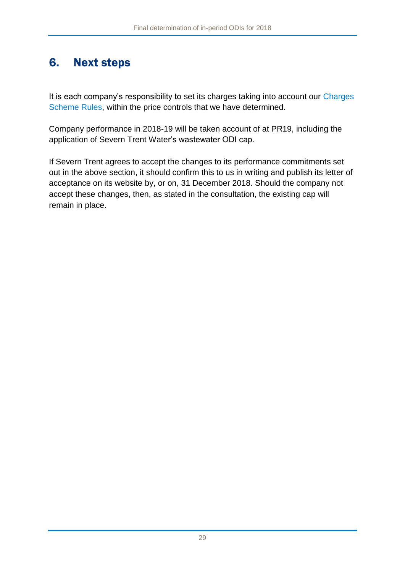# <span id="page-29-0"></span>6. Next steps

It is each company's responsibility to set its charges taking into account our Charges [Scheme Rules,](https://www.ofwat.gov.uk/publication/charges-scheme-rules/) within the price controls that we have determined.

Company performance in 2018-19 will be taken account of at PR19, including the application of Severn Trent Water's wastewater ODI cap.

If Severn Trent agrees to accept the changes to its performance commitments set out in the above section, it should confirm this to us in writing and publish its letter of acceptance on its website by, or on, 31 December 2018. Should the company not accept these changes, then, as stated in the consultation, the existing cap will remain in place.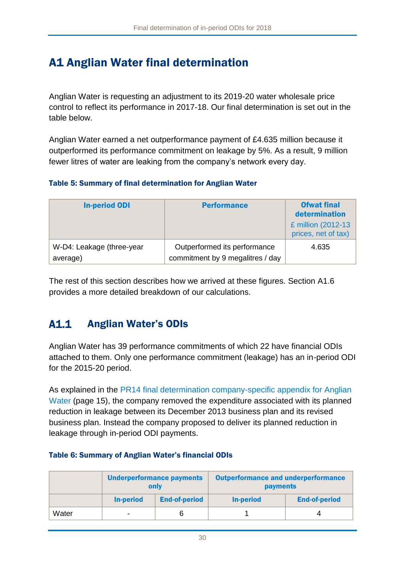# <span id="page-30-0"></span>A1 Anglian Water final determination

Anglian Water is requesting an adjustment to its 2019-20 water wholesale price control to reflect its performance in 2017-18. Our final determination is set out in the table below.

Anglian Water earned a net outperformance payment of £4.635 million because it outperformed its performance commitment on leakage by 5%. As a result, 9 million fewer litres of water are leaking from the company's network every day.

#### Table 5: Summary of final determination for Anglian Water

| <b>In-period ODI</b>      | <b>Performance</b>               | <b>Ofwat final</b><br>determination       |
|---------------------------|----------------------------------|-------------------------------------------|
|                           |                                  | £ million (2012-13<br>prices, net of tax) |
| W-D4: Leakage (three-year | Outperformed its performance     | 4.635                                     |
| average)                  | commitment by 9 megalitres / day |                                           |

The rest of this section describes how we arrived at these figures. Section [A1.6](#page-38-0) provides a more detailed breakdown of our calculations.

#### $A1.1$ Anglian Water's ODIs

Anglian Water has 39 performance commitments of which 22 have financial ODIs attached to them. Only one performance commitment (leakage) has an in-period ODI for the 2015-20 period.

As explained in the PR14 final determination company-specific appendix for Anglian [Water](https://www.ofwat.gov.uk/wp-content/uploads/2015/10/det_pr20141212anh.pdf) (page 15), the company removed the expenditure associated with its planned reduction in leakage between its December 2013 business plan and its revised business plan. Instead the company proposed to deliver its planned reduction in leakage through in-period ODI payments.

#### Table 6: Summary of Anglian Water's financial ODIs

|       | <b>Underperformance payments</b><br>only |                      | <b>Outperformance and underperformance</b><br><b>payments</b> |                      |  |
|-------|------------------------------------------|----------------------|---------------------------------------------------------------|----------------------|--|
|       | <b>In-period</b>                         | <b>End-of-period</b> | <b>In-period</b>                                              | <b>End-of-period</b> |  |
| Water | -                                        |                      |                                                               |                      |  |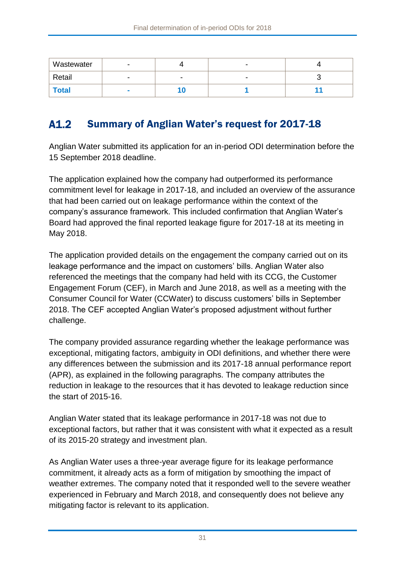| Wastewater   |        |   |   |  |
|--------------|--------|---|---|--|
| Retail       |        | - | - |  |
| <b>Total</b> | $\sim$ |   |   |  |

#### $A1.2$ Summary of Anglian Water's request for 2017-18

Anglian Water submitted its application for an in-period ODI determination before the 15 September 2018 deadline.

The application explained how the company had outperformed its performance commitment level for leakage in 2017-18, and included an overview of the assurance that had been carried out on leakage performance within the context of the company's assurance framework. This included confirmation that Anglian Water's Board had approved the final reported leakage figure for 2017-18 at its meeting in May 2018.

The application provided details on the engagement the company carried out on its leakage performance and the impact on customers' bills. Anglian Water also referenced the meetings that the company had held with its CCG, the Customer Engagement Forum (CEF), in March and June 2018, as well as a meeting with the Consumer Council for Water (CCWater) to discuss customers' bills in September 2018. The CEF accepted Anglian Water's proposed adjustment without further challenge.

The company provided assurance regarding whether the leakage performance was exceptional, mitigating factors, ambiguity in ODI definitions, and whether there were any differences between the submission and its 2017-18 annual performance report (APR), as explained in the following paragraphs. The company attributes the reduction in leakage to the resources that it has devoted to leakage reduction since the start of 2015-16.

Anglian Water stated that its leakage performance in 2017-18 was not due to exceptional factors, but rather that it was consistent with what it expected as a result of its 2015-20 strategy and investment plan.

As Anglian Water uses a three-year average figure for its leakage performance commitment, it already acts as a form of mitigation by smoothing the impact of weather extremes. The company noted that it responded well to the severe weather experienced in February and March 2018, and consequently does not believe any mitigating factor is relevant to its application.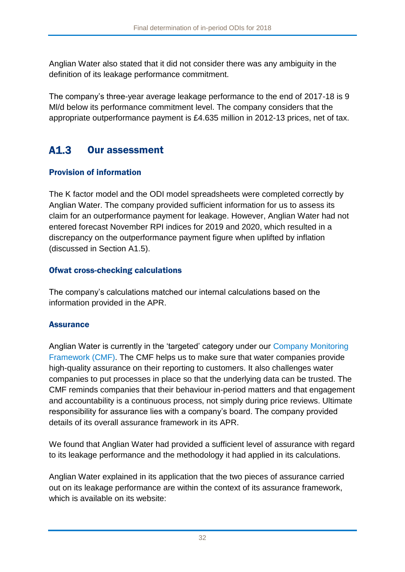Anglian Water also stated that it did not consider there was any ambiguity in the definition of its leakage performance commitment.

The company's three-year average leakage performance to the end of 2017-18 is 9 Ml/d below its performance commitment level. The company considers that the appropriate outperformance payment is £4.635 million in 2012-13 prices, net of tax.

#### $A1.3$ Our assessment

## Provision of information

The K factor model and the ODI model spreadsheets were completed correctly by Anglian Water. The company provided sufficient information for us to assess its claim for an outperformance payment for leakage. However, Anglian Water had not entered forecast November RPI indices for 2019 and 2020, which resulted in a discrepancy on the outperformance payment figure when uplifted by inflation (discussed in Section [A1.5\)](#page-36-0).

## Ofwat cross-checking calculations

The company's calculations matched our internal calculations based on the information provided in the APR.

## **Assurance**

Anglian Water is currently in the 'targeted' category under our [Company Monitoring](https://www.ofwat.gov.uk/publication/company-monitoring-framework-2018-final-position-paper/)  [Framework](https://www.ofwat.gov.uk/publication/company-monitoring-framework-2018-final-position-paper/) (CMF). The CMF helps us to make sure that water companies provide high-quality assurance on their reporting to customers. It also challenges water companies to put processes in place so that the underlying data can be trusted. The CMF reminds companies that their behaviour in-period matters and that engagement and accountability is a continuous process, not simply during price reviews. Ultimate responsibility for assurance lies with a company's board. The company provided details of its overall assurance framework in its APR.

We found that Anglian Water had provided a sufficient level of assurance with regard to its leakage performance and the methodology it had applied in its calculations.

Anglian Water explained in its application that the two pieces of assurance carried out on its leakage performance are within the context of its assurance framework, which is available on its website: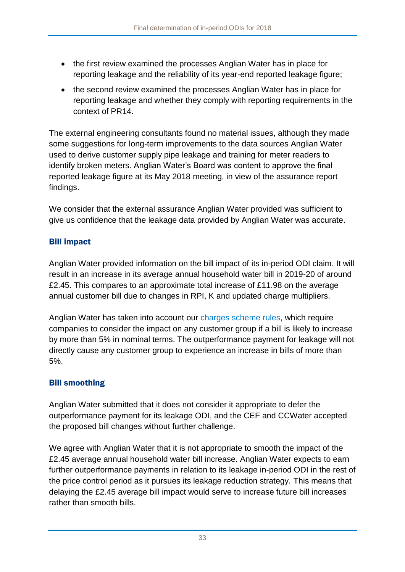- the first review examined the processes Anglian Water has in place for reporting leakage and the reliability of its year-end reported leakage figure;
- the second review examined the processes Anglian Water has in place for reporting leakage and whether they comply with reporting requirements in the context of PR14.

The external engineering consultants found no material issues, although they made some suggestions for long-term improvements to the data sources Anglian Water used to derive customer supply pipe leakage and training for meter readers to identify broken meters. Anglian Water's Board was content to approve the final reported leakage figure at its May 2018 meeting, in view of the assurance report findings.

We consider that the external assurance Anglian Water provided was sufficient to give us confidence that the leakage data provided by Anglian Water was accurate.

## Bill impact

Anglian Water provided information on the bill impact of its in-period ODI claim. It will result in an increase in its average annual household water bill in 2019-20 of around £2.45. This compares to an approximate total increase of £11.98 on the average annual customer bill due to changes in RPI, K and updated charge multipliers.

Anglian Water has taken into account our [charges scheme rules,](https://www.ofwat.gov.uk/publication/charges-scheme-rules/) which require companies to consider the impact on any customer group if a bill is likely to increase by more than 5% in nominal terms. The outperformance payment for leakage will not directly cause any customer group to experience an increase in bills of more than 5%.

## Bill smoothing

Anglian Water submitted that it does not consider it appropriate to defer the outperformance payment for its leakage ODI, and the CEF and CCWater accepted the proposed bill changes without further challenge.

We agree with Anglian Water that it is not appropriate to smooth the impact of the £2.45 average annual household water bill increase. Anglian Water expects to earn further outperformance payments in relation to its leakage in-period ODI in the rest of the price control period as it pursues its leakage reduction strategy. This means that delaying the £2.45 average bill impact would serve to increase future bill increases rather than smooth bills.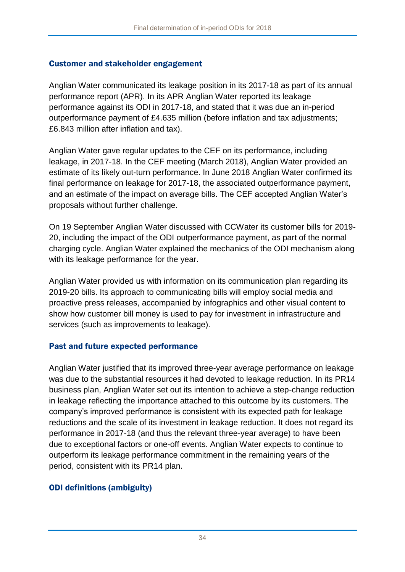### Customer and stakeholder engagement

Anglian Water communicated its leakage position in its 2017-18 as part of its annual performance report (APR). In its APR Anglian Water reported its leakage performance against its ODI in 2017-18, and stated that it was due an in-period outperformance payment of £4.635 million (before inflation and tax adjustments; £6.843 million after inflation and tax).

Anglian Water gave regular updates to the CEF on its performance, including leakage, in 2017-18. In the CEF meeting (March 2018), Anglian Water provided an estimate of its likely out-turn performance. In June 2018 Anglian Water confirmed its final performance on leakage for 2017-18, the associated outperformance payment, and an estimate of the impact on average bills. The CEF accepted Anglian Water's proposals without further challenge.

On 19 September Anglian Water discussed with CCWater its customer bills for 2019- 20, including the impact of the ODI outperformance payment, as part of the normal charging cycle. Anglian Water explained the mechanics of the ODI mechanism along with its leakage performance for the year.

Anglian Water provided us with information on its communication plan regarding its 2019-20 bills. Its approach to communicating bills will employ social media and proactive press releases, accompanied by infographics and other visual content to show how customer bill money is used to pay for investment in infrastructure and services (such as improvements to leakage).

## Past and future expected performance

Anglian Water justified that its improved three-year average performance on leakage was due to the substantial resources it had devoted to leakage reduction. In its PR14 business plan, Anglian Water set out its intention to achieve a step-change reduction in leakage reflecting the importance attached to this outcome by its customers. The company's improved performance is consistent with its expected path for leakage reductions and the scale of its investment in leakage reduction. It does not regard its performance in 2017-18 (and thus the relevant three-year average) to have been due to exceptional factors or one-off events. Anglian Water expects to continue to outperform its leakage performance commitment in the remaining years of the period, consistent with its PR14 plan.

## ODI definitions (ambiguity)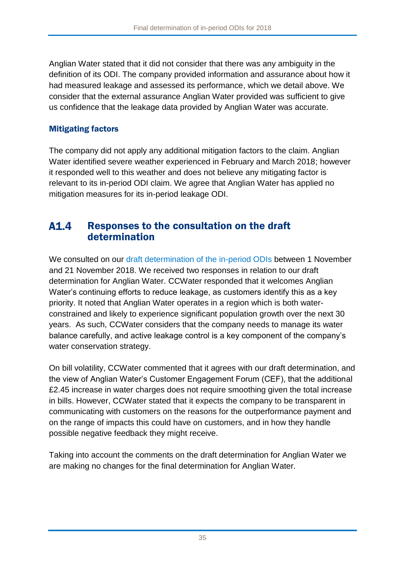Anglian Water stated that it did not consider that there was any ambiguity in the definition of its ODI. The company provided information and assurance about how it had measured leakage and assessed its performance, which we detail above. We consider that the external assurance Anglian Water provided was sufficient to give us confidence that the leakage data provided by Anglian Water was accurate.

## Mitigating factors

The company did not apply any additional mitigation factors to the claim. Anglian Water identified severe weather experienced in February and March 2018; however it responded well to this weather and does not believe any mitigating factor is relevant to its in-period ODI claim. We agree that Anglian Water has applied no mitigation measures for its in-period leakage ODI.

#### $A1.4$ Responses to the consultation on the draft determination

We consulted on our [draft determination of the in-period ODIs](https://www.ofwat.gov.uk/consultation/2018-draft-determination-of-in-period-odis/) between 1 November and 21 November 2018. We received two responses in relation to our draft determination for Anglian Water. CCWater responded that it welcomes Anglian Water's continuing efforts to reduce leakage, as customers identify this as a key priority. It noted that Anglian Water operates in a region which is both waterconstrained and likely to experience significant population growth over the next 30 years. As such, CCWater considers that the company needs to manage its water balance carefully, and active leakage control is a key component of the company's water conservation strategy.

On bill volatility, CCWater commented that it agrees with our draft determination, and the view of Anglian Water's Customer Engagement Forum (CEF), that the additional £2.45 increase in water charges does not require smoothing given the total increase in bills. However, CCWater stated that it expects the company to be transparent in communicating with customers on the reasons for the outperformance payment and on the range of impacts this could have on customers, and in how they handle possible negative feedback they might receive.

Taking into account the comments on the draft determination for Anglian Water we are making no changes for the final determination for Anglian Water.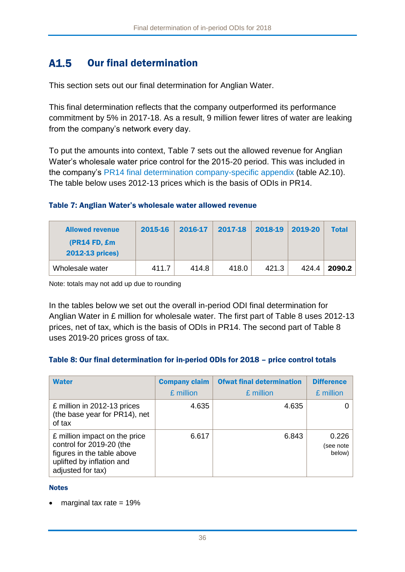#### $A1.5$ Our final determination

This section sets out our final determination for Anglian Water.

This final determination reflects that the company outperformed its performance commitment by 5% in 2017-18. As a result, 9 million fewer litres of water are leaking from the company's network every day.

To put the amounts into context, [Table 7](#page-36-0) sets out the allowed revenue for Anglian Water's wholesale water price control for the 2015-20 period. This was included in the company's [PR14 final determination company-specific appendix](https://www.ofwat.gov.uk/wp-content/uploads/2015/10/det_pr20141212anh.pdf) (table A2.10). The table below uses 2012-13 prices which is the basis of ODIs in PR14.

### <span id="page-36-0"></span>Table 7: Anglian Water's wholesale water allowed revenue

| <b>Allowed revenue</b>                 | 2015-16 | 2016-17 | 2017-18 | 2018-19 | 2019-20 | <b>Total</b> |
|----------------------------------------|---------|---------|---------|---------|---------|--------------|
| (PR14 FD, £m<br><b>2012-13 prices)</b> |         |         |         |         |         |              |
| Wholesale water                        | 411.7   | 414.8   | 418.0   | 421.3   | 424.4   | 2090.2       |

Note: totals may not add up due to rounding

In the tables below we set out the overall in-period ODI final determination for Anglian Water in £ million for wholesale water. The first part of [Table 8](#page-36-1) uses 2012-13 prices, net of tax, which is the basis of ODIs in PR14. The second part of [Table 8](#page-36-1) uses 2019-20 prices gross of tax.

### <span id="page-36-1"></span>Table 8: Our final determination for in-period ODIs for 2018 – price control totals

| <b>Water</b>                                                                                                                              | <b>Company claim</b> | <b>Ofwat final determination</b> | <b>Difference</b>            |
|-------------------------------------------------------------------------------------------------------------------------------------------|----------------------|----------------------------------|------------------------------|
|                                                                                                                                           | £ million            | £ million                        | £ million                    |
| £ million in 2012-13 prices<br>(the base year for PR14), net<br>of tax                                                                    | 4.635                | 4.635                            |                              |
| £ million impact on the price<br>control for 2019-20 (the<br>figures in the table above<br>uplifted by inflation and<br>adjusted for tax) | 6.617                | 6.843                            | 0.226<br>(see note<br>below) |

### **Notes**

• marginal tax rate  $= 19\%$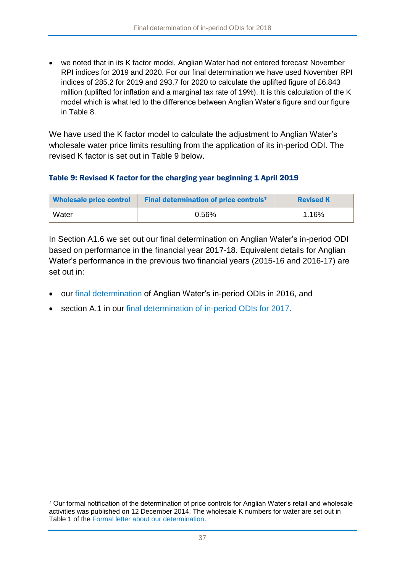we noted that in its K factor model, Anglian Water had not entered forecast November RPI indices for 2019 and 2020. For our final determination we have used November RPI indices of 285.2 for 2019 and 293.7 for 2020 to calculate the uplifted figure of £6.843 million (uplifted for inflation and a marginal tax rate of 19%). It is this calculation of the K model which is what led to the difference between Anglian Water's figure and our figure in [Table 8.](#page-36-1)

We have used the K factor model to calculate the adjustment to Anglian Water's wholesale water price limits resulting from the application of its in-period ODI. The revised K factor is set out in [Table 9](#page-37-0) below.

### <span id="page-37-0"></span>Table 9: Revised K factor for the charging year beginning 1 April 2019

| <b>Wholesale price control</b> | <b>Final determination of price controls</b> <sup>7</sup> | <b>Revised K</b> |
|--------------------------------|-----------------------------------------------------------|------------------|
| Water                          | 0.56%                                                     | 1.16%            |

In Section [A1.6](#page-38-0) we set out our final determination on Anglian Water's in-period ODI based on performance in the financial year 2017-18. Equivalent details for Anglian Water's performance in the previous two financial years (2015-16 and 2016-17) are set out in:

- our [final determination](https://www.ofwat.gov.uk/wp-content/uploads/2016/12/Final-determination-of-Anglian-Water%E2%80%99s-in-period-outcome-delivery-incentives-for-2015-16.pdf) of Anglian Water's in-period ODIs in 2016, and
- section A.1 in our [final determination of in-period ODIs for 2017.](https://www.ofwat.gov.uk/publication/final-determination-period-odis-2017/)

1

<sup>7</sup> Our formal notification of the determination of price controls for Anglian Water's retail and wholesale activities was published on 12 December 2014. The wholesale K numbers for water are set out in Table 1 of the [Formal letter about our determination.](http://www.ofwat.gov.uk/wp-content/uploads/2015/10/det_pr20141212letanh.pdf)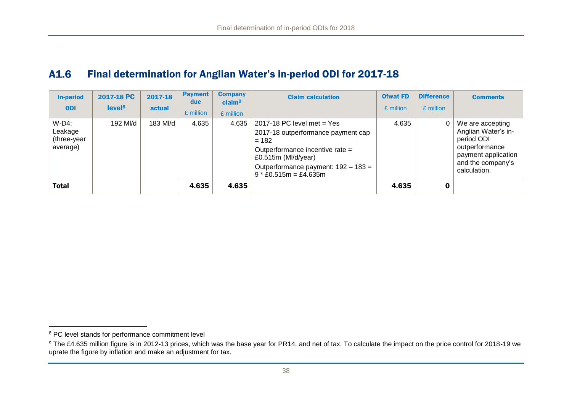#### A1.6 Final determination for Anglian Water's in-period ODI for 2017-18

| <b>In-period</b><br><b>ODI</b>                 | 2017-18 PC<br>level <sup>8</sup> | 2017-18<br>actual | <b>Payment</b><br>due<br>£ million | <b>Company</b><br>claim <sup>9</sup><br>£ million | <b>Claim calculation</b>                                                                                                                                                                                     | <b>Ofwat FD</b><br>£ million | <b>Difference</b><br>£ million | <b>Comments</b>                                                                                                                     |
|------------------------------------------------|----------------------------------|-------------------|------------------------------------|---------------------------------------------------|--------------------------------------------------------------------------------------------------------------------------------------------------------------------------------------------------------------|------------------------------|--------------------------------|-------------------------------------------------------------------------------------------------------------------------------------|
| $W-D4$ :<br>Leakage<br>(three-year<br>average) | 192 MI/d                         | 183 MI/d          | 4.635                              | 4.635                                             | 2017-18 PC level met $=$ Yes<br>2017-18 outperformance payment cap<br>$= 182$<br>Outperformance incentive rate =<br>£0.515 $m$ (MI/d/year)<br>Outperformance payment: 192 - 183 =<br>$9 * £0.515m = £4.635m$ | 4.635                        | 0                              | We are accepting<br>Anglian Water's in-<br>period ODI<br>outperformance<br>payment application<br>and the company's<br>calculation. |
| <b>Total</b>                                   |                                  |                   | 4.635                              | 4.635                                             |                                                                                                                                                                                                              | 4.635                        |                                |                                                                                                                                     |

<span id="page-38-0"></span> $\overline{a}$ 

<sup>&</sup>lt;sup>8</sup> PC level stands for performance commitment level

<sup>&</sup>lt;sup>9</sup> The £4.635 million figure is in 2012-13 prices, which was the base year for PR14, and net of tax. To calculate the impact on the price control for 2018-19 we uprate the figure by inflation and make an adjustment for tax.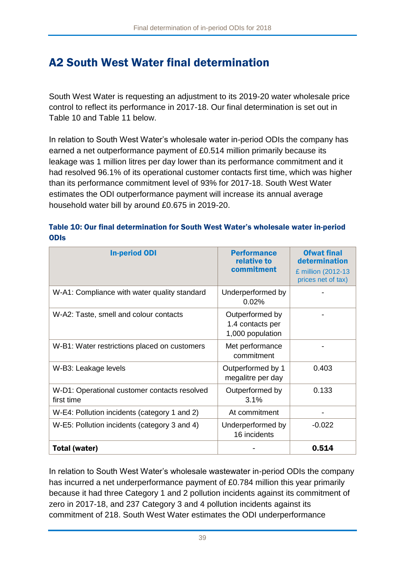# A2 South West Water final determination

South West Water is requesting an adjustment to its 2019-20 water wholesale price control to reflect its performance in 2017-18. Our final determination is set out in [Table 10](#page-39-0) and [Table 11](#page-40-0) below.

In relation to South West Water's wholesale water in-period ODIs the company has earned a net outperformance payment of £0.514 million primarily because its leakage was 1 million litres per day lower than its performance commitment and it had resolved 96.1% of its operational customer contacts first time, which was higher than its performance commitment level of 93% for 2017-18. South West Water estimates the ODI outperformance payment will increase its annual average household water bill by around £0.675 in 2019-20.

<span id="page-39-0"></span>

|             | Table 10: Our final determination for South West Water's wholesale water in-period |  |  |
|-------------|------------------------------------------------------------------------------------|--|--|
| <b>ODIS</b> |                                                                                    |  |  |

| <b>In-period ODI</b>                                       | <b>Performance</b><br>relative to<br>commitment         | <b>Ofwat final</b><br>determination<br>£ million (2012-13<br>prices net of tax) |
|------------------------------------------------------------|---------------------------------------------------------|---------------------------------------------------------------------------------|
| W-A1: Compliance with water quality standard               | Underperformed by<br>0.02%                              |                                                                                 |
| W-A2: Taste, smell and colour contacts                     | Outperformed by<br>1.4 contacts per<br>1,000 population |                                                                                 |
| W-B1: Water restrictions placed on customers               | Met performance<br>commitment                           |                                                                                 |
| W-B3: Leakage levels                                       | Outperformed by 1<br>megalitre per day                  | 0.403                                                                           |
| W-D1: Operational customer contacts resolved<br>first time | Outperformed by<br>3.1%                                 | 0.133                                                                           |
| W-E4: Pollution incidents (category 1 and 2)               | At commitment                                           |                                                                                 |
| W-E5: Pollution incidents (category 3 and 4)               | Underperformed by<br>16 incidents                       | $-0.022$                                                                        |
| Total (water)                                              |                                                         | 0.514                                                                           |

In relation to South West Water's wholesale wastewater in-period ODIs the company has incurred a net underperformance payment of £0.784 million this year primarily because it had three Category 1 and 2 pollution incidents against its commitment of zero in 2017-18, and 237 Category 3 and 4 pollution incidents against its commitment of 218. South West Water estimates the ODI underperformance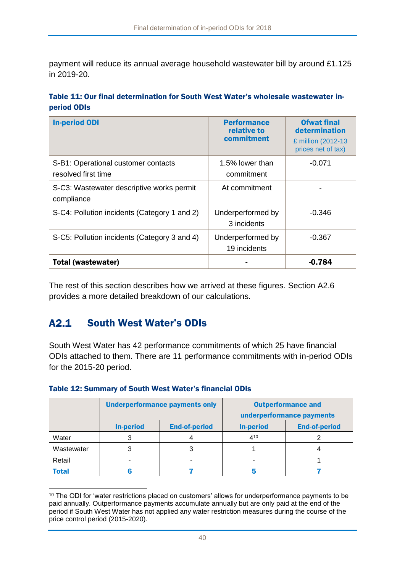payment will reduce its annual average household wastewater bill by around £1.125 in 2019-20.

<span id="page-40-0"></span>

|             | Table 11: Our final determination for South West Water's wholesale wastewater in- |  |  |  |
|-------------|-----------------------------------------------------------------------------------|--|--|--|
| period ODIs |                                                                                   |  |  |  |

| <b>In-period ODI</b>                                       | <b>Performance</b><br>relative to<br>commitment | <b>Ofwat final</b><br>determination<br>£ million (2012-13<br>prices net of tax) |
|------------------------------------------------------------|-------------------------------------------------|---------------------------------------------------------------------------------|
| S-B1: Operational customer contacts<br>resolved first time | 1.5% lower than<br>commitment                   | $-0.071$                                                                        |
| S-C3: Wastewater descriptive works permit<br>compliance    | At commitment                                   |                                                                                 |
| S-C4: Pollution incidents (Category 1 and 2)               | Underperformed by<br>3 incidents                | $-0.346$                                                                        |
| S-C5: Pollution incidents (Category 3 and 4)               | Underperformed by<br>19 incidents               | $-0.367$                                                                        |
| Total (wastewater)                                         |                                                 | $-0.784$                                                                        |

The rest of this section describes how we arrived at these figures. Section [A2.6](#page-51-0) provides a more detailed breakdown of our calculations.

#### <span id="page-40-1"></span> $A2.1$ South West Water's ODIs

1

South West Water has 42 performance commitments of which 25 have financial ODIs attached to them. There are 11 performance commitments with in-period ODIs for the 2015-20 period.

|              |                  | <b>Underperformance payments only</b> | <b>Outperformance and</b><br>underperformance payments |                      |  |
|--------------|------------------|---------------------------------------|--------------------------------------------------------|----------------------|--|
|              | <b>In-period</b> | <b>End-of-period</b>                  | <b>In-period</b>                                       | <b>End-of-period</b> |  |
| Water        |                  |                                       | 410                                                    |                      |  |
| Wastewater   |                  |                                       |                                                        |                      |  |
| Retail       |                  |                                       |                                                        |                      |  |
| <b>Total</b> |                  |                                       |                                                        |                      |  |

### Table 12: Summary of South West Water's financial ODIs

<sup>&</sup>lt;sup>10</sup> The ODI for 'water restrictions placed on customers' allows for underperformance payments to be paid annually. Outperformance payments accumulate annually but are only paid at the end of the period if South West Water has not applied any water restriction measures during the course of the price control period (2015-2020).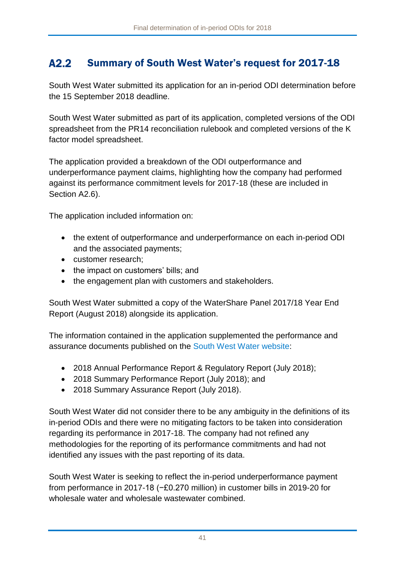#### $A2.2$ Summary of South West Water's request for 2017-18

South West Water submitted its application for an in-period ODI determination before the 15 September 2018 deadline.

South West Water submitted as part of its application, completed versions of the ODI spreadsheet from the PR14 reconciliation rulebook and completed versions of the K factor model spreadsheet.

The application provided a breakdown of the ODI outperformance and underperformance payment claims, highlighting how the company had performed against its performance commitment levels for 2017-18 (these are included in Section [A2.6\)](#page-51-0).

The application included information on:

- the extent of outperformance and underperformance on each in-period ODI and the associated payments;
- customer research;
- the impact on customers' bills; and
- the engagement plan with customers and stakeholders.

South West Water submitted a copy of the WaterShare Panel 2017/18 Year End Report (August 2018) alongside its application.

The information contained in the application supplemented the performance and assurance documents published on the [South West Water website:](https://www.southwestwater.co.uk/)

- 2018 Annual Performance Report & Regulatory Report (July 2018);
- 2018 Summary Performance Report (July 2018); and
- 2018 Summary Assurance Report (July 2018).

South West Water did not consider there to be any ambiguity in the definitions of its in-period ODIs and there were no mitigating factors to be taken into consideration regarding its performance in 2017-18. The company had not refined any methodologies for the reporting of its performance commitments and had not identified any issues with the past reporting of its data.

South West Water is seeking to reflect the in-period underperformance payment from performance in 2017-18 (−£0.270 million) in customer bills in 2019-20 for wholesale water and wholesale wastewater combined.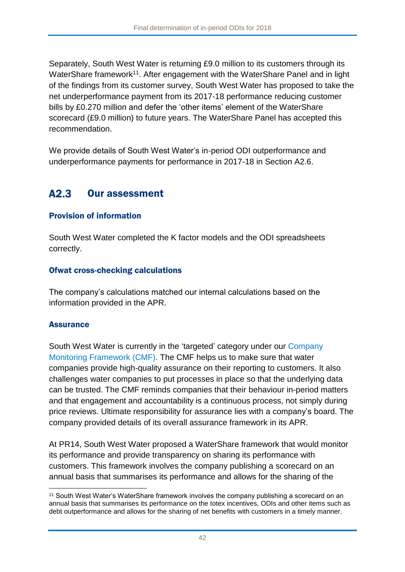Separately, South West Water is returning £9.0 million to its customers through its WaterShare framework<sup>11</sup>. After engagement with the WaterShare Panel and in light of the findings from its customer survey, South West Water has proposed to take the net underperformance payment from its 2017-18 performance reducing customer bills by £0.270 million and defer the 'other items' element of the WaterShare scorecard (£9.0 million) to future years. The WaterShare Panel has accepted this recommendation.

We provide details of South West Water's in-period ODI outperformance and underperformance payments for performance in 2017-18 in Section [A2.6.](#page-51-0)

#### $A2.3$ Our assessment

### Provision of information

South West Water completed the K factor models and the ODI spreadsheets correctly.

### Ofwat cross-checking calculations

The company's calculations matched our internal calculations based on the information provided in the APR.

### **Assurance**

South West Water is currently in the 'targeted' category under our [Company](https://www.ofwat.gov.uk/publication/company-monitoring-framework-2018-final-position-paper/)  [Monitoring Framework](https://www.ofwat.gov.uk/publication/company-monitoring-framework-2018-final-position-paper/) (CMF). The CMF helps us to make sure that water companies provide high-quality assurance on their reporting to customers. It also challenges water companies to put processes in place so that the underlying data can be trusted. The CMF reminds companies that their behaviour in-period matters and that engagement and accountability is a continuous process, not simply during price reviews. Ultimate responsibility for assurance lies with a company's board. The company provided details of its overall assurance framework in its APR.

At PR14, South West Water proposed a WaterShare framework that would monitor its performance and provide transparency on sharing its performance with customers. This framework involves the company publishing a scorecard on an annual basis that summarises its performance and allows for the sharing of the

<sup>1</sup> <sup>11</sup> South West Water's WaterShare framework involves the company publishing a scorecard on an annual basis that summarises its performance on the totex incentives, ODIs and other items such as debt outperformance and allows for the sharing of net benefits with customers in a timely manner.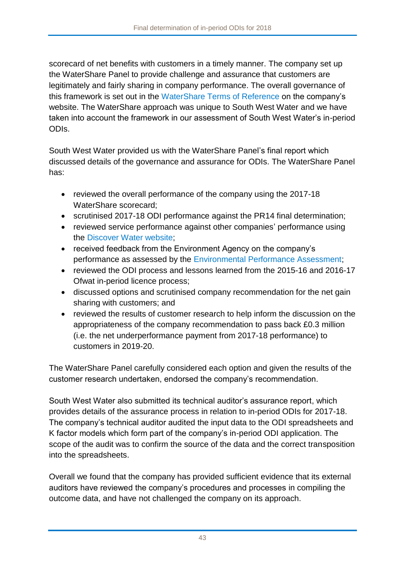scorecard of net benefits with customers in a timely manner. The company set up the WaterShare Panel to provide challenge and assurance that customers are legitimately and fairly sharing in company performance. The overall governance of this framework is set out in the [WaterShare Terms of Reference](https://www.southwestwater.co.uk/about-us/watershare/) on the company's website. The WaterShare approach was unique to South West Water and we have taken into account the framework in our assessment of South West Water's in-period ODIs.

South West Water provided us with the WaterShare Panel's final report which discussed details of the governance and assurance for ODIs. The WaterShare Panel has:

- reviewed the overall performance of the company using the 2017-18 WaterShare scorecard;
- scrutinised 2017-18 ODI performance against the PR14 final determination;
- reviewed service performance against other companies' performance using the [Discover Water website;](https://discoverwater.co.uk/)
- received feedback from the Environment Agency on the company's performance as assessed by the [Environmental Performance Assessment;](https://www.gov.uk/government/publications/water-and-sewerage-companies-in-england-environmental-performance-report)
- reviewed the ODI process and lessons learned from the 2015-16 and 2016-17 Ofwat in-period licence process;
- discussed options and scrutinised company recommendation for the net gain sharing with customers; and
- reviewed the results of customer research to help inform the discussion on the appropriateness of the company recommendation to pass back £0.3 million (i.e. the net underperformance payment from 2017-18 performance) to customers in 2019-20.

The WaterShare Panel carefully considered each option and given the results of the customer research undertaken, endorsed the company's recommendation.

South West Water also submitted its technical auditor's assurance report, which provides details of the assurance process in relation to in-period ODIs for 2017-18. The company's technical auditor audited the input data to the ODI spreadsheets and K factor models which form part of the company's in-period ODI application. The scope of the audit was to confirm the source of the data and the correct transposition into the spreadsheets.

Overall we found that the company has provided sufficient evidence that its external auditors have reviewed the company's procedures and processes in compiling the outcome data, and have not challenged the company on its approach.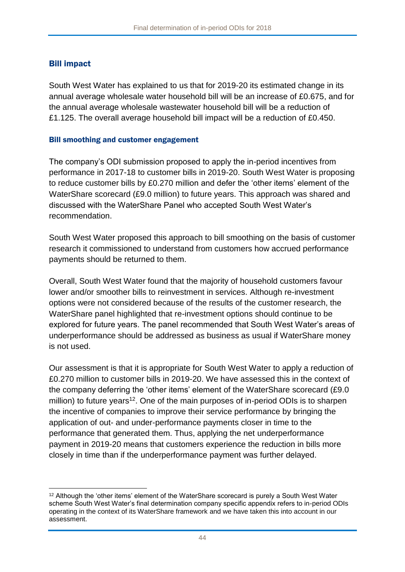### Bill impact

South West Water has explained to us that for 2019-20 its estimated change in its annual average wholesale water household bill will be an increase of £0.675, and for the annual average wholesale wastewater household bill will be a reduction of £1.125. The overall average household bill impact will be a reduction of £0.450.

### Bill smoothing and customer engagement

The company's ODI submission proposed to apply the in-period incentives from performance in 2017-18 to customer bills in 2019-20. South West Water is proposing to reduce customer bills by £0.270 million and defer the 'other items' element of the WaterShare scorecard (£9.0 million) to future years. This approach was shared and discussed with the WaterShare Panel who accepted South West Water's recommendation.

South West Water proposed this approach to bill smoothing on the basis of customer research it commissioned to understand from customers how accrued performance payments should be returned to them.

Overall, South West Water found that the majority of household customers favour lower and/or smoother bills to reinvestment in services. Although re-investment options were not considered because of the results of the customer research, the WaterShare panel highlighted that re-investment options should continue to be explored for future years. The panel recommended that South West Water's areas of underperformance should be addressed as business as usual if WaterShare money is not used.

Our assessment is that it is appropriate for South West Water to apply a reduction of £0.270 million to customer bills in 2019-20. We have assessed this in the context of the company deferring the 'other items' element of the WaterShare scorecard (£9.0 million) to future years<sup>12</sup>. One of the main purposes of in-period ODIs is to sharpen the incentive of companies to improve their service performance by bringing the application of out- and under-performance payments closer in time to the performance that generated them. Thus, applying the net underperformance payment in 2019-20 means that customers experience the reduction in bills more closely in time than if the underperformance payment was further delayed.

<sup>1</sup> <sup>12</sup> Although the 'other items' element of the WaterShare scorecard is purely a South West Water scheme South West Water's final determination company specific appendix refers to in-period ODIs operating in the context of its WaterShare framework and we have taken this into account in our assessment.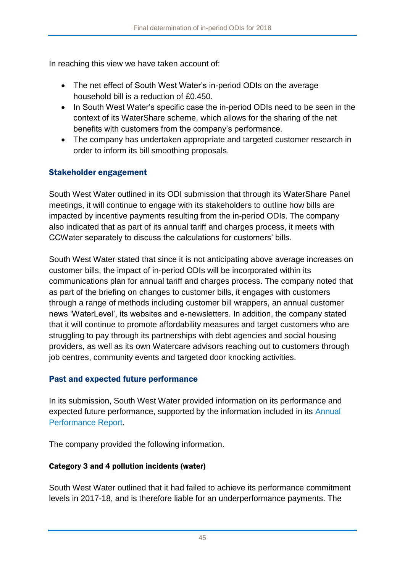In reaching this view we have taken account of:

- The net effect of South West Water's in-period ODIs on the average household bill is a reduction of £0.450.
- In South West Water's specific case the in-period ODIs need to be seen in the context of its WaterShare scheme, which allows for the sharing of the net benefits with customers from the company's performance.
- The company has undertaken appropriate and targeted customer research in order to inform its bill smoothing proposals.

### Stakeholder engagement

South West Water outlined in its ODI submission that through its WaterShare Panel meetings, it will continue to engage with its stakeholders to outline how bills are impacted by incentive payments resulting from the in-period ODIs. The company also indicated that as part of its annual tariff and charges process, it meets with CCWater separately to discuss the calculations for customers' bills.

South West Water stated that since it is not anticipating above average increases on customer bills, the impact of in-period ODIs will be incorporated within its communications plan for annual tariff and charges process. The company noted that as part of the briefing on changes to customer bills, it engages with customers through a range of methods including customer bill wrappers, an annual customer news 'WaterLevel', its websites and e-newsletters. In addition, the company stated that it will continue to promote affordability measures and target customers who are struggling to pay through its partnerships with debt agencies and social housing providers, as well as its own Watercare advisors reaching out to customers through job centres, community events and targeted door knocking activities.

## Past and expected future performance

In its submission, South West Water provided information on its performance and expected future performance, supported by the information included in its [Annual](https://www.southwestwater.co.uk/about-us/how-are-we-performing/annual-reporting-2018/)  [Performance Report.](https://www.southwestwater.co.uk/about-us/how-are-we-performing/annual-reporting-2018/)

The company provided the following information.

### Category 3 and 4 pollution incidents (water)

South West Water outlined that it had failed to achieve its performance commitment levels in 2017-18, and is therefore liable for an underperformance payments. The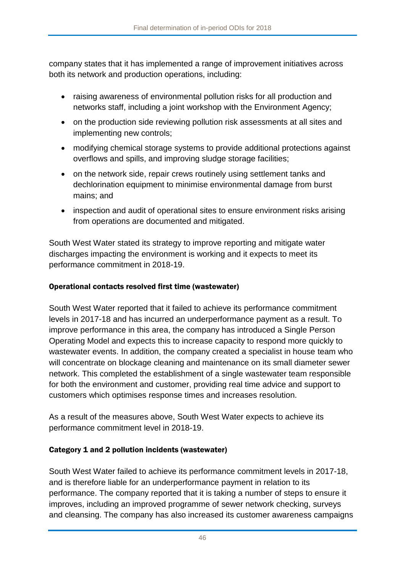company states that it has implemented a range of improvement initiatives across both its network and production operations, including:

- raising awareness of environmental pollution risks for all production and networks staff, including a joint workshop with the Environment Agency;
- on the production side reviewing pollution risk assessments at all sites and implementing new controls;
- modifying chemical storage systems to provide additional protections against overflows and spills, and improving sludge storage facilities;
- on the network side, repair crews routinely using settlement tanks and dechlorination equipment to minimise environmental damage from burst mains; and
- inspection and audit of operational sites to ensure environment risks arising from operations are documented and mitigated.

South West Water stated its strategy to improve reporting and mitigate water discharges impacting the environment is working and it expects to meet its performance commitment in 2018-19.

### Operational contacts resolved first time (wastewater)

South West Water reported that it failed to achieve its performance commitment levels in 2017-18 and has incurred an underperformance payment as a result. To improve performance in this area, the company has introduced a Single Person Operating Model and expects this to increase capacity to respond more quickly to wastewater events. In addition, the company created a specialist in house team who will concentrate on blockage cleaning and maintenance on its small diameter sewer network. This completed the establishment of a single wastewater team responsible for both the environment and customer, providing real time advice and support to customers which optimises response times and increases resolution.

As a result of the measures above, South West Water expects to achieve its performance commitment level in 2018-19.

### Category 1 and 2 pollution incidents (wastewater)

South West Water failed to achieve its performance commitment levels in 2017-18, and is therefore liable for an underperformance payment in relation to its performance. The company reported that it is taking a number of steps to ensure it improves, including an improved programme of sewer network checking, surveys and cleansing. The company has also increased its customer awareness campaigns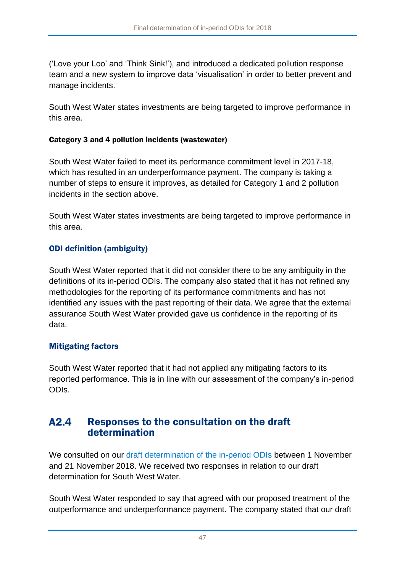('Love your Loo' and 'Think Sink!'), and introduced a dedicated pollution response team and a new system to improve data 'visualisation' in order to better prevent and manage incidents.

South West Water states investments are being targeted to improve performance in this area.

### Category 3 and 4 pollution incidents (wastewater)

South West Water failed to meet its performance commitment level in 2017-18, which has resulted in an underperformance payment. The company is taking a number of steps to ensure it improves, as detailed for Category 1 and 2 pollution incidents in the section above.

South West Water states investments are being targeted to improve performance in this area.

## ODI definition (ambiguity)

South West Water reported that it did not consider there to be any ambiguity in the definitions of its in-period ODIs. The company also stated that it has not refined any methodologies for the reporting of its performance commitments and has not identified any issues with the past reporting of their data. We agree that the external assurance South West Water provided gave us confidence in the reporting of its data.

## Mitigating factors

South West Water reported that it had not applied any mitigating factors to its reported performance. This is in line with our assessment of the company's in-period ODIs.

### $A2.4$ Responses to the consultation on the draft determination

We consulted on our [draft determination of the in-period ODIs](https://www.ofwat.gov.uk/consultation/2018-draft-determination-of-in-period-odis/) between 1 November and 21 November 2018. We received two responses in relation to our draft determination for South West Water.

South West Water responded to say that agreed with our proposed treatment of the outperformance and underperformance payment. The company stated that our draft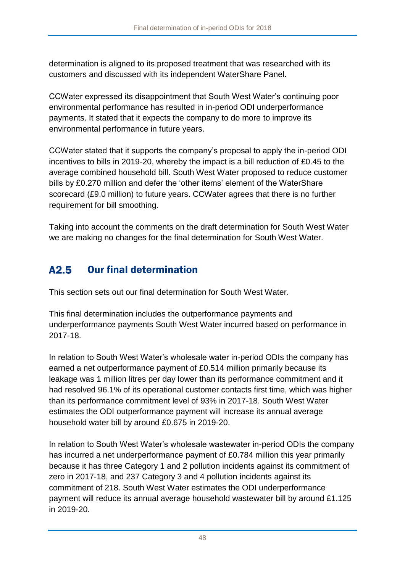determination is aligned to its proposed treatment that was researched with its customers and discussed with its independent WaterShare Panel.

CCWater expressed its disappointment that South West Water's continuing poor environmental performance has resulted in in-period ODI underperformance payments. It stated that it expects the company to do more to improve its environmental performance in future years.

CCWater stated that it supports the company's proposal to apply the in-period ODI incentives to bills in 2019-20, whereby the impact is a bill reduction of £0.45 to the average combined household bill. South West Water proposed to reduce customer bills by £0.270 million and defer the 'other items' element of the WaterShare scorecard (£9.0 million) to future years. CCWater agrees that there is no further requirement for bill smoothing.

Taking into account the comments on the draft determination for South West Water we are making no changes for the final determination for South West Water.

#### Our final determination  $A2.5$

This section sets out our final determination for South West Water.

This final determination includes the outperformance payments and underperformance payments South West Water incurred based on performance in 2017-18.

In relation to South West Water's wholesale water in-period ODIs the company has earned a net outperformance payment of £0.514 million primarily because its leakage was 1 million litres per day lower than its performance commitment and it had resolved 96.1% of its operational customer contacts first time, which was higher than its performance commitment level of 93% in 2017-18. South West Water estimates the ODI outperformance payment will increase its annual average household water bill by around £0.675 in 2019-20.

In relation to South West Water's wholesale wastewater in-period ODIs the company has incurred a net underperformance payment of £0.784 million this year primarily because it has three Category 1 and 2 pollution incidents against its commitment of zero in 2017-18, and 237 Category 3 and 4 pollution incidents against its commitment of 218. South West Water estimates the ODI underperformance payment will reduce its annual average household wastewater bill by around £1.125 in 2019-20.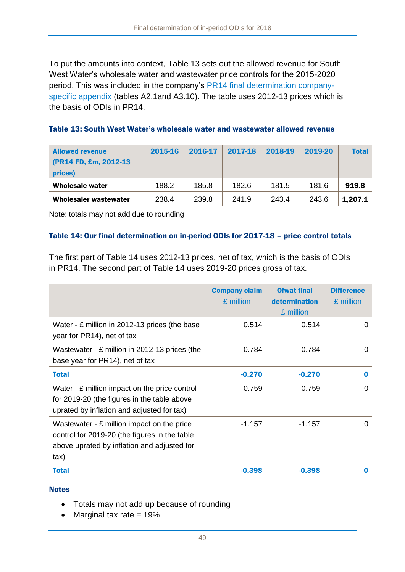To put the amounts into context, [Table 13](#page-49-0) sets out the allowed revenue for South West Water's wholesale water and wastewater price controls for the 2015-2020 period. This was included in the company's [PR14 final determination company](https://www.ofwat.gov.uk/wp-content/uploads/2015/10/det_pr20141212swt.pdf)[specific appendix](https://www.ofwat.gov.uk/wp-content/uploads/2015/10/det_pr20141212swt.pdf) (tables [A2.1a](#page-40-1)nd A3.10). The table uses 2012-13 prices which is the basis of ODIs in PR14.

<span id="page-49-0"></span>

| <b>Allowed revenue</b><br>(PR14 FD, £m, 2012-13)<br>prices) | 2015-16 | 2016-17 | 2017-18 | 2018-19 | 2019-20 | <b>Total</b> |
|-------------------------------------------------------------|---------|---------|---------|---------|---------|--------------|
| <b>Wholesale water</b>                                      | 188.2   | 185.8   | 182.6   | 181.5   | 181.6   | 919.8        |
| <b>Wholesaler wastewater</b>                                | 238.4   | 239.8   | 241.9   | 243.4   | 243.6   | 1,207.1      |

Note: totals may not add due to rounding

### <span id="page-49-1"></span>Table 14: Our final determination on in-period ODIs for 2017-18 – price control totals

The first part of [Table 14](#page-49-1) uses 2012-13 prices, net of tax, which is the basis of ODIs in PR14. The second part of [Table 14](#page-49-1) uses 2019-20 prices gross of tax.

|                                                                                                                                                              | <b>Company claim</b><br>£ million | <b>Ofwat final</b><br>determination<br>£ million | <b>Difference</b><br>£ million |
|--------------------------------------------------------------------------------------------------------------------------------------------------------------|-----------------------------------|--------------------------------------------------|--------------------------------|
| Water - £ million in 2012-13 prices (the base<br>year for PR14), net of tax                                                                                  | 0.514                             | 0.514                                            | O                              |
| Wastewater - £ million in 2012-13 prices (the<br>base year for PR14), net of tax                                                                             | $-0.784$                          | $-0.784$                                         | O                              |
| <b>Total</b>                                                                                                                                                 | $-0.270$                          | $-0.270$                                         | O                              |
| Water - £ million impact on the price control<br>for 2019-20 (the figures in the table above<br>uprated by inflation and adjusted for tax)                   | 0.759                             | 0.759                                            | U                              |
| Wastewater - £ million impact on the price<br>control for 2019-20 (the figures in the table<br>above uprated by inflation and adjusted for<br>$\mathsf{tax}$ | $-1.157$                          | $-1.157$                                         | O                              |
| <b>Total</b>                                                                                                                                                 | $-0.398$                          | $-0.398$                                         |                                |

### **Notes**

- Totals may not add up because of rounding
- Marginal tax rate  $= 19\%$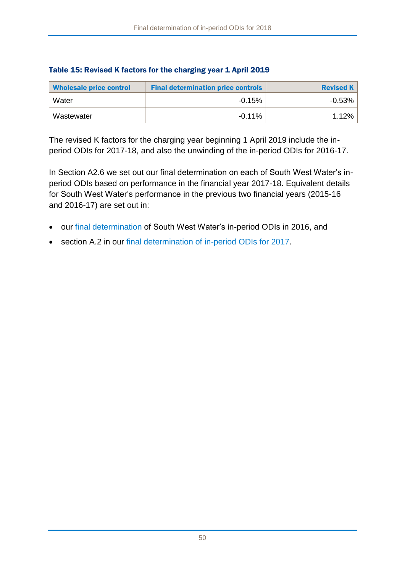| <b>Wholesale price control</b> | <b>Final determination price controls</b> | <b>Revised K</b> |
|--------------------------------|-------------------------------------------|------------------|
| Water                          | $-0.15%$                                  | $-0.53%$         |
| Wastewater                     | -0.11%                                    | 1.12%            |

### Table 15: Revised K factors for the charging year 1 April 2019

The revised K factors for the charging year beginning 1 April 2019 include the inperiod ODIs for 2017-18, and also the unwinding of the in-period ODIs for 2016-17.

In Section [A2.6](#page-51-0) we set out our final determination on each of South West Water's inperiod ODIs based on performance in the financial year 2017-18. Equivalent details for South West Water's performance in the previous two financial years (2015-16 and 2016-17) are set out in:

- our [final determination](https://www.ofwat.gov.uk/publication/final-determination-south-west-waters-period-outcome-delivery-incentives-2015-16/) of South West Water's in-period ODIs in 2016, and
- section A.2 in our [final determination of in-period ODIs for 2017.](https://www.ofwat.gov.uk/publication/final-determination-period-odis-2017/)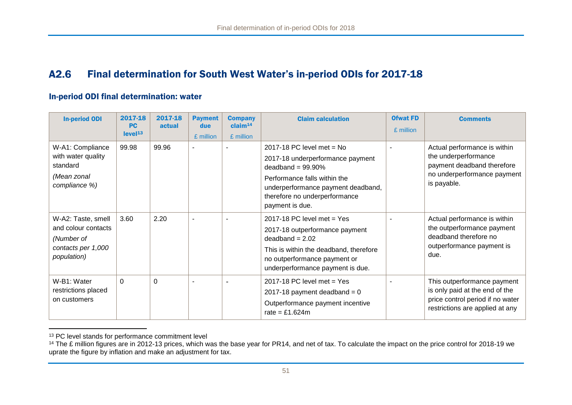#### A2.6 Final determination for South West Water's in-period ODIs for 2017-18

### In-period ODI final determination: water

| <b>In-period ODI</b>                                                                         | 2017-18<br><b>PC</b><br>level <sup>13</sup> | 2017-18<br>actual | <b>Payment</b><br>due<br>£ million | <b>Company</b><br>claim <sup>14</sup><br>£ million | <b>Claim calculation</b>                                                                                                                                                                                          | <b>Ofwat FD</b><br>£ million | <b>Comments</b>                                                                                                                      |
|----------------------------------------------------------------------------------------------|---------------------------------------------|-------------------|------------------------------------|----------------------------------------------------|-------------------------------------------------------------------------------------------------------------------------------------------------------------------------------------------------------------------|------------------------------|--------------------------------------------------------------------------------------------------------------------------------------|
| W-A1: Compliance<br>with water quality<br>standard<br>(Mean zonal<br>compliance %)           | 99.98                                       | 99.96             |                                    |                                                    | 2017-18 PC level met $=$ No<br>2017-18 underperformance payment<br>deadband = $99.90\%$<br>Performance falls within the<br>underperformance payment deadband,<br>therefore no underperformance<br>payment is due. |                              | Actual performance is within<br>the underperformance<br>payment deadband therefore<br>no underperformance payment<br>is payable.     |
| W-A2: Taste, smell<br>and colour contacts<br>(Number of<br>contacts per 1,000<br>population) | 3.60                                        | 2.20              | $\overline{\phantom{a}}$           |                                                    | 2017-18 PC level met = $Yes$<br>2017-18 outperformance payment<br>$deadband = 2.02$<br>This is within the deadband, therefore<br>no outperformance payment or<br>underperformance payment is due.                 |                              | Actual performance is within<br>the outperformance payment<br>deadband therefore no<br>outperformance payment is<br>due.             |
| W-B1: Water<br>restrictions placed<br>on customers                                           | $\Omega$                                    | $\Omega$          |                                    |                                                    | 2017-18 PC level met $=$ Yes<br>2017-18 payment deadband = $0$<br>Outperformance payment incentive<br>rate = £1.624 $m$                                                                                           |                              | This outperformance payment<br>is only paid at the end of the<br>price control period if no water<br>restrictions are applied at any |

<sup>&</sup>lt;sup>13</sup> PC level stands for performance commitment level

<span id="page-51-0"></span> $\overline{a}$ 

<sup>&</sup>lt;sup>14</sup> The £ million figures are in 2012-13 prices, which was the base year for PR14, and net of tax. To calculate the impact on the price control for 2018-19 we uprate the figure by inflation and make an adjustment for tax.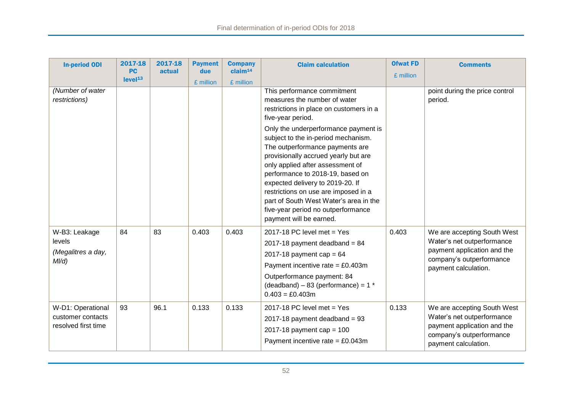| <b>In-period ODI</b>                                          | 2017-18<br><b>PC</b> | 2017-18<br>actual | <b>Payment</b><br>due | <b>Company</b><br>claim <sup>14</sup> | <b>Claim calculation</b>                                                                                                                                                                                                                                                                                                                                                                                                                                                                                                                             | <b>Ofwat FD</b><br>£ million | <b>Comments</b>                                                                                                                              |
|---------------------------------------------------------------|----------------------|-------------------|-----------------------|---------------------------------------|------------------------------------------------------------------------------------------------------------------------------------------------------------------------------------------------------------------------------------------------------------------------------------------------------------------------------------------------------------------------------------------------------------------------------------------------------------------------------------------------------------------------------------------------------|------------------------------|----------------------------------------------------------------------------------------------------------------------------------------------|
|                                                               | level <sup>13</sup>  |                   | £ million             | £ million                             |                                                                                                                                                                                                                                                                                                                                                                                                                                                                                                                                                      |                              |                                                                                                                                              |
| (Number of water<br>restrictions)                             |                      |                   |                       |                                       | This performance commitment<br>measures the number of water<br>restrictions in place on customers in a<br>five-year period.<br>Only the underperformance payment is<br>subject to the in-period mechanism.<br>The outperformance payments are<br>provisionally accrued yearly but are<br>only applied after assessment of<br>performance to 2018-19, based on<br>expected delivery to 2019-20. If<br>restrictions on use are imposed in a<br>part of South West Water's area in the<br>five-year period no outperformance<br>payment will be earned. |                              | point during the price control<br>period.                                                                                                    |
| W-B3: Leakage<br>levels<br>(Megalitres a day,<br>$M/d$ )      | 84                   | 83                | 0.403                 | 0.403                                 | 2017-18 PC level met = $Yes$<br>2017-18 payment deadband = $84$<br>2017-18 payment cap = $64$<br>Payment incentive rate = $£0.403m$<br>Outperformance payment: 84<br>(deadband) - 83 (performance) = $1 *$<br>$0.403 = £0.403m$                                                                                                                                                                                                                                                                                                                      | 0.403                        | We are accepting South West<br>Water's net outperformance<br>payment application and the<br>company's outperformance<br>payment calculation. |
| W-D1: Operational<br>customer contacts<br>resolved first time | 93                   | 96.1              | 0.133                 | 0.133                                 | 2017-18 PC level met = $Yes$<br>2017-18 payment deadband = $93$<br>2017-18 payment cap = $100$<br>Payment incentive rate = $£0.043m$                                                                                                                                                                                                                                                                                                                                                                                                                 | 0.133                        | We are accepting South West<br>Water's net outperformance<br>payment application and the<br>company's outperformance<br>payment calculation. |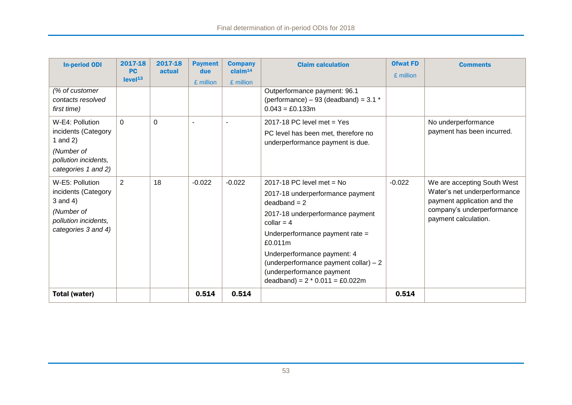| <b>In-period ODI</b>                                                                                              | 2017-18<br><b>PC</b> | 2017-18<br>actual | <b>Payment</b><br>due | <b>Company</b><br>claim <sup>14</sup> | <b>Claim calculation</b>                                                                                                                                                                                                                                                                                                      | <b>Ofwat FD</b><br>£ million | <b>Comments</b>                                                                                                                                  |
|-------------------------------------------------------------------------------------------------------------------|----------------------|-------------------|-----------------------|---------------------------------------|-------------------------------------------------------------------------------------------------------------------------------------------------------------------------------------------------------------------------------------------------------------------------------------------------------------------------------|------------------------------|--------------------------------------------------------------------------------------------------------------------------------------------------|
|                                                                                                                   | level <sup>13</sup>  |                   | £ million             | £ million                             |                                                                                                                                                                                                                                                                                                                               |                              |                                                                                                                                                  |
| (% of customer<br>contacts resolved<br>first time)                                                                |                      |                   |                       |                                       | Outperformance payment: 96.1<br>(performance) $-93$ (deadband) = 3.1 $*$<br>$0.043 = £0.133m$                                                                                                                                                                                                                                 |                              |                                                                                                                                                  |
| W-E4: Pollution<br>incidents (Category<br>1 and $2)$<br>(Number of<br>pollution incidents,<br>categories 1 and 2) | $\Omega$             | $\overline{0}$    |                       |                                       | 2017-18 PC level met $=$ Yes<br>PC level has been met, therefore no<br>underperformance payment is due.                                                                                                                                                                                                                       |                              | No underperformance<br>payment has been incurred.                                                                                                |
| W-E5: Pollution<br>incidents (Category<br>3 and 4)<br>(Number of<br>pollution incidents,<br>categories 3 and 4)   | 2                    | 18                | $-0.022$              | $-0.022$                              | 2017-18 PC level met = $No$<br>2017-18 underperformance payment<br>$deadband = 2$<br>2017-18 underperformance payment<br>collar = $4$<br>Underperformance payment rate =<br>£0.011m<br>Underperformance payment: 4<br>(underperformance payment collar) - 2<br>(underperformance payment<br>deadband) = $2 * 0.011 = £0.022m$ | $-0.022$                     | We are accepting South West<br>Water's net underperformance<br>payment application and the<br>company's underperformance<br>payment calculation. |
| <b>Total (water)</b>                                                                                              |                      |                   | 0.514                 | 0.514                                 |                                                                                                                                                                                                                                                                                                                               | 0.514                        |                                                                                                                                                  |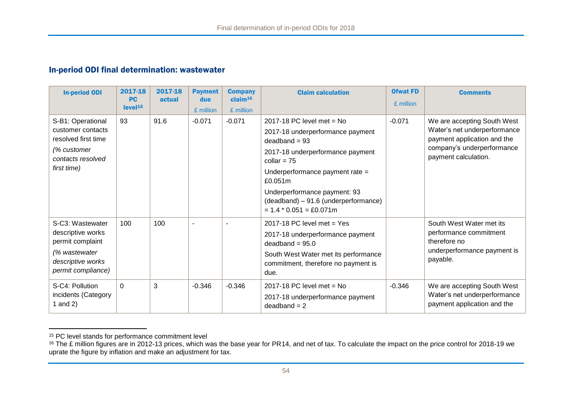### In-period ODI final determination: wastewater

| <b>In-period ODI</b>                                                                                                  | 2017-18<br><b>PC</b><br>level <sup>15</sup> | 2017-18<br>actual | <b>Payment</b><br>due<br>£ million | <b>Company</b><br>claim <sup>16</sup><br>£ million | <b>Claim calculation</b>                                                                                                                                                                                                                                                                                | <b>Ofwat FD</b><br>£ million | <b>Comments</b>                                                                                                                                  |
|-----------------------------------------------------------------------------------------------------------------------|---------------------------------------------|-------------------|------------------------------------|----------------------------------------------------|---------------------------------------------------------------------------------------------------------------------------------------------------------------------------------------------------------------------------------------------------------------------------------------------------------|------------------------------|--------------------------------------------------------------------------------------------------------------------------------------------------|
| S-B1: Operational<br>customer contacts<br>resolved first time<br>(% customer<br>contacts resolved<br>first time)      | 93                                          | 91.6              | $-0.071$                           | $-0.071$                                           | 2017-18 PC level met = $No$<br>2017-18 underperformance payment<br>$deadband = 93$<br>2017-18 underperformance payment<br>collar = $75$<br>Underperformance payment rate =<br>£0.051m<br>Underperformance payment: 93<br>(deadband) - 91.6 (underperformance)<br>$= 1.4 * 0.051 = \text{\pounds}0.071m$ | $-0.071$                     | We are accepting South West<br>Water's net underperformance<br>payment application and the<br>company's underperformance<br>payment calculation. |
| S-C3: Wastewater<br>descriptive works<br>permit complaint<br>(% wastewater<br>descriptive works<br>permit compliance) | 100                                         | 100               | $\blacksquare$                     |                                                    | 2017-18 PC level met $=$ Yes<br>2017-18 underperformance payment<br>$deadband = 95.0$<br>South West Water met its performance<br>commitment, therefore no payment is<br>due.                                                                                                                            |                              | South West Water met its<br>performance commitment<br>therefore no<br>underperformance payment is<br>payable.                                    |
| S-C4: Pollution<br>incidents (Category<br>I and $2)$                                                                  | $\Omega$                                    | 3                 | $-0.346$                           | $-0.346$                                           | 2017-18 PC level met = $No$<br>2017-18 underperformance payment<br>$deadband = 2$                                                                                                                                                                                                                       | $-0.346$                     | We are accepting South West<br>Water's net underperformance<br>payment application and the                                                       |

<sup>&</sup>lt;sup>15</sup> PC level stands for performance commitment level

 $\overline{a}$ 

 $16$  The £ million figures are in 2012-13 prices, which was the base year for PR14, and net of tax. To calculate the impact on the price control for 2018-19 we uprate the figure by inflation and make an adjustment for tax.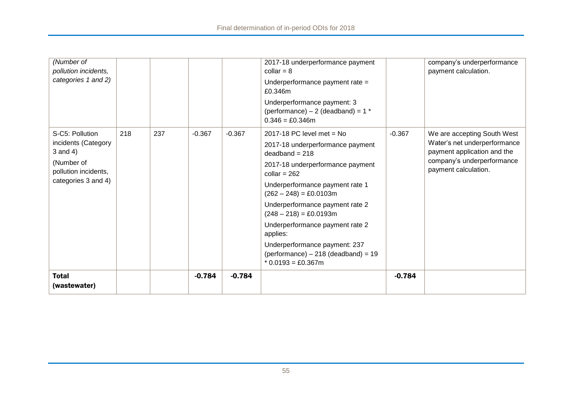| (Number of<br>pollution incidents,<br>categories 1 and 2)                                                           |     |     |          |          | 2017-18 underperformance payment<br>collar = $8$<br>Underperformance payment rate =<br>£0.346m<br>Underperformance payment: 3<br>(performance) $-2$ (deadband) = 1 $*$                                                                                                                                                                                                                                                                               |          | company's underperformance<br>payment calculation.                                                                                               |
|---------------------------------------------------------------------------------------------------------------------|-----|-----|----------|----------|------------------------------------------------------------------------------------------------------------------------------------------------------------------------------------------------------------------------------------------------------------------------------------------------------------------------------------------------------------------------------------------------------------------------------------------------------|----------|--------------------------------------------------------------------------------------------------------------------------------------------------|
| S-C5: Pollution<br>incidents (Category<br>$3$ and $4)$<br>(Number of<br>pollution incidents,<br>categories 3 and 4) | 218 | 237 | $-0.367$ | $-0.367$ | $0.346 = £0.346m$<br>2017-18 PC level met = $No$<br>2017-18 underperformance payment<br>$deadband = 218$<br>2017-18 underperformance payment<br>collar = $262$<br>Underperformance payment rate 1<br>$(262 – 248) = £0.0103m$<br>Underperformance payment rate 2<br>$(248 – 218) = £0.0193m$<br>Underperformance payment rate 2<br>applies:<br>Underperformance payment: 237<br>$(\text{performance}) - 218$ (deadband) = 19<br>$*$ 0.0193 = £0.367m | $-0.367$ | We are accepting South West<br>Water's net underperformance<br>payment application and the<br>company's underperformance<br>payment calculation. |
| <b>Total</b><br>(wastewater)                                                                                        |     |     | $-0.784$ | $-0.784$ |                                                                                                                                                                                                                                                                                                                                                                                                                                                      | $-0.784$ |                                                                                                                                                  |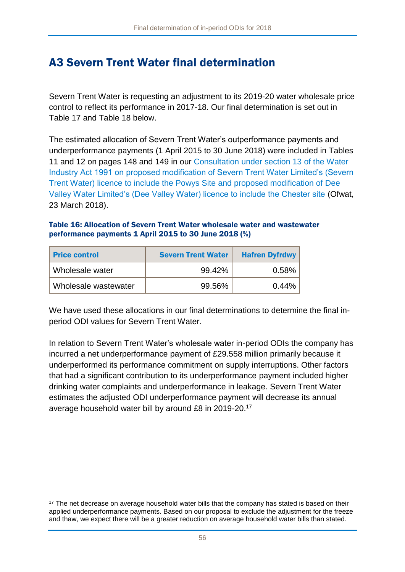# A3 Severn Trent Water final determination

Severn Trent Water is requesting an adjustment to its 2019-20 water wholesale price control to reflect its performance in 2017-18. Our final determination is set out in [Table 17](#page-57-0) and [Table 18](#page-58-0) below.

The estimated allocation of Severn Trent Water's outperformance payments and underperformance payments (1 April 2015 to 30 June 2018) were included in Tables 11 and 12 on pages 148 and 149 in our [Consultation under section 13](https://www.ofwat.gov.uk/consultation/consultation-section-13-water-industry-act-1991-proposed-modification-severn-trent-water-limiteds-severn-trent-water-licence-include-powys-site-proposed-modifi/) of the Water [Industry Act 1991 on proposed modification of Severn Trent Water Limited's \(Severn](https://www.ofwat.gov.uk/consultation/consultation-section-13-water-industry-act-1991-proposed-modification-severn-trent-water-limiteds-severn-trent-water-licence-include-powys-site-proposed-modifi/)  [Trent Water\) licence to include the Powys Site and proposed modification of Dee](https://www.ofwat.gov.uk/consultation/consultation-section-13-water-industry-act-1991-proposed-modification-severn-trent-water-limiteds-severn-trent-water-licence-include-powys-site-proposed-modifi/)  [Valley Water Limited's \(Dee Valley Water\) licence to include the Chester site](https://www.ofwat.gov.uk/consultation/consultation-section-13-water-industry-act-1991-proposed-modification-severn-trent-water-limiteds-severn-trent-water-licence-include-powys-site-proposed-modifi/) (Ofwat, 23 March 2018).

### Table 16: Allocation of Severn Trent Water wholesale water and wastewater performance payments 1 April 2015 to 30 June 2018 (%)

| <b>Price control</b> | <b>Severn Trent Water</b> | <b>Hafren Dyfrdwy</b> |
|----------------------|---------------------------|-----------------------|
| Wholesale water      | 99.42%                    | 0.58%                 |
| Wholesale wastewater | 99.56%                    | 0.44%                 |

We have used these allocations in our final determinations to determine the final inperiod ODI values for Severn Trent Water.

In relation to Severn Trent Water's wholesale water in-period ODIs the company has incurred a net underperformance payment of £29.558 million primarily because it underperformed its performance commitment on supply interruptions. Other factors that had a significant contribution to its underperformance payment included higher drinking water complaints and underperformance in leakage. Severn Trent Water estimates the adjusted ODI underperformance payment will decrease its annual average household water bill by around £8 in 2019-20.<sup>17</sup>

<sup>1</sup> <sup>17</sup> The net decrease on average household water bills that the company has stated is based on their applied underperformance payments. Based on our proposal to exclude the adjustment for the freeze and thaw, we expect there will be a greater reduction on average household water bills than stated.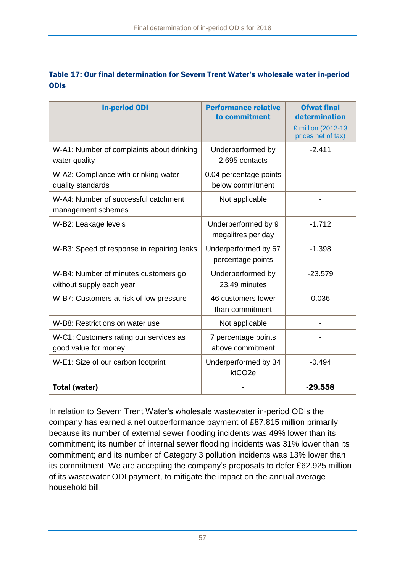### <span id="page-57-0"></span>Table 17: Our final determination for Severn Trent Water's wholesale water in-period **ODIS**

| <b>In-period ODI</b>                                             | <b>Performance relative</b><br>to commitment | <b>Ofwat final</b><br>determination<br>£ million (2012-13<br>prices net of tax) |
|------------------------------------------------------------------|----------------------------------------------|---------------------------------------------------------------------------------|
| W-A1: Number of complaints about drinking<br>water quality       | Underperformed by<br>2,695 contacts          | $-2.411$                                                                        |
| W-A2: Compliance with drinking water<br>quality standards        | 0.04 percentage points<br>below commitment   |                                                                                 |
| W-A4: Number of successful catchment<br>management schemes       | Not applicable                               |                                                                                 |
| W-B2: Leakage levels                                             | Underperformed by 9<br>megalitres per day    | $-1.712$                                                                        |
| W-B3: Speed of response in repairing leaks                       | Underperformed by 67<br>percentage points    | $-1.398$                                                                        |
| W-B4: Number of minutes customers go<br>without supply each year | Underperformed by<br>23.49 minutes           | $-23.579$                                                                       |
| W-B7: Customers at risk of low pressure                          | 46 customers lower<br>than commitment        | 0.036                                                                           |
| W-B8: Restrictions on water use                                  | Not applicable                               |                                                                                 |
| W-C1: Customers rating our services as<br>good value for money   | 7 percentage points<br>above commitment      |                                                                                 |
| W-E1: Size of our carbon footprint                               | Underperformed by 34<br>ktCO <sub>2e</sub>   | $-0.494$                                                                        |
| Total (water)                                                    |                                              | $-29.558$                                                                       |

In relation to Severn Trent Water's wholesale wastewater in-period ODIs the company has earned a net outperformance payment of £87.815 million primarily because its number of external sewer flooding incidents was 49% lower than its commitment; its number of internal sewer flooding incidents was 31% lower than its commitment; and its number of Category 3 pollution incidents was 13% lower than its commitment. We are accepting the company's proposals to defer £62.925 million of its wastewater ODI payment, to mitigate the impact on the annual average household bill.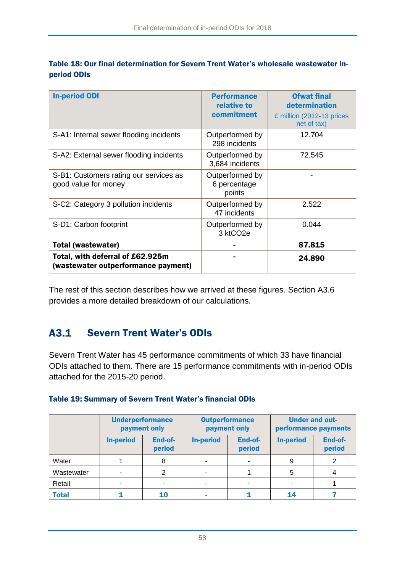| <b>In-period ODI</b>                                                    | <b>Performance</b><br>relative to<br>commitment | <b>Ofwat final</b><br>determination<br>£ million (2012-13 prices<br>net of tax) |
|-------------------------------------------------------------------------|-------------------------------------------------|---------------------------------------------------------------------------------|
| S-A1: Internal sewer flooding incidents                                 | Outperformed by<br>298 incidents                | 12.704                                                                          |
| S-A2: External sewer flooding incidents                                 | Outperformed by<br>3,684 incidents              | 72.545                                                                          |
| S-B1: Customers rating our services as<br>good value for money          | Outperformed by<br>6 percentage<br>points       |                                                                                 |
| S-C2: Category 3 pollution incidents                                    | Outperformed by<br>47 incidents                 | 2.522                                                                           |
| S-D1: Carbon footprint                                                  | Outperformed by<br>3 ktCO <sub>2e</sub>         | 0.044                                                                           |
| <b>Total (wastewater)</b>                                               |                                                 | 87.815                                                                          |
| Total, with deferral of £62.925m<br>(wastewater outperformance payment) |                                                 | 24.890                                                                          |

<span id="page-58-0"></span>

|             | Table 18: Our final determination for Severn Trent Water's wholesale wastewater in- |  |  |  |
|-------------|-------------------------------------------------------------------------------------|--|--|--|
| period ODIs |                                                                                     |  |  |  |

The rest of this section describes how we arrived at these figures. Section [A3.6](#page-74-0) provides a more detailed breakdown of our calculations.

#### Severn Trent Water's ODIs  $A3.1$

Severn Trent Water has 45 performance commitments of which 33 have financial ODIs attached to them. There are 15 performance commitments with in-period ODIs attached for the 2015-20 period.

|  | Table 19: Summary of Severn Trent Water's financial ODIs |  |  |  |
|--|----------------------------------------------------------|--|--|--|
|  |                                                          |  |  |  |

|              |                  | <b>Underperformance</b><br>payment only |                                       | <b>Outperformance</b><br>payment only | <b>Under and out-</b><br>performance payments |                   |  |
|--------------|------------------|-----------------------------------------|---------------------------------------|---------------------------------------|-----------------------------------------------|-------------------|--|
|              | <b>In-period</b> | End-of-<br>period                       | End-of-<br><b>In-period</b><br>period |                                       | <b>In-period</b>                              | End-of-<br>period |  |
| Water        |                  | 8                                       |                                       |                                       |                                               |                   |  |
| Wastewater   |                  |                                         |                                       |                                       | 5                                             |                   |  |
| Retail       |                  |                                         |                                       |                                       |                                               |                   |  |
| <b>Total</b> |                  | <b>10</b>                               |                                       |                                       |                                               |                   |  |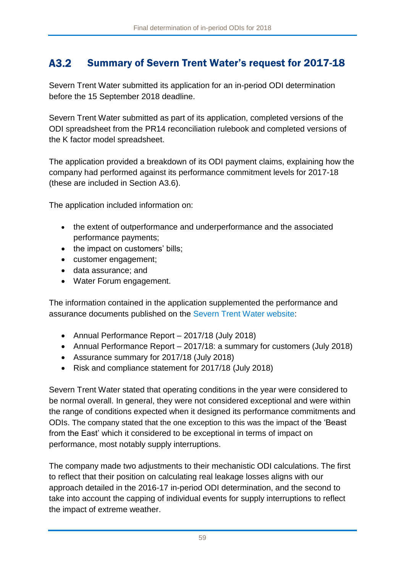#### A3.2 Summary of Severn Trent Water's request for 2017-18

Severn Trent Water submitted its application for an in-period ODI determination before the 15 September 2018 deadline.

Severn Trent Water submitted as part of its application, completed versions of the ODI spreadsheet from the PR14 reconciliation rulebook and completed versions of the K factor model spreadsheet.

The application provided a breakdown of its ODI payment claims, explaining how the company had performed against its performance commitment levels for 2017-18 (these are included in Section [A3.6\)](#page-74-0).

The application included information on:

- the extent of outperformance and underperformance and the associated performance payments;
- the impact on customers' bills;
- customer engagement;
- data assurance; and
- Water Forum engagement.

The information contained in the application supplemented the performance and assurance documents published on the [Severn Trent Water website:](https://www.stwater.co.uk/about-us/responsibility/our-responsibilities-to-you/regulatory-performance/)

- Annual Performance Report 2017/18 (July 2018)
- Annual Performance Report 2017/18: a summary for customers (July 2018)
- Assurance summary for 2017/18 (July 2018)
- Risk and compliance statement for 2017/18 (July 2018)

Severn Trent Water stated that operating conditions in the year were considered to be normal overall. In general, they were not considered exceptional and were within the range of conditions expected when it designed its performance commitments and ODIs. The company stated that the one exception to this was the impact of the 'Beast from the East' which it considered to be exceptional in terms of impact on performance, most notably supply interruptions.

The company made two adjustments to their mechanistic ODI calculations. The first to reflect that their position on calculating real leakage losses aligns with our approach detailed in the 2016-17 in-period ODI determination, and the second to take into account the capping of individual events for supply interruptions to reflect the impact of extreme weather.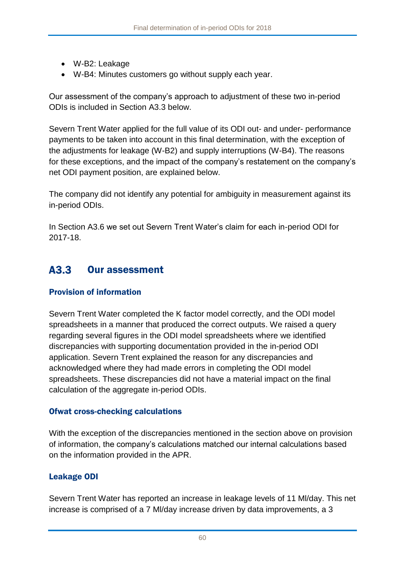- W-B2: Leakage
- W-B4: Minutes customers go without supply each year.

Our assessment of the company's approach to adjustment of these two in-period ODIs is included in Section [A3.3](#page-60-0) below.

Severn Trent Water applied for the full value of its ODI out- and under- performance payments to be taken into account in this final determination, with the exception of the adjustments for leakage (W-B2) and supply interruptions (W-B4). The reasons for these exceptions, and the impact of the company's restatement on the company's net ODI payment position, are explained below.

The company did not identify any potential for ambiguity in measurement against its in-period ODIs.

In Section [A3.6](#page-74-0) we set out Severn Trent Water's claim for each in-period ODI for 2017-18.

#### <span id="page-60-0"></span>A3.3 Our assessment

### Provision of information

Severn Trent Water completed the K factor model correctly, and the ODI model spreadsheets in a manner that produced the correct outputs. We raised a query regarding several figures in the ODI model spreadsheets where we identified discrepancies with supporting documentation provided in the in-period ODI application. Severn Trent explained the reason for any discrepancies and acknowledged where they had made errors in completing the ODI model spreadsheets. These discrepancies did not have a material impact on the final calculation of the aggregate in-period ODIs.

### Ofwat cross-checking calculations

With the exception of the discrepancies mentioned in the section above on provision of information, the company's calculations matched our internal calculations based on the information provided in the APR.

### Leakage ODI

Severn Trent Water has reported an increase in leakage levels of 11 Ml/day. This net increase is comprised of a 7 Ml/day increase driven by data improvements, a 3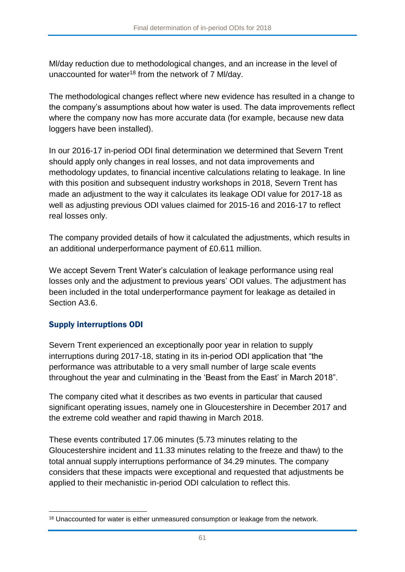Ml/day reduction due to methodological changes, and an increase in the level of unaccounted for water<sup>18</sup> from the network of 7 MI/day.

The methodological changes reflect where new evidence has resulted in a change to the company's assumptions about how water is used. The data improvements reflect where the company now has more accurate data (for example, because new data loggers have been installed).

In our 2016-17 in-period ODI final determination we determined that Severn Trent should apply only changes in real losses, and not data improvements and methodology updates, to financial incentive calculations relating to leakage. In line with this position and subsequent industry workshops in 2018, Severn Trent has made an adjustment to the way it calculates its leakage ODI value for 2017-18 as well as adjusting previous ODI values claimed for 2015-16 and 2016-17 to reflect real losses only.

The company provided details of how it calculated the adjustments, which results in an additional underperformance payment of £0.611 million.

We accept Severn Trent Water's calculation of leakage performance using real losses only and the adjustment to previous years' ODI values. The adjustment has been included in the total underperformance payment for leakage as detailed in Section [A3.6.](#page-74-0)

### Supply interruptions ODI

Severn Trent experienced an exceptionally poor year in relation to supply interruptions during 2017-18, stating in its in-period ODI application that "the performance was attributable to a very small number of large scale events throughout the year and culminating in the 'Beast from the East' in March 2018".

The company cited what it describes as two events in particular that caused significant operating issues, namely one in Gloucestershire in December 2017 and the extreme cold weather and rapid thawing in March 2018.

These events contributed 17.06 minutes (5.73 minutes relating to the Gloucestershire incident and 11.33 minutes relating to the freeze and thaw) to the total annual supply interruptions performance of 34.29 minutes. The company considers that these impacts were exceptional and requested that adjustments be applied to their mechanistic in-period ODI calculation to reflect this.

<sup>1</sup> <sup>18</sup> Unaccounted for water is either unmeasured consumption or leakage from the network.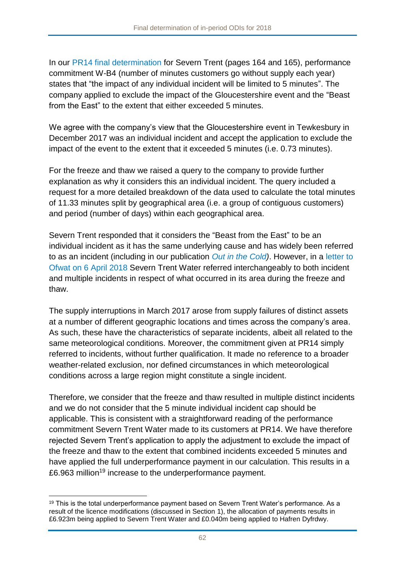In our [PR14 final determination](https://www.ofwat.gov.uk/wp-content/uploads/2015/10/det_pr20141212svt.pdf) for Severn Trent (pages 164 and 165), performance commitment W-B4 (number of minutes customers go without supply each year) states that "the impact of any individual incident will be limited to 5 minutes". The company applied to exclude the impact of the Gloucestershire event and the "Beast from the East" to the extent that either exceeded 5 minutes.

We agree with the company's view that the Gloucestershire event in Tewkesbury in December 2017 was an individual incident and accept the application to exclude the impact of the event to the extent that it exceeded 5 minutes (i.e. 0.73 minutes).

For the freeze and thaw we raised a query to the company to provide further explanation as why it considers this an individual incident. The query included a request for a more detailed breakdown of the data used to calculate the total minutes of 11.33 minutes split by geographical area (i.e. a group of contiguous customers) and period (number of days) within each geographical area.

Severn Trent responded that it considers the "Beast from the East" to be an individual incident as it has the same underlying cause and has widely been referred to as an incident (including in our publication *[Out in the Cold\)](https://www.ofwat.gov.uk/out-in-the-cold/)*. However, in a [letter to](https://www.ofwat.gov.uk/publication/svt-letter-ofwat-freeze-thaw-rfi-2018/)  [Ofwat on 6 April 2018](https://www.ofwat.gov.uk/publication/svt-letter-ofwat-freeze-thaw-rfi-2018/) Severn Trent Water referred interchangeably to both incident and multiple incidents in respect of what occurred in its area during the freeze and thaw.

The supply interruptions in March 2017 arose from supply failures of distinct assets at a number of different geographic locations and times across the company's area. As such, these have the characteristics of separate incidents, albeit all related to the same meteorological conditions. Moreover, the commitment given at PR14 simply referred to incidents, without further qualification. It made no reference to a broader weather-related exclusion, nor defined circumstances in which meteorological conditions across a large region might constitute a single incident.

Therefore, we consider that the freeze and thaw resulted in multiple distinct incidents and we do not consider that the 5 minute individual incident cap should be applicable. This is consistent with a straightforward reading of the performance commitment Severn Trent Water made to its customers at PR14. We have therefore rejected Severn Trent's application to apply the adjustment to exclude the impact of the freeze and thaw to the extent that combined incidents exceeded 5 minutes and have applied the full underperformance payment in our calculation. This results in a £6.963 million<sup>19</sup> increase to the underperformance payment.

<sup>1</sup> <sup>19</sup> This is the total underperformance payment based on Severn Trent Water's performance. As a result of the licence modifications (discussed in Section [1\)](#page-4-0), the allocation of payments results in £6.923m being applied to Severn Trent Water and £0.040m being applied to Hafren Dyfrdwy.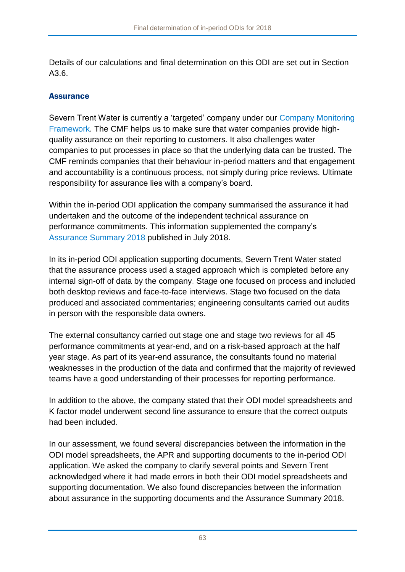Details of our calculations and final determination on this ODI are set out in Section [A3.6.](#page-74-0)

### **Assurance**

Severn Trent Water is currently a 'targeted' company under our [Company Monitoring](https://www.ofwat.gov.uk/publication/company-monitoring-framework-2018-final-position-paper/)  [Framework.](https://www.ofwat.gov.uk/publication/company-monitoring-framework-2018-final-position-paper/) The CMF helps us to make sure that water companies provide highquality assurance on their reporting to customers. It also challenges water companies to put processes in place so that the underlying data can be trusted. The CMF reminds companies that their behaviour in-period matters and that engagement and accountability is a continuous process, not simply during price reviews. Ultimate responsibility for assurance lies with a company's board.

Within the in-period ODI application the company summarised the assurance it had undertaken and the outcome of the independent technical assurance on performance commitments. This information supplemented the company's [Assurance Summary 2018](https://www.stwater.co.uk/content/dam/stw/regulatory-library/STW-Assurance-Summary-2018-final-signed.pdf) published in July 2018.

In its in-period ODI application supporting documents, Severn Trent Water stated that the assurance process used a staged approach which is completed before any internal sign-off of data by the company. Stage one focused on process and included both desktop reviews and face-to-face interviews. Stage two focused on the data produced and associated commentaries; engineering consultants carried out audits in person with the responsible data owners.

The external consultancy carried out stage one and stage two reviews for all 45 performance commitments at year-end, and on a risk-based approach at the half year stage. As part of its year-end assurance, the consultants found no material weaknesses in the production of the data and confirmed that the majority of reviewed teams have a good understanding of their processes for reporting performance.

In addition to the above, the company stated that their ODI model spreadsheets and K factor model underwent second line assurance to ensure that the correct outputs had been included.

In our assessment, we found several discrepancies between the information in the ODI model spreadsheets, the APR and supporting documents to the in-period ODI application. We asked the company to clarify several points and Severn Trent acknowledged where it had made errors in both their ODI model spreadsheets and supporting documentation. We also found discrepancies between the information about assurance in the supporting documents and the Assurance Summary 2018.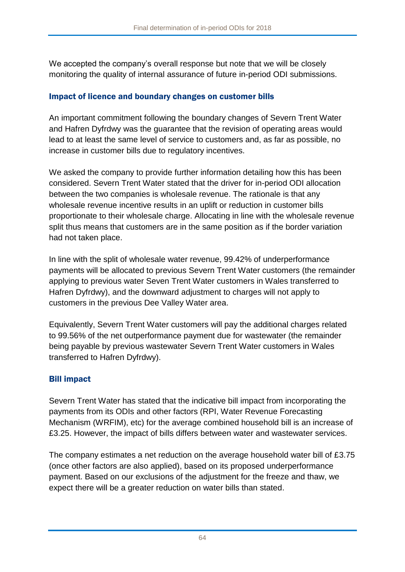We accepted the company's overall response but note that we will be closely monitoring the quality of internal assurance of future in-period ODI submissions.

### Impact of licence and boundary changes on customer bills

An important commitment following the boundary changes of Severn Trent Water and Hafren Dyfrdwy was the guarantee that the revision of operating areas would lead to at least the same level of service to customers and, as far as possible, no increase in customer bills due to regulatory incentives.

We asked the company to provide further information detailing how this has been considered. Severn Trent Water stated that the driver for in-period ODI allocation between the two companies is wholesale revenue. The rationale is that any wholesale revenue incentive results in an uplift or reduction in customer bills proportionate to their wholesale charge. Allocating in line with the wholesale revenue split thus means that customers are in the same position as if the border variation had not taken place.

In line with the split of wholesale water revenue, 99.42% of underperformance payments will be allocated to previous Severn Trent Water customers (the remainder applying to previous water Seven Trent Water customers in Wales transferred to Hafren Dyfrdwy), and the downward adjustment to charges will not apply to customers in the previous Dee Valley Water area.

Equivalently, Severn Trent Water customers will pay the additional charges related to 99.56% of the net outperformance payment due for wastewater (the remainder being payable by previous wastewater Severn Trent Water customers in Wales transferred to Hafren Dyfrdwy).

### Bill impact

Severn Trent Water has stated that the indicative bill impact from incorporating the payments from its ODIs and other factors (RPI, Water Revenue Forecasting Mechanism (WRFIM), etc) for the average combined household bill is an increase of £3.25. However, the impact of bills differs between water and wastewater services.

The company estimates a net reduction on the average household water bill of £3.75 (once other factors are also applied), based on its proposed underperformance payment. Based on our exclusions of the adjustment for the freeze and thaw, we expect there will be a greater reduction on water bills than stated.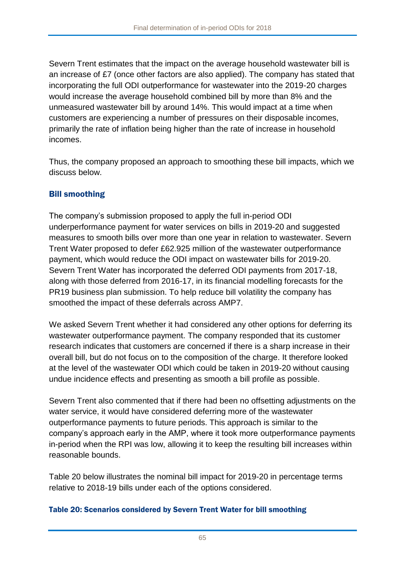Severn Trent estimates that the impact on the average household wastewater bill is an increase of £7 (once other factors are also applied). The company has stated that incorporating the full ODI outperformance for wastewater into the 2019-20 charges would increase the average household combined bill by more than 8% and the unmeasured wastewater bill by around 14%. This would impact at a time when customers are experiencing a number of pressures on their disposable incomes, primarily the rate of inflation being higher than the rate of increase in household incomes.

Thus, the company proposed an approach to smoothing these bill impacts, which we discuss below.

## Bill smoothing

The company's submission proposed to apply the full in-period ODI underperformance payment for water services on bills in 2019-20 and suggested measures to smooth bills over more than one year in relation to wastewater. Severn Trent Water proposed to defer £62.925 million of the wastewater outperformance payment, which would reduce the ODI impact on wastewater bills for 2019-20. Severn Trent Water has incorporated the deferred ODI payments from 2017-18, along with those deferred from 2016-17, in its financial modelling forecasts for the PR19 business plan submission. To help reduce bill volatility the company has smoothed the impact of these deferrals across AMP7.

We asked Severn Trent whether it had considered any other options for deferring its wastewater outperformance payment. The company responded that its customer research indicates that customers are concerned if there is a sharp increase in their overall bill, but do not focus on to the composition of the charge. It therefore looked at the level of the wastewater ODI which could be taken in 2019-20 without causing undue incidence effects and presenting as smooth a bill profile as possible.

Severn Trent also commented that if there had been no offsetting adjustments on the water service, it would have considered deferring more of the wastewater outperformance payments to future periods. This approach is similar to the company's approach early in the AMP, where it took more outperformance payments in-period when the RPI was low, allowing it to keep the resulting bill increases within reasonable bounds.

[Table 20](#page-65-0) below illustrates the nominal bill impact for 2019-20 in percentage terms relative to 2018-19 bills under each of the options considered.

### <span id="page-65-0"></span>Table 20: Scenarios considered by Severn Trent Water for bill smoothing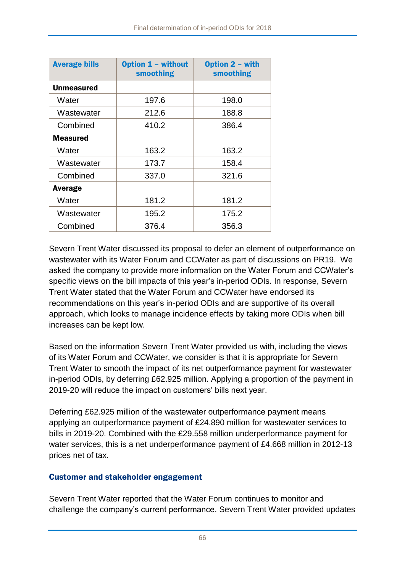| <b>Average bills</b> | <b>Option 1 - without</b><br>smoothing | Option 2 - with<br>smoothing |  |  |
|----------------------|----------------------------------------|------------------------------|--|--|
| Unmeasured           |                                        |                              |  |  |
| Water                | 197.6                                  | 198.0                        |  |  |
| Wastewater           | 212.6                                  | 188.8                        |  |  |
| Combined             | 410.2                                  | 386.4                        |  |  |
| <b>Measured</b>      |                                        |                              |  |  |
| Water                | 163.2                                  | 163.2                        |  |  |
| Wastewater           | 173.7                                  | 158.4                        |  |  |
| Combined             | 337.0                                  | 321.6                        |  |  |
| Average              |                                        |                              |  |  |
| Water                | 181.2                                  | 181.2                        |  |  |
| Wastewater           | 195.2                                  | 175.2                        |  |  |
| Combined             | 376.4                                  | 356.3                        |  |  |

Severn Trent Water discussed its proposal to defer an element of outperformance on wastewater with its Water Forum and CCWater as part of discussions on PR19. We asked the company to provide more information on the Water Forum and CCWater's specific views on the bill impacts of this year's in-period ODIs. In response, Severn Trent Water stated that the Water Forum and CCWater have endorsed its recommendations on this year's in-period ODIs and are supportive of its overall approach, which looks to manage incidence effects by taking more ODIs when bill increases can be kept low.

Based on the information Severn Trent Water provided us with, including the views of its Water Forum and CCWater, we consider is that it is appropriate for Severn Trent Water to smooth the impact of its net outperformance payment for wastewater in-period ODIs, by deferring £62.925 million. Applying a proportion of the payment in 2019-20 will reduce the impact on customers' bills next year.

Deferring £62.925 million of the wastewater outperformance payment means applying an outperformance payment of £24.890 million for wastewater services to bills in 2019-20. Combined with the £29.558 million underperformance payment for water services, this is a net underperformance payment of £4.668 million in 2012-13 prices net of tax.

### Customer and stakeholder engagement

Severn Trent Water reported that the Water Forum continues to monitor and challenge the company's current performance. Severn Trent Water provided updates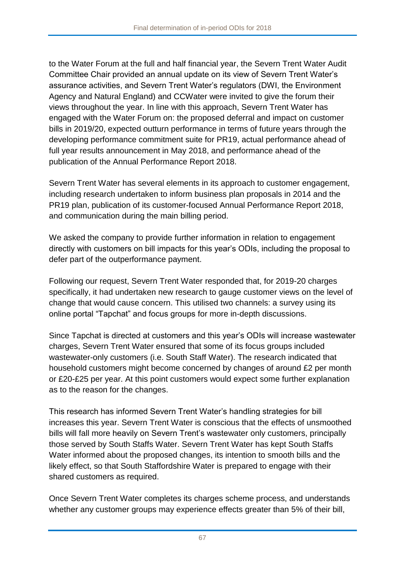to the Water Forum at the full and half financial year, the Severn Trent Water Audit Committee Chair provided an annual update on its view of Severn Trent Water's assurance activities, and Severn Trent Water's regulators (DWI, the Environment Agency and Natural England) and CCWater were invited to give the forum their views throughout the year. In line with this approach, Severn Trent Water has engaged with the Water Forum on: the proposed deferral and impact on customer bills in 2019/20, expected outturn performance in terms of future years through the developing performance commitment suite for PR19, actual performance ahead of full year results announcement in May 2018, and performance ahead of the publication of the Annual Performance Report 2018.

Severn Trent Water has several elements in its approach to customer engagement, including research undertaken to inform business plan proposals in 2014 and the PR19 plan, publication of its customer-focused Annual Performance Report 2018, and communication during the main billing period.

We asked the company to provide further information in relation to engagement directly with customers on bill impacts for this year's ODIs, including the proposal to defer part of the outperformance payment.

Following our request, Severn Trent Water responded that, for 2019-20 charges specifically, it had undertaken new research to gauge customer views on the level of change that would cause concern. This utilised two channels: a survey using its online portal "Tapchat" and focus groups for more in-depth discussions.

Since Tapchat is directed at customers and this year's ODIs will increase wastewater charges, Severn Trent Water ensured that some of its focus groups included wastewater-only customers (i.e. South Staff Water). The research indicated that household customers might become concerned by changes of around £2 per month or £20-£25 per year. At this point customers would expect some further explanation as to the reason for the changes.

This research has informed Severn Trent Water's handling strategies for bill increases this year. Severn Trent Water is conscious that the effects of unsmoothed bills will fall more heavily on Severn Trent's wastewater only customers, principally those served by South Staffs Water. Severn Trent Water has kept South Staffs Water informed about the proposed changes, its intention to smooth bills and the likely effect, so that South Staffordshire Water is prepared to engage with their shared customers as required.

Once Severn Trent Water completes its charges scheme process, and understands whether any customer groups may experience effects greater than 5% of their bill,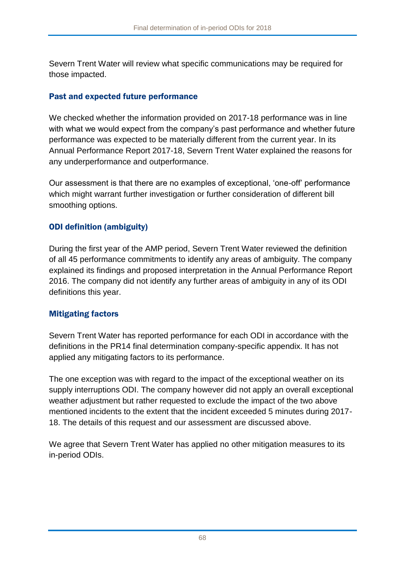Severn Trent Water will review what specific communications may be required for those impacted.

### Past and expected future performance

We checked whether the information provided on 2017-18 performance was in line with what we would expect from the company's past performance and whether future performance was expected to be materially different from the current year. In its Annual Performance Report 2017-18, Severn Trent Water explained the reasons for any underperformance and outperformance.

Our assessment is that there are no examples of exceptional, 'one-off' performance which might warrant further investigation or further consideration of different bill smoothing options.

### ODI definition (ambiguity)

During the first year of the AMP period, Severn Trent Water reviewed the definition of all 45 performance commitments to identify any areas of ambiguity. The company explained its findings and proposed interpretation in the Annual Performance Report 2016. The company did not identify any further areas of ambiguity in any of its ODI definitions this year.

### Mitigating factors

Severn Trent Water has reported performance for each ODI in accordance with the definitions in the PR14 final determination company-specific appendix. It has not applied any mitigating factors to its performance.

The one exception was with regard to the impact of the exceptional weather on its supply interruptions ODI. The company however did not apply an overall exceptional weather adjustment but rather requested to exclude the impact of the two above mentioned incidents to the extent that the incident exceeded 5 minutes during 2017- 18. The details of this request and our assessment are discussed above.

We agree that Severn Trent Water has applied no other mitigation measures to its in-period ODIs.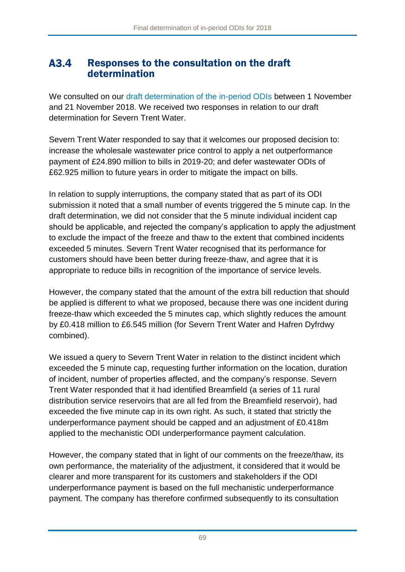### A3.4 Responses to the consultation on the draft determination

We consulted on our [draft determination of the in-period ODIs](https://www.ofwat.gov.uk/consultation/2018-draft-determination-of-in-period-odis/) between 1 November and 21 November 2018. We received two responses in relation to our draft determination for Severn Trent Water.

Severn Trent Water responded to say that it welcomes our proposed decision to: increase the wholesale wastewater price control to apply a net outperformance payment of £24.890 million to bills in 2019-20; and defer wastewater ODIs of £62.925 million to future years in order to mitigate the impact on bills.

In relation to supply interruptions, the company stated that as part of its ODI submission it noted that a small number of events triggered the 5 minute cap. In the draft determination, we did not consider that the 5 minute individual incident cap should be applicable, and rejected the company's application to apply the adjustment to exclude the impact of the freeze and thaw to the extent that combined incidents exceeded 5 minutes. Severn Trent Water recognised that its performance for customers should have been better during freeze-thaw, and agree that it is appropriate to reduce bills in recognition of the importance of service levels.

However, the company stated that the amount of the extra bill reduction that should be applied is different to what we proposed, because there was one incident during freeze-thaw which exceeded the 5 minutes cap, which slightly reduces the amount by £0.418 million to £6.545 million (for Severn Trent Water and Hafren Dyfrdwy combined).

We issued a query to Severn Trent Water in relation to the distinct incident which exceeded the 5 minute cap, requesting further information on the location, duration of incident, number of properties affected, and the company's response. Severn Trent Water responded that it had identified Breamfield (a series of 11 rural distribution service reservoirs that are all fed from the Breamfield reservoir), had exceeded the five minute cap in its own right. As such, it stated that strictly the underperformance payment should be capped and an adjustment of £0.418m applied to the mechanistic ODI underperformance payment calculation.

However, the company stated that in light of our comments on the freeze/thaw, its own performance, the materiality of the adjustment, it considered that it would be clearer and more transparent for its customers and stakeholders if the ODI underperformance payment is based on the full mechanistic underperformance payment. The company has therefore confirmed subsequently to its consultation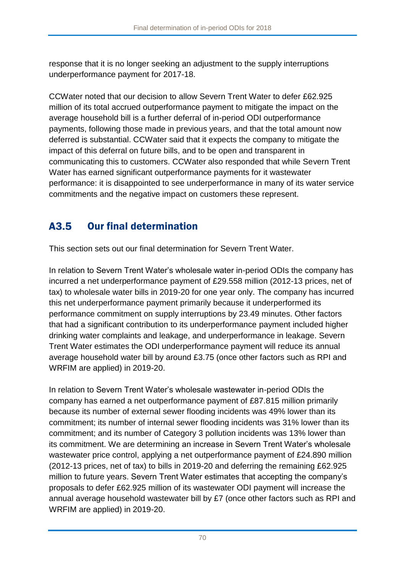response that it is no longer seeking an adjustment to the supply interruptions underperformance payment for 2017-18.

CCWater noted that our decision to allow Severn Trent Water to defer £62.925 million of its total accrued outperformance payment to mitigate the impact on the average household bill is a further deferral of in-period ODI outperformance payments, following those made in previous years, and that the total amount now deferred is substantial. CCWater said that it expects the company to mitigate the impact of this deferral on future bills, and to be open and transparent in communicating this to customers. CCWater also responded that while Severn Trent Water has earned significant outperformance payments for it wastewater performance: it is disappointed to see underperformance in many of its water service commitments and the negative impact on customers these represent.

#### A3.5 Our final determination

This section sets out our final determination for Severn Trent Water.

In relation to Severn Trent Water's wholesale water in-period ODIs the company has incurred a net underperformance payment of £29.558 million (2012-13 prices, net of tax) to wholesale water bills in 2019-20 for one year only. The company has incurred this net underperformance payment primarily because it underperformed its performance commitment on supply interruptions by 23.49 minutes. Other factors that had a significant contribution to its underperformance payment included higher drinking water complaints and leakage, and underperformance in leakage. Severn Trent Water estimates the ODI underperformance payment will reduce its annual average household water bill by around £3.75 (once other factors such as RPI and WRFIM are applied) in 2019-20.

In relation to Severn Trent Water's wholesale wastewater in-period ODIs the company has earned a net outperformance payment of £87.815 million primarily because its number of external sewer flooding incidents was 49% lower than its commitment; its number of internal sewer flooding incidents was 31% lower than its commitment; and its number of Category 3 pollution incidents was 13% lower than its commitment. We are determining an increase in Severn Trent Water's wholesale wastewater price control, applying a net outperformance payment of £24.890 million (2012-13 prices, net of tax) to bills in 2019-20 and deferring the remaining £62.925 million to future years. Severn Trent Water estimates that accepting the company's proposals to defer £62.925 million of its wastewater ODI payment will increase the annual average household wastewater bill by £7 (once other factors such as RPI and WRFIM are applied) in 2019-20.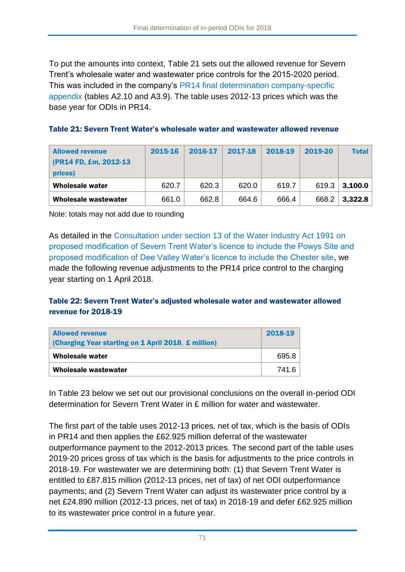To put the amounts into context, [Table 21](#page-71-0) sets out the allowed revenue for Severn Trent's wholesale water and wastewater price controls for the 2015-2020 period. This was included in the company's [PR14 final determination company-specific](https://www.ofwat.gov.uk/wp-content/uploads/2015/10/det_pr20141212svt.pdf)  [appendix](https://www.ofwat.gov.uk/wp-content/uploads/2015/10/det_pr20141212svt.pdf) (tables A2.10 and A3.9). The table uses 2012-13 prices which was the base year for ODIs in PR14.

<span id="page-71-0"></span>

| <b>Allowed revenue</b><br>(PR14 FD, £m, 2012-13)<br>prices) | 2015-16 | 2016-17 | 2017-18 | 2018-19 | 2019-20 | Total   |
|-------------------------------------------------------------|---------|---------|---------|---------|---------|---------|
| <b>Wholesale water</b>                                      | 620.7   | 620.3   | 620.0   | 619.7   | 619.3   | 3,100.0 |
| <b>Wholesale wastewater</b>                                 | 661.0   | 662.8   | 664.6   | 666.4   | 668.2   | 3,322.8 |

Note: totals may not add due to rounding

As detailed in the [Consultation under section 13 of the Water Industry Act 1991 on](https://www.ofwat.gov.uk/consultation/consultation-section-13-water-industry-act-1991-proposed-modification-severn-trent-water-limiteds-severn-trent-water-licence-include-powys-site-proposed-modifi/)  [proposed modification of Severn Trent Water's licence to include the Powys Site and](https://www.ofwat.gov.uk/consultation/consultation-section-13-water-industry-act-1991-proposed-modification-severn-trent-water-limiteds-severn-trent-water-licence-include-powys-site-proposed-modifi/)  [proposed modification of Dee Valley Water's licence to include the Chester site,](https://www.ofwat.gov.uk/consultation/consultation-section-13-water-industry-act-1991-proposed-modification-severn-trent-water-limiteds-severn-trent-water-licence-include-powys-site-proposed-modifi/) we made the following revenue adjustments to the PR14 price control to the charging year starting on 1 April 2018.

### Table 22: Severn Trent Water's adjusted wholesale water and wastewater allowed revenue for 2018-19

| <b>Allowed revenue</b><br>(Charging Year starting on 1 April 2018, £ million) | 2018-19 |  |
|-------------------------------------------------------------------------------|---------|--|
| Wholesale water                                                               | 695.8   |  |
| Wholesale wastewater                                                          | 741.6   |  |

In [Table 23](#page-72-0) below we set out our provisional conclusions on the overall in-period ODI determination for Severn Trent Water in £ million for water and wastewater.

The first part of the table uses 2012-13 prices, net of tax, which is the basis of ODIs in PR14 and then applies the £62.925 million deferral of the wastewater outperformance payment to the 2012-2013 prices. The second part of the table uses 2019-20 prices gross of tax which is the basis for adjustments to the price controls in 2018-19. For wastewater we are determining both: (1) that Severn Trent Water is entitled to £87.815 million (2012-13 prices, net of tax) of net ODI outperformance payments; and (2) Severn Trent Water can adjust its wastewater price control by a net £24.890 million (2012-13 prices, net of tax) in 2018-19 and defer £62.925 million to its wastewater price control in a future year.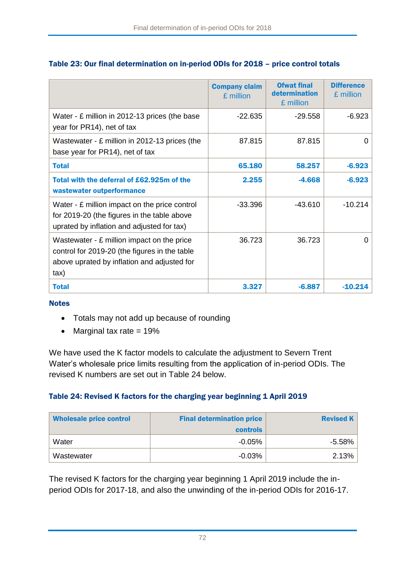|                                                                                                                                                    | <b>Company claim</b><br>£ million | <b>Ofwat final</b><br>determination<br>£ million | <b>Difference</b><br>£ million |
|----------------------------------------------------------------------------------------------------------------------------------------------------|-----------------------------------|--------------------------------------------------|--------------------------------|
| Water - £ million in 2012-13 prices (the base<br>year for PR14), net of tax                                                                        | $-22.635$                         | $-29.558$                                        | $-6.923$                       |
| Wastewater - $E$ million in 2012-13 prices (the<br>base year for PR14), net of tax                                                                 | 87.815                            | 87.815                                           | 0                              |
| <b>Total</b>                                                                                                                                       | 65.180                            | 58.257                                           | $-6.923$                       |
| Total with the deferral of £62,925m of the<br>wastewater outperformance                                                                            | 2.255                             | $-4.668$                                         | $-6.923$                       |
| Water - £ million impact on the price control<br>for 2019-20 (the figures in the table above<br>uprated by inflation and adjusted for tax)         | $-33.396$                         | $-43.610$                                        | $-10.214$                      |
| Wastewater - £ million impact on the price<br>control for 2019-20 (the figures in the table<br>above uprated by inflation and adjusted for<br>tax) | 36.723                            | 36.723                                           | Ω                              |
| <b>Total</b>                                                                                                                                       | 3.327                             | $-6.887$                                         | $-10.214$                      |

## Table 23: Our final determination on in-period ODIs for 2018 – price control totals

#### **Notes**

- Totals may not add up because of rounding
- $\bullet$  Marginal tax rate = 19%

We have used the K factor models to calculate the adjustment to Severn Trent Water's wholesale price limits resulting from the application of in-period ODIs. The revised K numbers are set out in [Table 24](#page-72-0) below.

### <span id="page-72-0"></span>Table 24: Revised K factors for the charging year beginning 1 April 2019

| <b>Wholesale price control</b> | <b>Final determination price</b> | <b>Revised K</b> |
|--------------------------------|----------------------------------|------------------|
|                                | <b>controls</b>                  |                  |
| Water                          | $-0.05\%$                        | -5.58%           |
| Wastewater                     | $-0.03%$                         | 2.13%            |

The revised K factors for the charging year beginning 1 April 2019 include the inperiod ODIs for 2017-18, and also the unwinding of the in-period ODIs for 2016-17.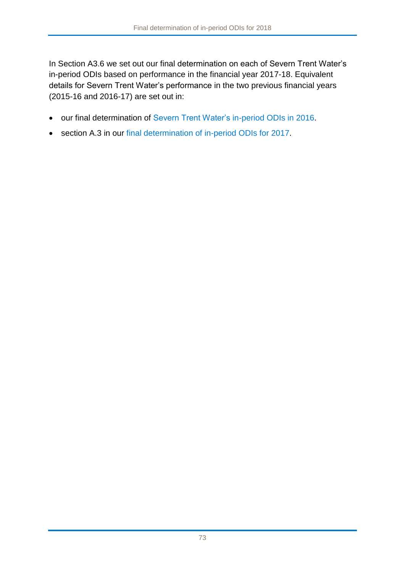In Section [A3.6](#page-74-0) we set out our final determination on each of Severn Trent Water's in-period ODIs based on performance in the financial year 2017-18. Equivalent details for Severn Trent Water's performance in the two previous financial years (2015-16 and 2016-17) are set out in:

- our [final determination](https://www.ofwat.gov.uk/wp-content/uploads/2016/12/Final-determination-of-Severn-Trent-Water%E2%80%99s-in-period-outcome-delivery-incentives-for-2015-16.pdf) of [Severn Trent Water's in-period ODIs in 2016.](https://www.ofwat.gov.uk/publication/final-determination-severn-trent-waters-period-outcome-delivery-incentives-2015-16/)
- section A.3 in our [final determination of in-period ODIs for 2017.](https://www.ofwat.gov.uk/publication/final-determination-period-odis-2017/)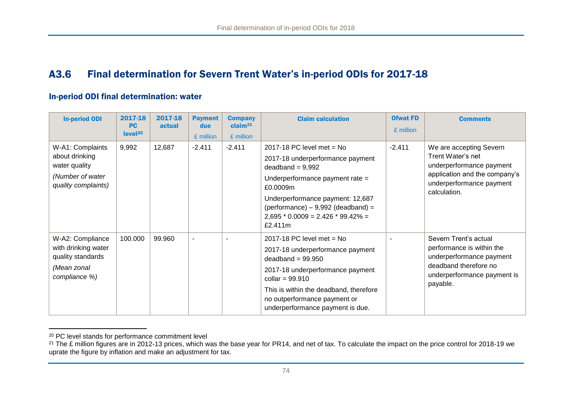#### A3.6 Final determination for Severn Trent Water's in-period ODIs for 2017-18

#### In-period ODI final determination: water

| <b>In-period ODI</b>                                                                           | 2017-18<br><b>PC</b><br>level <sup>20</sup> | 2017-18<br>actual | <b>Payment</b><br>due<br>£ million | <b>Company</b><br>claim <sup>21</sup><br>£ million | <b>Claim calculation</b>                                                                                                                                                                                                                                           | <b>Ofwat FD</b><br>£ million | <b>Comments</b>                                                                                                                                       |
|------------------------------------------------------------------------------------------------|---------------------------------------------|-------------------|------------------------------------|----------------------------------------------------|--------------------------------------------------------------------------------------------------------------------------------------------------------------------------------------------------------------------------------------------------------------------|------------------------------|-------------------------------------------------------------------------------------------------------------------------------------------------------|
| W-A1: Complaints<br>about drinking<br>water quality<br>(Number of water<br>quality complaints) | 9,992                                       | 12,687            | $-2.411$                           | $-2.411$                                           | 2017-18 PC level met $=$ No<br>2017-18 underperformance payment<br>$deadband = 9,992$<br>Underperformance payment rate =<br>£0.0009m<br>Underperformance payment: 12,687<br>$performance) - 9,992 (deadband) =$<br>$2,695 * 0.0009 = 2.426 * 99.42\% =$<br>£2.411m | $-2.411$                     | We are accepting Severn<br>Trent Water's net<br>underperformance payment<br>application and the company's<br>underperformance payment<br>calculation. |
| W-A2: Compliance<br>with drinking water<br>quality standards<br>(Mean zonal<br>compliance %)   | 100.000                                     | 99.960            | $\blacksquare$                     |                                                    | 2017-18 PC level met = $No$<br>2017-18 underperformance payment<br>deadband = $99.950$<br>2017-18 underperformance payment<br>collar = $99.910$<br>This is within the deadband, therefore<br>no outperformance payment or<br>underperformance payment is due.      |                              | Severn Trent's actual<br>performance is within the<br>underperformance payment<br>deadband therefore no<br>underperformance payment is<br>payable.    |

<sup>&</sup>lt;sup>20</sup> PC level stands for performance commitment level

<span id="page-74-0"></span> $\overline{a}$ 

<sup>&</sup>lt;sup>21</sup> The £ million figures are in 2012-13 prices, which was the base year for PR14, and net of tax. To calculate the impact on the price control for 2018-19 we uprate the figure by inflation and make an adjustment for tax.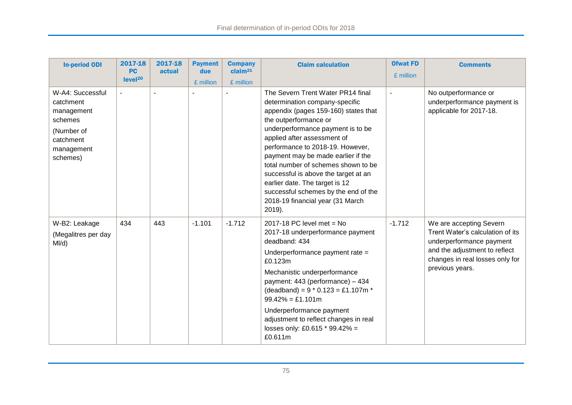| <b>In-period ODI</b>                                                                                        | 2017-18<br><b>PC</b><br>level <sup>20</sup> | 2017-18<br>actual | <b>Payment</b><br>due<br>£ million | <b>Company</b><br>claim <sup>21</sup><br>£ million | <b>Claim calculation</b>                                                                                                                                                                                                                                                                                                                                                                                                                                                                     | <b>Ofwat FD</b><br>£ million | <b>Comments</b>                                                                                                                                                                |
|-------------------------------------------------------------------------------------------------------------|---------------------------------------------|-------------------|------------------------------------|----------------------------------------------------|----------------------------------------------------------------------------------------------------------------------------------------------------------------------------------------------------------------------------------------------------------------------------------------------------------------------------------------------------------------------------------------------------------------------------------------------------------------------------------------------|------------------------------|--------------------------------------------------------------------------------------------------------------------------------------------------------------------------------|
| W-A4: Successful<br>catchment<br>management<br>schemes<br>(Number of<br>catchment<br>management<br>schemes) |                                             |                   |                                    |                                                    | The Severn Trent Water PR14 final<br>determination company-specific<br>appendix (pages 159-160) states that<br>the outperformance or<br>underperformance payment is to be<br>applied after assessment of<br>performance to 2018-19. However,<br>payment may be made earlier if the<br>total number of schemes shown to be<br>successful is above the target at an<br>earlier date. The target is 12<br>successful schemes by the end of the<br>2018-19 financial year (31 March<br>$2019$ ). |                              | No outperformance or<br>underperformance payment is<br>applicable for 2017-18.                                                                                                 |
| W-B2: Leakage<br>(Megalitres per day<br>MI/d)                                                               | 434                                         | 443               | $-1.101$                           | $-1.712$                                           | 2017-18 PC level met = $No$<br>2017-18 underperformance payment<br>deadband: 434<br>Underperformance payment rate =<br>£0.123m<br>Mechanistic underperformance<br>payment: 443 (performance) - 434<br>(deadband) = $9 * 0.123 = £1.107m *$<br>$99.42\% = £1.101m$<br>Underperformance payment<br>adjustment to reflect changes in real<br>losses only: £0.615 * 99.42% =<br>£0.611m                                                                                                          | $-1.712$                     | We are accepting Severn<br>Trent Water's calculation of its<br>underperformance payment<br>and the adjustment to reflect<br>changes in real losses only for<br>previous years. |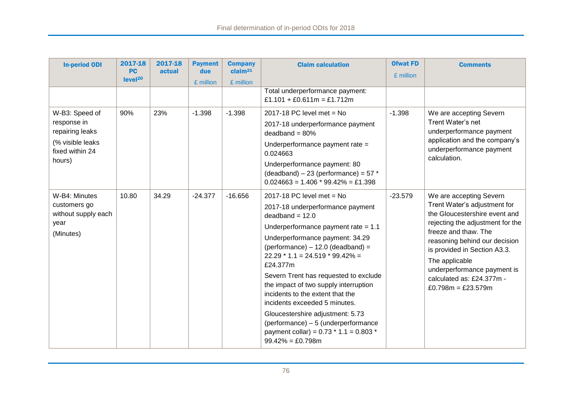| <b>In-period ODI</b>                                                                              | 2017-18<br><b>PC</b><br>level <sup>20</sup> | 2017-18<br>actual | <b>Payment</b><br>due<br>£ million | <b>Company</b><br>claim <sup>21</sup><br>£ million | <b>Claim calculation</b>                                                                                                                                                                                                                                                                                                                                                                                                                                                                                                                                        | <b>Ofwat FD</b><br>£ million | <b>Comments</b>                                                                                                                                                                                                                                                                                                           |
|---------------------------------------------------------------------------------------------------|---------------------------------------------|-------------------|------------------------------------|----------------------------------------------------|-----------------------------------------------------------------------------------------------------------------------------------------------------------------------------------------------------------------------------------------------------------------------------------------------------------------------------------------------------------------------------------------------------------------------------------------------------------------------------------------------------------------------------------------------------------------|------------------------------|---------------------------------------------------------------------------------------------------------------------------------------------------------------------------------------------------------------------------------------------------------------------------------------------------------------------------|
|                                                                                                   |                                             |                   |                                    |                                                    | Total underperformance payment:<br>£1.101 + £0.611m = £1.712m                                                                                                                                                                                                                                                                                                                                                                                                                                                                                                   |                              |                                                                                                                                                                                                                                                                                                                           |
| W-B3: Speed of<br>response in<br>repairing leaks<br>(% visible leaks<br>fixed within 24<br>hours) | 90%                                         | 23%               | $-1.398$                           | $-1.398$                                           | 2017-18 PC level met = $No$<br>2017-18 underperformance payment<br>$deadband = 80%$<br>Underperformance payment rate =<br>0.024663<br>Underperformance payment: 80<br>(deadband) $-23$ (performance) = 57 $*$<br>$0.024663 = 1.406 * 99.42\% = £1.398$                                                                                                                                                                                                                                                                                                          | $-1.398$                     | We are accepting Severn<br>Trent Water's net<br>underperformance payment<br>application and the company's<br>underperformance payment<br>calculation.                                                                                                                                                                     |
| W-B4: Minutes<br>customers go<br>without supply each<br>year<br>(Minutes)                         | 10.80                                       | 34.29             | $-24.377$                          | $-16.656$                                          | 2017-18 PC level met = $No$<br>2017-18 underperformance payment<br>$deadband = 12.0$<br>Underperformance payment rate $= 1.1$<br>Underperformance payment: 34.29<br>$(pertormance) - 12.0 (deadband) =$<br>$22.29 * 1.1 = 24.519 * 99.42\% =$<br>£24.377m<br>Severn Trent has requested to exclude<br>the impact of two supply interruption<br>incidents to the extent that the<br>incidents exceeded 5 minutes.<br>Gloucestershire adjustment: 5.73<br>(performance) - 5 (underperformance<br>payment collar) = $0.73 * 1.1 = 0.803 *$<br>$99.42\% = £0.798$ m | $-23.579$                    | We are accepting Severn<br>Trent Water's adjustment for<br>the Gloucestershire event and<br>rejecting the adjustment for the<br>freeze and thaw. The<br>reasoning behind our decision<br>is provided in Section A3.3.<br>The applicable<br>underperformance payment is<br>calculated as: £24.377m -<br>£0.798m = £23.579m |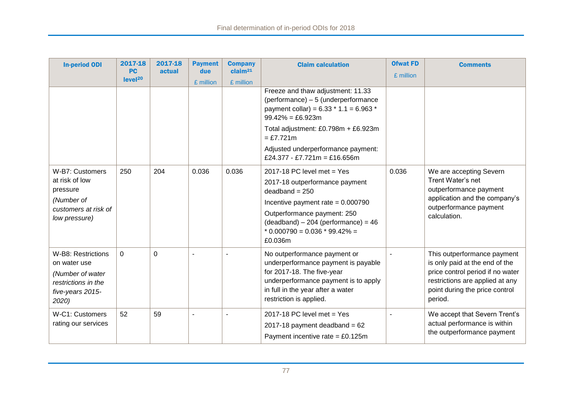| <b>In-period ODI</b>                                                                                       | 2017-18<br><b>PC</b> | 2017-18<br>actual | <b>Payment</b><br>due | <b>Company</b><br>claim <sup>21</sup> | <b>Claim calculation</b>                                                                                                                                                                                                                             | <b>Ofwat FD</b> | <b>Comments</b>                                                                                                                                                                   |
|------------------------------------------------------------------------------------------------------------|----------------------|-------------------|-----------------------|---------------------------------------|------------------------------------------------------------------------------------------------------------------------------------------------------------------------------------------------------------------------------------------------------|-----------------|-----------------------------------------------------------------------------------------------------------------------------------------------------------------------------------|
|                                                                                                            | level <sup>20</sup>  |                   | £ million             | £ million                             |                                                                                                                                                                                                                                                      | £ million       |                                                                                                                                                                                   |
|                                                                                                            |                      |                   |                       |                                       | Freeze and thaw adjustment: 11.33<br>(performance) - 5 (underperformance<br>payment collar) = $6.33 * 1.1 = 6.963 *$<br>$99.42\% = \text{\pounds}6.923m$<br>Total adjustment: £0.798m + £6.923m<br>$= £7.721m$<br>Adjusted underperformance payment: |                 |                                                                                                                                                                                   |
|                                                                                                            |                      |                   |                       |                                       | £24.377 - £7.721m = £16.656m                                                                                                                                                                                                                         |                 |                                                                                                                                                                                   |
| W-B7: Customers<br>at risk of low<br>pressure<br>(Number of<br>customers at risk of<br>low pressure)       | 250                  | 204               | 0.036                 | 0.036                                 | 2017-18 PC level met = $Yes$<br>2017-18 outperformance payment<br>$deadband = 250$<br>Incentive payment rate = $0.000790$<br>Outperformance payment: 250<br>$(deadband) - 204 (performance) = 46$<br>$*$ 0.000790 = 0.036 $*$ 99.42% =<br>£0.036m    | 0.036           | We are accepting Severn<br>Trent Water's net<br>outperformance payment<br>application and the company's<br>outperformance payment<br>calculation.                                 |
| W-B8: Restrictions<br>on water use<br>(Number of water<br>restrictions in the<br>five-years 2015-<br>2020) | $\mathbf 0$          | $\mathbf 0$       | $\blacksquare$        |                                       | No outperformance payment or<br>underperformance payment is payable<br>for 2017-18. The five-year<br>underperformance payment is to apply<br>in full in the year after a water<br>restriction is applied.                                            | $\blacksquare$  | This outperformance payment<br>is only paid at the end of the<br>price control period if no water<br>restrictions are applied at any<br>point during the price control<br>period. |
| W-C1: Customers<br>rating our services                                                                     | 52                   | 59                | $\blacksquare$        |                                       | 2017-18 PC level met = $Yes$<br>2017-18 payment deadband = $62$<br>Payment incentive rate = $£0.125m$                                                                                                                                                |                 | We accept that Severn Trent's<br>actual performance is within<br>the outperformance payment                                                                                       |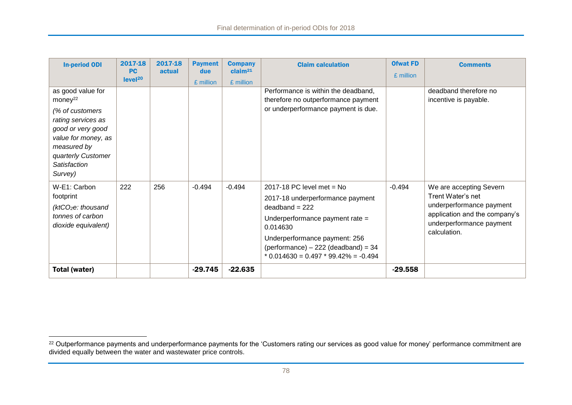| <b>In-period ODI</b>                                                                                                                                                                          | 2017-18<br><b>PC</b> | 2017-18<br>actual | <b>Payment</b><br>due | <b>Company</b><br>claim <sup>21</sup> | <b>Claim calculation</b>                                                                                                                                                                                                                                 | <b>Ofwat FD</b> | <b>Comments</b>                                                                                                                                       |
|-----------------------------------------------------------------------------------------------------------------------------------------------------------------------------------------------|----------------------|-------------------|-----------------------|---------------------------------------|----------------------------------------------------------------------------------------------------------------------------------------------------------------------------------------------------------------------------------------------------------|-----------------|-------------------------------------------------------------------------------------------------------------------------------------------------------|
|                                                                                                                                                                                               | level <sup>20</sup>  |                   | £ million             | £ million                             |                                                                                                                                                                                                                                                          | £ million       |                                                                                                                                                       |
| as good value for<br>money <sup>22</sup><br>(% of customers<br>rating services as<br>good or very good<br>value for money, as<br>measured by<br>quarterly Customer<br>Satisfaction<br>Survey) |                      |                   |                       |                                       | Performance is within the deadband,<br>therefore no outperformance payment<br>or underperformance payment is due.                                                                                                                                        |                 | deadband therefore no<br>incentive is payable.                                                                                                        |
| W-E1: Carbon<br>footprint<br>(ktCO <sub>2</sub> e: thousand)<br>tonnes of carbon<br>dioxide equivalent)                                                                                       | 222                  | 256               | $-0.494$              | $-0.494$                              | 2017-18 PC level met = $No$<br>2017-18 underperformance payment<br>$deadband = 222$<br>Underperformance payment rate =<br>0.014630<br>Underperformance payment: 256<br>$performance$ ) – 222 (deadband) = 34<br>$*$ 0.014630 = 0.497 $*$ 99.42% = -0.494 | $-0.494$        | We are accepting Severn<br>Trent Water's net<br>underperformance payment<br>application and the company's<br>underperformance payment<br>calculation. |
| Total (water)                                                                                                                                                                                 |                      |                   | $-29.745$             | $-22.635$                             |                                                                                                                                                                                                                                                          | $-29.558$       |                                                                                                                                                       |

 $\overline{a}$ 

 $^\mathrm{22}$  Outperformance payments and underperformance payments for the 'Customers rating our services as good value for money' performance commitment are divided equally between the water and wastewater price controls.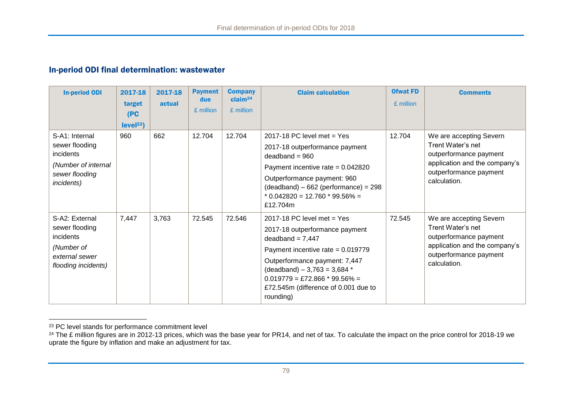#### In-period ODI final determination: wastewater

| <b>In-period ODI</b>                                                                                        | 2017-18<br>target<br>(PC<br>level <sup>23</sup> | 2017-18<br>actual | <b>Payment</b><br>due<br>£ million | <b>Company</b><br>claim <sup>24</sup><br>£ million | <b>Claim calculation</b>                                                                                                                                                                                                                                                                                  | <b>Ofwat FD</b><br>£ million | <b>Comments</b>                                                                                                                                   |
|-------------------------------------------------------------------------------------------------------------|-------------------------------------------------|-------------------|------------------------------------|----------------------------------------------------|-----------------------------------------------------------------------------------------------------------------------------------------------------------------------------------------------------------------------------------------------------------------------------------------------------------|------------------------------|---------------------------------------------------------------------------------------------------------------------------------------------------|
| S-A1: Internal<br>sewer flooding<br>incidents<br>(Number of internal<br>sewer flooding<br><i>incidents)</i> | 960                                             | 662               | 12.704                             | 12.704                                             | 2017-18 PC level met $=$ Yes<br>2017-18 outperformance payment<br>$deadband = 960$<br>Payment incentive rate = $0.042820$<br>Outperformance payment: 960<br>$(deadband) - 662 (performance) = 298$<br>$*$ 0.042820 = 12.760 $*$ 99.56% =<br>£12.704m                                                      | 12.704                       | We are accepting Severn<br>Trent Water's net<br>outperformance payment<br>application and the company's<br>outperformance payment<br>calculation. |
| S-A2: External<br>sewer flooding<br>incidents<br>(Number of<br>external sewer<br>flooding incidents)        | 7,447                                           | 3,763             | 72.545                             | 72.546                                             | 2017-18 PC level met $=$ Yes<br>2017-18 outperformance payment<br>$deadband = 7,447$<br>Payment incentive rate = $0.019779$<br>Outperformance payment: 7,447<br>$(deadband) - 3,763 = 3,684*$<br>$0.019779 = \text{\textsterling}72.866 * 99.56\% =$<br>£72.545m (difference of 0.001 due to<br>rounding) | 72.545                       | We are accepting Severn<br>Trent Water's net<br>outperformance payment<br>application and the company's<br>outperformance payment<br>calculation. |

 $\overline{a}$ <sup>23</sup> PC level stands for performance commitment level

<sup>&</sup>lt;sup>24</sup> The £ million figures are in 2012-13 prices, which was the base year for PR14, and net of tax. To calculate the impact on the price control for 2018-19 we uprate the figure by inflation and make an adjustment for tax.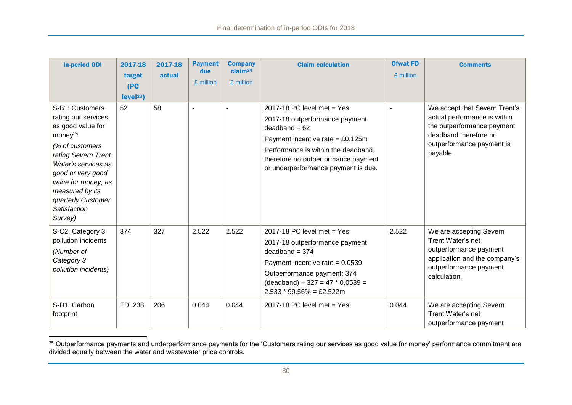| <b>In-period ODI</b>                                                                                                                                                                                                                                                       | 2017-18<br>target<br>(PC)<br>level <sup>23</sup> | 2017-18<br>actual | <b>Payment</b><br>due<br>£ million | <b>Company</b><br>claim <sup>24</sup><br>£ million | <b>Claim calculation</b>                                                                                                                                                                                                                     | <b>Ofwat FD</b><br>£ million | <b>Comments</b>                                                                                                                                               |
|----------------------------------------------------------------------------------------------------------------------------------------------------------------------------------------------------------------------------------------------------------------------------|--------------------------------------------------|-------------------|------------------------------------|----------------------------------------------------|----------------------------------------------------------------------------------------------------------------------------------------------------------------------------------------------------------------------------------------------|------------------------------|---------------------------------------------------------------------------------------------------------------------------------------------------------------|
| S-B1: Customers<br>rating our services<br>as good value for<br>money <sup>25</sup><br>(% of customers<br>rating Severn Trent<br>Water's services as<br>good or very good<br>value for money, as<br>measured by its<br>quarterly Customer<br><b>Satisfaction</b><br>Survey) | 52                                               | 58                |                                    |                                                    | 2017-18 PC level met = $Yes$<br>2017-18 outperformance payment<br>$deadband = 62$<br>Payment incentive rate = $£0.125m$<br>Performance is within the deadband,<br>therefore no outperformance payment<br>or underperformance payment is due. |                              | We accept that Severn Trent's<br>actual performance is within<br>the outperformance payment<br>deadband therefore no<br>outperformance payment is<br>payable. |
| S-C2: Category 3<br>pollution incidents<br>(Number of<br>Category 3<br>pollution incidents)                                                                                                                                                                                | 374                                              | 327               | 2.522                              | 2.522                                              | 2017-18 PC level met = $Yes$<br>2017-18 outperformance payment<br>$deadband = 374$<br>Payment incentive rate = $0.0539$<br>Outperformance payment: 374<br>$(deadband) - 327 = 47 * 0.0539 =$<br>$2.533 * 99.56\% = \text{\pounds}2.522m$     | 2.522                        | We are accepting Severn<br>Trent Water's net<br>outperformance payment<br>application and the company's<br>outperformance payment<br>calculation.             |
| S-D1: Carbon<br>footprint                                                                                                                                                                                                                                                  | FD: 238                                          | 206               | 0.044                              | 0.044                                              | 2017-18 PC level met = $Yes$                                                                                                                                                                                                                 | 0.044                        | We are accepting Severn<br>Trent Water's net<br>outperformance payment                                                                                        |

 $^\mathrm{25}$  Outperformance payments and underperformance payments for the 'Customers rating our services as good value for money' performance commitment are divided equally between the water and wastewater price controls.

 $\overline{a}$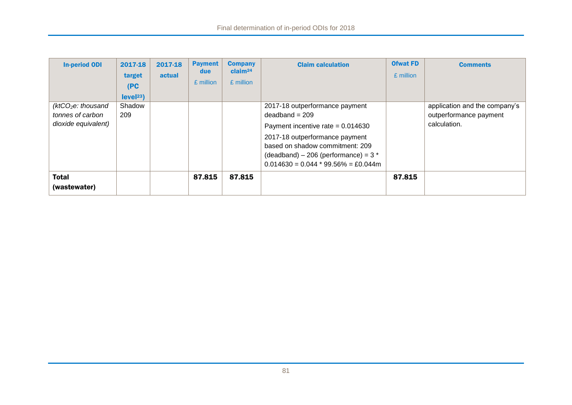| <b>In-period ODI</b>                                                       | 2017-18<br>target<br>(PC)<br>level <sup>23</sup> | 2017-18<br>actual | <b>Payment</b><br>due<br>£ million | <b>Company</b><br>claim <sup>24</sup><br>£ million | <b>Claim calculation</b>                                                                                                                                                                                                                          | <b>Ofwat FD</b><br>£ million | <b>Comments</b>                                                         |
|----------------------------------------------------------------------------|--------------------------------------------------|-------------------|------------------------------------|----------------------------------------------------|---------------------------------------------------------------------------------------------------------------------------------------------------------------------------------------------------------------------------------------------------|------------------------------|-------------------------------------------------------------------------|
| (ktCO <sub>2</sub> e: thousand)<br>tonnes of carbon<br>dioxide equivalent) | Shadow<br>209                                    |                   |                                    |                                                    | 2017-18 outperformance payment<br>$deadband = 209$<br>Payment incentive rate = $0.014630$<br>2017-18 outperformance payment<br>based on shadow commitment: 209<br>$(deadband) - 206 (performance) = 3*$<br>$0.014630 = 0.044 * 99.56\% = £0.044m$ |                              | application and the company's<br>outperformance payment<br>calculation. |
| <b>Total</b><br>(wastewater)                                               |                                                  |                   | 87.815                             | 87.815                                             |                                                                                                                                                                                                                                                   | 87.815                       |                                                                         |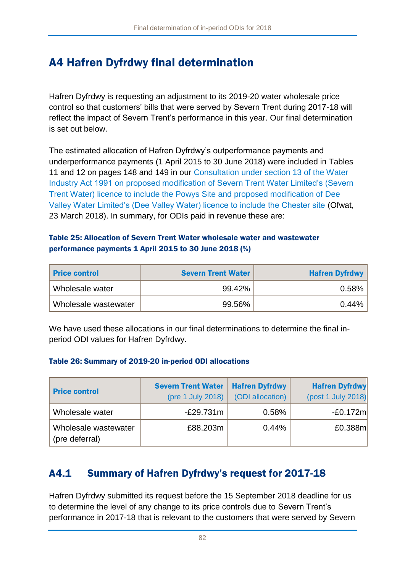# A4 Hafren Dyfrdwy final determination

Hafren Dyfrdwy is requesting an adjustment to its 2019-20 water wholesale price control so that customers' bills that were served by Severn Trent during 2017-18 will reflect the impact of Severn Trent's performance in this year. Our final determination is set out below.

The estimated allocation of Hafren Dyfrdwy's outperformance payments and underperformance payments (1 April 2015 to 30 June 2018) were included in Tables 11 and 12 on pages 148 and 149 in our [Consultation under section 13 of the Water](https://www.ofwat.gov.uk/consultation/consultation-section-13-water-industry-act-1991-proposed-modification-severn-trent-water-limiteds-severn-trent-water-licence-include-powys-site-proposed-modifi/)  [Industry Act 1991 on proposed modification of Severn Trent Water Limited's \(Severn](https://www.ofwat.gov.uk/consultation/consultation-section-13-water-industry-act-1991-proposed-modification-severn-trent-water-limiteds-severn-trent-water-licence-include-powys-site-proposed-modifi/)  [Trent Water\) licence to include the Powys Site and proposed modification of Dee](https://www.ofwat.gov.uk/consultation/consultation-section-13-water-industry-act-1991-proposed-modification-severn-trent-water-limiteds-severn-trent-water-licence-include-powys-site-proposed-modifi/)  [Valley Water Limited's \(Dee Valley Water\) licence to include the Chester site](https://www.ofwat.gov.uk/consultation/consultation-section-13-water-industry-act-1991-proposed-modification-severn-trent-water-limiteds-severn-trent-water-licence-include-powys-site-proposed-modifi/) (Ofwat, 23 March 2018). In summary, for ODIs paid in revenue these are:

#### Table 25: Allocation of Severn Trent Water wholesale water and wastewater performance payments 1 April 2015 to 30 June 2018 (%)

| <b>Price control</b> | <b>Severn Trent Water</b> | <b>Hafren Dyfrdwy</b> |
|----------------------|---------------------------|-----------------------|
| Wholesale water      | 99.42%                    | 0.58%                 |
| Wholesale wastewater | 99.56%                    | $0.44\%$              |

We have used these allocations in our final determinations to determine the final inperiod ODI values for Hafren Dyfrdwy.

#### Table 26: Summary of 2019-20 in-period ODI allocations

| <b>Price control</b>                   | <b>Severn Trent Water</b><br>(pre 1 July 2018) | <b>Hafren Dyfrdwy</b><br>(ODI allocation) | <b>Hafren Dyfrdwy</b><br>(post 1 July 2018) |
|----------------------------------------|------------------------------------------------|-------------------------------------------|---------------------------------------------|
| Wholesale water                        | $-E29.731m$                                    | 0.58%                                     | $-E0.172m$                                  |
| Wholesale wastewater<br>(pre deferral) | £88.203m                                       | 0.44%                                     | £0.388m                                     |

#### Summary of Hafren Dyfrdwy's request for 2017-18  $A4.1$

Hafren Dyfrdwy submitted its request before the 15 September 2018 deadline for us to determine the level of any change to its price controls due to Severn Trent's performance in 2017-18 that is relevant to the customers that were served by Severn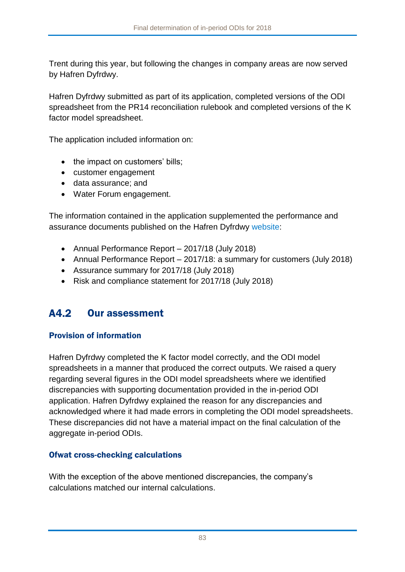Trent during this year, but following the changes in company areas are now served by Hafren Dyfrdwy.

Hafren Dyfrdwy submitted as part of its application, completed versions of the ODI spreadsheet from the PR14 reconciliation rulebook and completed versions of the K factor model spreadsheet.

The application included information on:

- the impact on customers' bills;
- customer engagement
- data assurance; and
- Water Forum engagement.

The information contained in the application supplemented the performance and assurance documents published on the [Hafren Dyfrdwy website:](https://www.hdcymru.co.uk/about-us/responsibility/our-responsibilities-to-you/regulatory-performance/)

- Annual Performance Report 2017/18 (July 2018)
- Annual Performance Report 2017/18: a summary for customers (July 2018)
- Assurance summary for 2017/18 (July 2018)
- Risk and compliance statement for 2017/18 (July 2018)

#### $A4.2$ Our assessment

### Provision of information

Hafren Dyfrdwy completed the K factor model correctly, and the ODI model spreadsheets in a manner that produced the correct outputs. We raised a query regarding several figures in the ODI model spreadsheets where we identified discrepancies with supporting documentation provided in the in-period ODI application. Hafren Dyfrdwy explained the reason for any discrepancies and acknowledged where it had made errors in completing the ODI model spreadsheets. These discrepancies did not have a material impact on the final calculation of the aggregate in-period ODIs.

### Ofwat cross-checking calculations

With the exception of the above mentioned discrepancies, the company's calculations matched our internal calculations.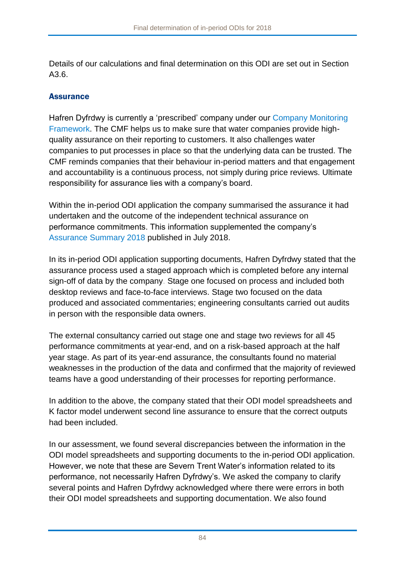Details of our calculations and final determination on this ODI are set out in Section [A3.6.](#page-74-0)

### Assurance

Hafren Dyfrdwy is currently a 'prescribed' company under our [Company Monitoring](https://www.ofwat.gov.uk/publication/company-monitoring-framework-2018-final-position-paper/)  [Framework.](https://www.ofwat.gov.uk/publication/company-monitoring-framework-2018-final-position-paper/) The CMF helps us to make sure that water companies provide highquality assurance on their reporting to customers. It also challenges water companies to put processes in place so that the underlying data can be trusted. The CMF reminds companies that their behaviour in-period matters and that engagement and accountability is a continuous process, not simply during price reviews. Ultimate responsibility for assurance lies with a company's board.

Within the in-period ODI application the company summarised the assurance it had undertaken and the outcome of the independent technical assurance on performance commitments. This information supplemented the company's [Assurance Summary 2018](https://www.hdcymru.co.uk/content/dam/hdcymru/regulatory-documents/company-monitoring-framework/HD-Assurance-Statement-APR18.pdf) published in July 2018.

In its in-period ODI application supporting documents, Hafren Dyfrdwy stated that the assurance process used a staged approach which is completed before any internal sign-off of data by the company. Stage one focused on process and included both desktop reviews and face-to-face interviews. Stage two focused on the data produced and associated commentaries; engineering consultants carried out audits in person with the responsible data owners.

The external consultancy carried out stage one and stage two reviews for all 45 performance commitments at year-end, and on a risk-based approach at the half year stage. As part of its year-end assurance, the consultants found no material weaknesses in the production of the data and confirmed that the majority of reviewed teams have a good understanding of their processes for reporting performance.

In addition to the above, the company stated that their ODI model spreadsheets and K factor model underwent second line assurance to ensure that the correct outputs had been included.

In our assessment, we found several discrepancies between the information in the ODI model spreadsheets and supporting documents to the in-period ODI application. However, we note that these are Severn Trent Water's information related to its performance, not necessarily Hafren Dyfrdwy's. We asked the company to clarify several points and Hafren Dyfrdwy acknowledged where there were errors in both their ODI model spreadsheets and supporting documentation. We also found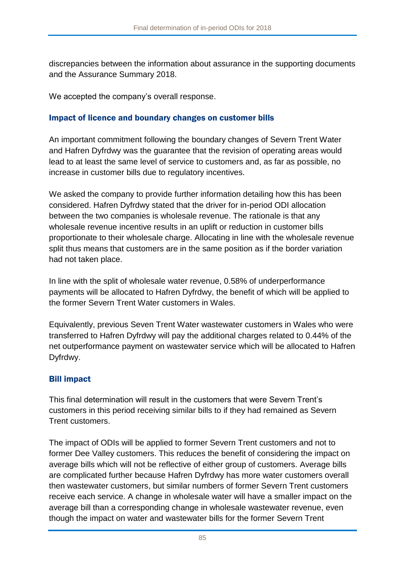discrepancies between the information about assurance in the supporting documents and the Assurance Summary 2018.

We accepted the company's overall response.

#### Impact of licence and boundary changes on customer bills

An important commitment following the boundary changes of Severn Trent Water and Hafren Dyfrdwy was the guarantee that the revision of operating areas would lead to at least the same level of service to customers and, as far as possible, no increase in customer bills due to regulatory incentives.

We asked the company to provide further information detailing how this has been considered. Hafren Dyfrdwy stated that the driver for in-period ODI allocation between the two companies is wholesale revenue. The rationale is that any wholesale revenue incentive results in an uplift or reduction in customer bills proportionate to their wholesale charge. Allocating in line with the wholesale revenue split thus means that customers are in the same position as if the border variation had not taken place.

In line with the split of wholesale water revenue, 0.58% of underperformance payments will be allocated to Hafren Dyfrdwy, the benefit of which will be applied to the former Severn Trent Water customers in Wales.

Equivalently, previous Seven Trent Water wastewater customers in Wales who were transferred to Hafren Dyfrdwy will pay the additional charges related to 0.44% of the net outperformance payment on wastewater service which will be allocated to Hafren Dyfrdwy.

### Bill impact

This final determination will result in the customers that were Severn Trent's customers in this period receiving similar bills to if they had remained as Severn Trent customers.

The impact of ODIs will be applied to former Severn Trent customers and not to former Dee Valley customers. This reduces the benefit of considering the impact on average bills which will not be reflective of either group of customers. Average bills are complicated further because Hafren Dyfrdwy has more water customers overall then wastewater customers, but similar numbers of former Severn Trent customers receive each service. A change in wholesale water will have a smaller impact on the average bill than a corresponding change in wholesale wastewater revenue, even though the impact on water and wastewater bills for the former Severn Trent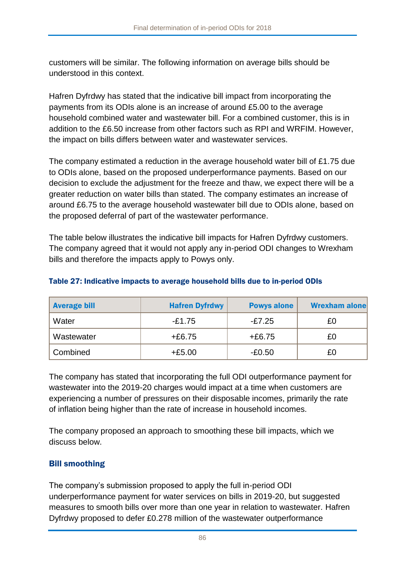customers will be similar. The following information on average bills should be understood in this context.

Hafren Dyfrdwy has stated that the indicative bill impact from incorporating the payments from its ODIs alone is an increase of around £5.00 to the average household combined water and wastewater bill. For a combined customer, this is in addition to the £6.50 increase from other factors such as RPI and WRFIM. However, the impact on bills differs between water and wastewater services.

The company estimated a reduction in the average household water bill of £1.75 due to ODIs alone, based on the proposed underperformance payments. Based on our decision to exclude the adjustment for the freeze and thaw, we expect there will be a greater reduction on water bills than stated. The company estimates an increase of around £6.75 to the average household wastewater bill due to ODIs alone, based on the proposed deferral of part of the wastewater performance.

The table below illustrates the indicative bill impacts for Hafren Dyfrdwy customers. The company agreed that it would not apply any in-period ODI changes to Wrexham bills and therefore the impacts apply to Powys only.

| <b>Average bill</b> | <b>Hafren Dyfrdwy</b> | <b>Powys alone</b> | <b>Wrexham alone</b> |
|---------------------|-----------------------|--------------------|----------------------|
| Water               | -£1.75                | -£7.25             | £0                   |
| Wastewater          | $+£6.75$              | $+£6.75$           | £0                   |
| Combined            | $+£5.00$              | $-£0.50$           | £0                   |

#### Table 27: Indicative impacts to average household bills due to in-period ODIs

The company has stated that incorporating the full ODI outperformance payment for wastewater into the 2019-20 charges would impact at a time when customers are experiencing a number of pressures on their disposable incomes, primarily the rate of inflation being higher than the rate of increase in household incomes.

The company proposed an approach to smoothing these bill impacts, which we discuss below.

### Bill smoothing

The company's submission proposed to apply the full in-period ODI underperformance payment for water services on bills in 2019-20, but suggested measures to smooth bills over more than one year in relation to wastewater. Hafren Dyfrdwy proposed to defer £0.278 million of the wastewater outperformance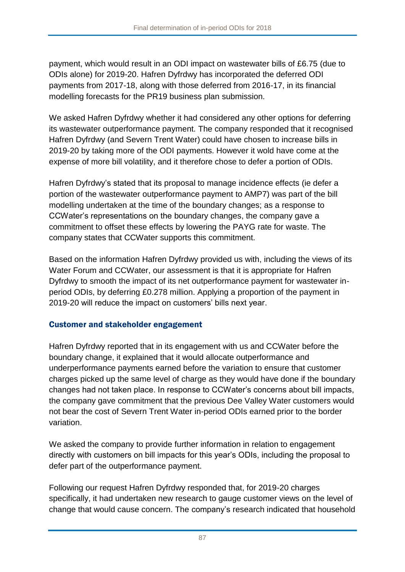payment, which would result in an ODI impact on wastewater bills of £6.75 (due to ODIs alone) for 2019-20. Hafren Dyfrdwy has incorporated the deferred ODI payments from 2017-18, along with those deferred from 2016-17, in its financial modelling forecasts for the PR19 business plan submission.

We asked Hafren Dyfrdwy whether it had considered any other options for deferring its wastewater outperformance payment. The company responded that it recognised Hafren Dyfrdwy (and Severn Trent Water) could have chosen to increase bills in 2019-20 by taking more of the ODI payments. However it wold have come at the expense of more bill volatility, and it therefore chose to defer a portion of ODIs.

Hafren Dyfrdwy's stated that its proposal to manage incidence effects (ie defer a portion of the wastewater outperformance payment to AMP7) was part of the bill modelling undertaken at the time of the boundary changes; as a response to CCWater's representations on the boundary changes, the company gave a commitment to offset these effects by lowering the PAYG rate for waste. The company states that CCWater supports this commitment.

Based on the information Hafren Dyfrdwy provided us with, including the views of its Water Forum and CCWater, our assessment is that it is appropriate for Hafren Dyfrdwy to smooth the impact of its net outperformance payment for wastewater inperiod ODIs, by deferring £0.278 million. Applying a proportion of the payment in 2019-20 will reduce the impact on customers' bills next year.

### Customer and stakeholder engagement

Hafren Dyfrdwy reported that in its engagement with us and CCWater before the boundary change, it explained that it would allocate outperformance and underperformance payments earned before the variation to ensure that customer charges picked up the same level of charge as they would have done if the boundary changes had not taken place. In response to CCWater's concerns about bill impacts, the company gave commitment that the previous Dee Valley Water customers would not bear the cost of Severn Trent Water in-period ODIs earned prior to the border variation.

We asked the company to provide further information in relation to engagement directly with customers on bill impacts for this year's ODIs, including the proposal to defer part of the outperformance payment.

Following our request Hafren Dyfrdwy responded that, for 2019-20 charges specifically, it had undertaken new research to gauge customer views on the level of change that would cause concern. The company's research indicated that household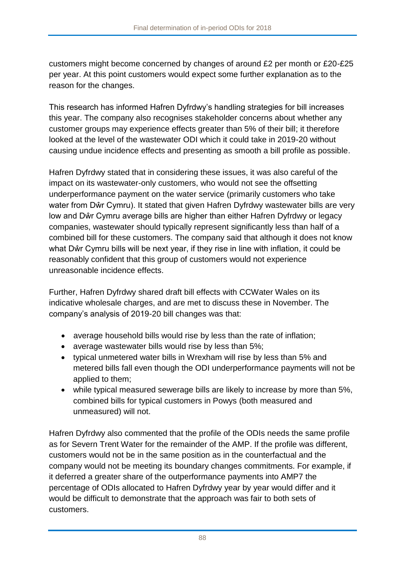customers might become concerned by changes of around £2 per month or £20-£25 per year. At this point customers would expect some further explanation as to the reason for the changes.

This research has informed Hafren Dyfrdwy's handling strategies for bill increases this year. The company also recognises stakeholder concerns about whether any customer groups may experience effects greater than 5% of their bill; it therefore looked at the level of the wastewater ODI which it could take in 2019-20 without causing undue incidence effects and presenting as smooth a bill profile as possible.

Hafren Dyfrdwy stated that in considering these issues, it was also careful of the impact on its wastewater-only customers, who would not see the offsetting underperformance payment on the water service (primarily customers who take water from Dŵr Cymru). It stated that given Hafren Dyfrdwy wastewater bills are very low and Dŵr Cymru average bills are higher than either Hafren Dyfrdwy or legacy companies, wastewater should typically represent significantly less than half of a combined bill for these customers. The company said that although it does not know what Dŵr Cymru bills will be next year, if they rise in line with inflation, it could be reasonably confident that this group of customers would not experience unreasonable incidence effects.

Further, Hafren Dyfrdwy shared draft bill effects with CCWater Wales on its indicative wholesale charges, and are met to discuss these in November. The company's analysis of 2019-20 bill changes was that:

- average household bills would rise by less than the rate of inflation;
- average wastewater bills would rise by less than 5%;
- typical unmetered water bills in Wrexham will rise by less than 5% and metered bills fall even though the ODI underperformance payments will not be applied to them;
- while typical measured sewerage bills are likely to increase by more than 5%, combined bills for typical customers in Powys (both measured and unmeasured) will not.

Hafren Dyfrdwy also commented that the profile of the ODIs needs the same profile as for Severn Trent Water for the remainder of the AMP. If the profile was different, customers would not be in the same position as in the counterfactual and the company would not be meeting its boundary changes commitments. For example, if it deferred a greater share of the outperformance payments into AMP7 the percentage of ODIs allocated to Hafren Dyfrdwy year by year would differ and it would be difficult to demonstrate that the approach was fair to both sets of customers.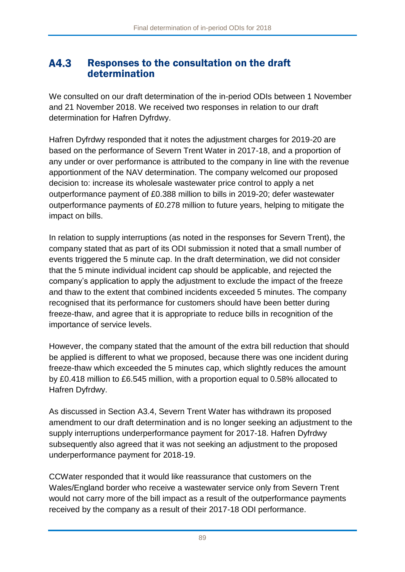#### A4.3 Responses to the consultation on the draft determination

We consulted on our [draft determination of the in-period ODIs](https://www.ofwat.gov.uk/consultation/2018-draft-determination-of-in-period-odis/) between 1 November and 21 November 2018. We received two responses in relation to our draft determination for Hafren Dyfrdwy.

Hafren Dyfrdwy responded that it notes the adjustment charges for 2019-20 are based on the performance of Severn Trent Water in 2017-18, and a proportion of any under or over performance is attributed to the company in line with the revenue apportionment of the NAV determination. The company welcomed our proposed decision to: increase its wholesale wastewater price control to apply a net outperformance payment of £0.388 million to bills in 2019-20; defer wastewater outperformance payments of £0.278 million to future years, helping to mitigate the impact on bills.

In relation to supply interruptions (as noted in the responses for Severn Trent), the company stated that as part of its ODI submission it noted that a small number of events triggered the 5 minute cap. In the draft determination, we did not consider that the 5 minute individual incident cap should be applicable, and rejected the company's application to apply the adjustment to exclude the impact of the freeze and thaw to the extent that combined incidents exceeded 5 minutes. The company recognised that its performance for customers should have been better during freeze-thaw, and agree that it is appropriate to reduce bills in recognition of the importance of service levels.

However, the company stated that the amount of the extra bill reduction that should be applied is different to what we proposed, because there was one incident during freeze-thaw which exceeded the 5 minutes cap, which slightly reduces the amount by £0.418 million to £6.545 million, with a proportion equal to 0.58% allocated to Hafren Dyfrdwy.

As discussed in Section [A3.4,](#page-69-0) Severn Trent Water has withdrawn its proposed amendment to our draft determination and is no longer seeking an adjustment to the supply interruptions underperformance payment for 2017-18. Hafren Dyfrdwy subsequently also agreed that it was not seeking an adjustment to the proposed underperformance payment for 2018-19.

CCWater responded that it would like reassurance that customers on the Wales/England border who receive a wastewater service only from Severn Trent would not carry more of the bill impact as a result of the outperformance payments received by the company as a result of their 2017-18 ODI performance.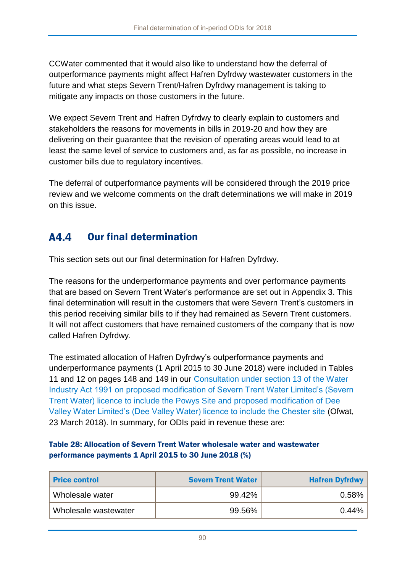CCWater commented that it would also like to understand how the deferral of outperformance payments might affect Hafren Dyfrdwy wastewater customers in the future and what steps Severn Trent/Hafren Dyfrdwy management is taking to mitigate any impacts on those customers in the future.

We expect Severn Trent and Hafren Dyfrdwy to clearly explain to customers and stakeholders the reasons for movements in bills in 2019-20 and how they are delivering on their guarantee that the revision of operating areas would lead to at least the same level of service to customers and, as far as possible, no increase in customer bills due to regulatory incentives.

The deferral of outperformance payments will be considered through the 2019 price review and we welcome comments on the draft determinations we will make in 2019 on this issue.

#### Our final determination A4.4

This section sets out our final determination for Hafren Dyfrdwy.

The reasons for the underperformance payments and over performance payments that are based on Severn Trent Water's performance are set out in Appendix 3. This final determination will result in the customers that were Severn Trent's customers in this period receiving similar bills to if they had remained as Severn Trent customers. It will not affect customers that have remained customers of the company that is now called Hafren Dyfrdwy.

The estimated allocation of Hafren Dyfrdwy's outperformance payments and underperformance payments (1 April 2015 to 30 June 2018) were included in Tables 11 and 12 on pages 148 and 149 in our [Consultation under section 13 of the Water](https://www.ofwat.gov.uk/consultation/consultation-section-13-water-industry-act-1991-proposed-modification-severn-trent-water-limiteds-severn-trent-water-licence-include-powys-site-proposed-modifi/)  [Industry Act 1991 on proposed modification of Severn Trent Water Limited's \(Severn](https://www.ofwat.gov.uk/consultation/consultation-section-13-water-industry-act-1991-proposed-modification-severn-trent-water-limiteds-severn-trent-water-licence-include-powys-site-proposed-modifi/)  [Trent Water\) licence to include the Powys Site and proposed modification of Dee](https://www.ofwat.gov.uk/consultation/consultation-section-13-water-industry-act-1991-proposed-modification-severn-trent-water-limiteds-severn-trent-water-licence-include-powys-site-proposed-modifi/)  [Valley Water Limited's \(Dee Valley Water\) licence to include the Chester site](https://www.ofwat.gov.uk/consultation/consultation-section-13-water-industry-act-1991-proposed-modification-severn-trent-water-limiteds-severn-trent-water-licence-include-powys-site-proposed-modifi/) (Ofwat, 23 March 2018). In summary, for ODIs paid in revenue these are:

#### Table 28: Allocation of Severn Trent Water wholesale water and wastewater performance payments 1 April 2015 to 30 June 2018 (%)

| <b>Price control</b> | <b>Severn Trent Water</b> | <b>Hafren Dyfrdwy</b> |
|----------------------|---------------------------|-----------------------|
| Wholesale water      | 99.42%                    | 0.58%                 |
| Wholesale wastewater | 99.56%                    | $0.44\%$              |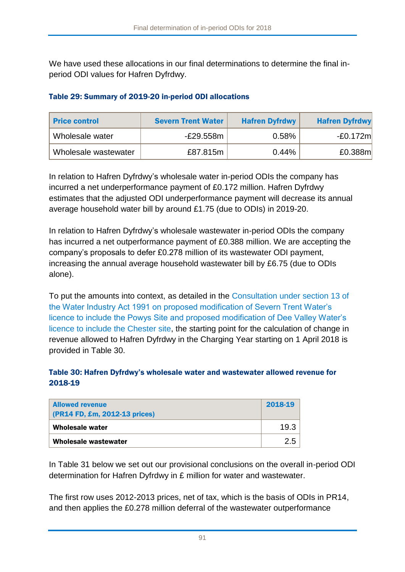We have used these allocations in our final determinations to determine the final inperiod ODI values for Hafren Dyfrdwy.

#### Table 29: Summary of 2019-20 in-period ODI allocations

| <b>Price control</b> | <b>Severn Trent Water</b> | <b>Hafren Dyfrdwy</b> | <b>Hafren Dyfrdwy</b> |
|----------------------|---------------------------|-----------------------|-----------------------|
| Wholesale water      | -£29.558m                 | 0.58%                 | $-E0.172m$            |
| Wholesale wastewater | £87.815m                  | 0.44%                 | £0.388m               |

In relation to Hafren Dyfrdwy's wholesale water in-period ODIs the company has incurred a net underperformance payment of £0.172 million. Hafren Dyfrdwy estimates that the adjusted ODI underperformance payment will decrease its annual average household water bill by around £1.75 (due to ODIs) in 2019-20.

In relation to Hafren Dyfrdwy's wholesale wastewater in-period ODIs the company has incurred a net outperformance payment of £0.388 million. We are accepting the company's proposals to defer £0.278 million of its wastewater ODI payment, increasing the annual average household wastewater bill by £6.75 (due to ODIs alone).

To put the amounts into context, as detailed in the [Consultation under section 13 of](https://www.ofwat.gov.uk/consultation/consultation-section-13-water-industry-act-1991-proposed-modification-severn-trent-water-limiteds-severn-trent-water-licence-include-powys-site-proposed-modifi/)  [the Water Industry Act 1991 on proposed modification of Severn Trent Water's](https://www.ofwat.gov.uk/consultation/consultation-section-13-water-industry-act-1991-proposed-modification-severn-trent-water-limiteds-severn-trent-water-licence-include-powys-site-proposed-modifi/)  [licence to include the Powys Site and proposed modification of Dee Valley Water's](https://www.ofwat.gov.uk/consultation/consultation-section-13-water-industry-act-1991-proposed-modification-severn-trent-water-limiteds-severn-trent-water-licence-include-powys-site-proposed-modifi/)  [licence to include the Chester site,](https://www.ofwat.gov.uk/consultation/consultation-section-13-water-industry-act-1991-proposed-modification-severn-trent-water-limiteds-severn-trent-water-licence-include-powys-site-proposed-modifi/) the starting point for the calculation of change in revenue allowed to Hafren Dyfrdwy in the Charging Year starting on 1 April 2018 is provided in [Table 30.](#page-91-0)

#### <span id="page-91-0"></span>Table 30: Hafren Dyfrdwy's wholesale water and wastewater allowed revenue for 2018-19

| <b>Allowed revenue</b><br>$(PR14 FD, Em, 2012-13 prices)$ | 2018-19 |
|-----------------------------------------------------------|---------|
| Wholesale water                                           | 19.3    |
| Wholesale wastewater                                      | 2.5     |

In [Table 31](#page-92-0) below we set out our provisional conclusions on the overall in-period ODI determination for Hafren Dyfrdwy in £ million for water and wastewater.

The first row uses 2012-2013 prices, net of tax, which is the basis of ODIs in PR14, and then applies the £0.278 million deferral of the wastewater outperformance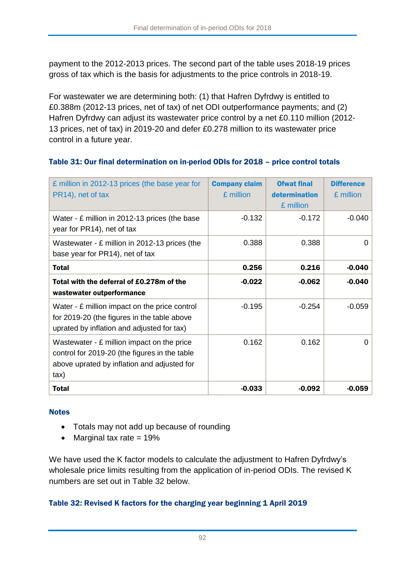payment to the 2012-2013 prices. The second part of the table uses 2018-19 prices gross of tax which is the basis for adjustments to the price controls in 2018-19.

For wastewater we are determining both: (1) that Hafren Dyfrdwy is entitled to £0.388m (2012-13 prices, net of tax) of net ODI outperformance payments; and (2) Hafren Dyfrdwy can adjust its wastewater price control by a net £0.110 million (2012- 13 prices, net of tax) in 2019-20 and defer £0.278 million to its wastewater price control in a future year.

#### <span id="page-92-0"></span>Table 31: Our final determination on in-period ODIs for 2018 – price control totals

| £ million in 2012-13 prices (the base year for<br>PR14), net of tax                                                                                | <b>Company claim</b><br>£ million | <b>Ofwat final</b><br>determination<br>£ million | <b>Difference</b><br>£ million |
|----------------------------------------------------------------------------------------------------------------------------------------------------|-----------------------------------|--------------------------------------------------|--------------------------------|
| Water - £ million in 2012-13 prices (the base<br>year for PR14), net of tax                                                                        | $-0.132$                          | $-0.172$                                         | $-0.040$                       |
| Wastewater - £ million in 2012-13 prices (the<br>base year for PR14), net of tax                                                                   | 0.388                             | 0.388                                            | 0                              |
| <b>Total</b>                                                                                                                                       | 0.256                             | 0.216                                            | $-0.040$                       |
| Total with the deferral of £0.278m of the<br>wastewater outperformance                                                                             | $-0.022$                          | $-0.062$                                         | $-0.040$                       |
| Water - £ million impact on the price control<br>for 2019-20 (the figures in the table above<br>uprated by inflation and adjusted for tax)         | $-0.195$                          | $-0.254$                                         | $-0.059$                       |
| Wastewater - £ million impact on the price<br>control for 2019-20 (the figures in the table<br>above uprated by inflation and adjusted for<br>tax) | 0.162                             | 0.162                                            | 0                              |
| <b>Total</b>                                                                                                                                       | $-0.033$                          | $-0.092$                                         | $-0.059$                       |

#### **Notes**

- Totals may not add up because of rounding
- Marginal tax rate  $= 19\%$

We have used the K factor models to calculate the adjustment to Hafren Dyfrdwy's wholesale price limits resulting from the application of in-period ODIs. The revised K numbers are set out in [Table 32](#page-92-1) below.

#### <span id="page-92-1"></span>Table 32: Revised K factors for the charging year beginning 1 April 2019